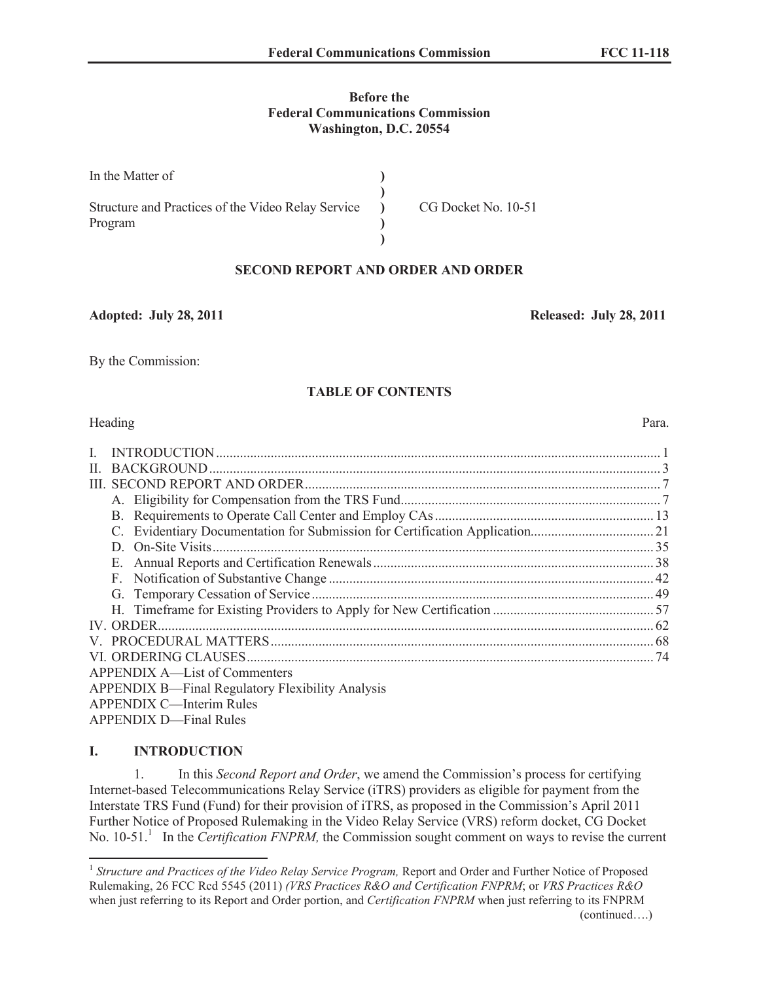## **Before the Federal Communications Commission Washington, D.C. 20554**

| In the Matter of                                   |                     |
|----------------------------------------------------|---------------------|
| Structure and Practices of the Video Relay Service | CG Docket No. 10-51 |
| Program                                            |                     |
|                                                    |                     |

## **SECOND REPORT AND ORDER AND ORDER**

**Adopted: July 28, 2011 Released: July 28, 2011**

By the Commission:

# **TABLE OF CONTENTS**

## Heading Para.

| $\mathbf{I}$ |                                                  |  |
|--------------|--------------------------------------------------|--|
| $\mathbf{H}$ |                                                  |  |
|              |                                                  |  |
|              |                                                  |  |
|              |                                                  |  |
|              |                                                  |  |
|              |                                                  |  |
|              |                                                  |  |
|              |                                                  |  |
|              |                                                  |  |
|              |                                                  |  |
|              |                                                  |  |
|              |                                                  |  |
|              |                                                  |  |
|              | APPENDIX A—List of Commenters                    |  |
|              | APPENDIX B—Final Regulatory Flexibility Analysis |  |
|              | APPENDIX C—Interim Rules                         |  |

APPENDIX D—Final Rules

# <span id="page-0-0"></span>**I. INTRODUCTION**

1. In this *Second Report and Order*, we amend the Commission's process for certifying Internet-based Telecommunications Relay Service (iTRS) providers as eligible for payment from the Interstate TRS Fund (Fund) for their provision of iTRS, as proposed in the Commission's April 2011 Further Notice of Proposed Rulemaking in the Video Relay Service (VRS) reform docket, CG Docket No. 10-51.<sup>1</sup> In the *Certification FNPRM*, the Commission sought comment on ways to revise the current

<sup>&</sup>lt;sup>1</sup> Structure and Practices of the Video Relay Service Program, Report and Order and Further Notice of Proposed Rulemaking, 26 FCC Rcd 5545 (2011) *(VRS Practices R&O and Certification FNPRM*; or *VRS Practices R&O*  when just referring to its Report and Order portion, and *Certification FNPRM* when just referring to its FNPRM (continued….)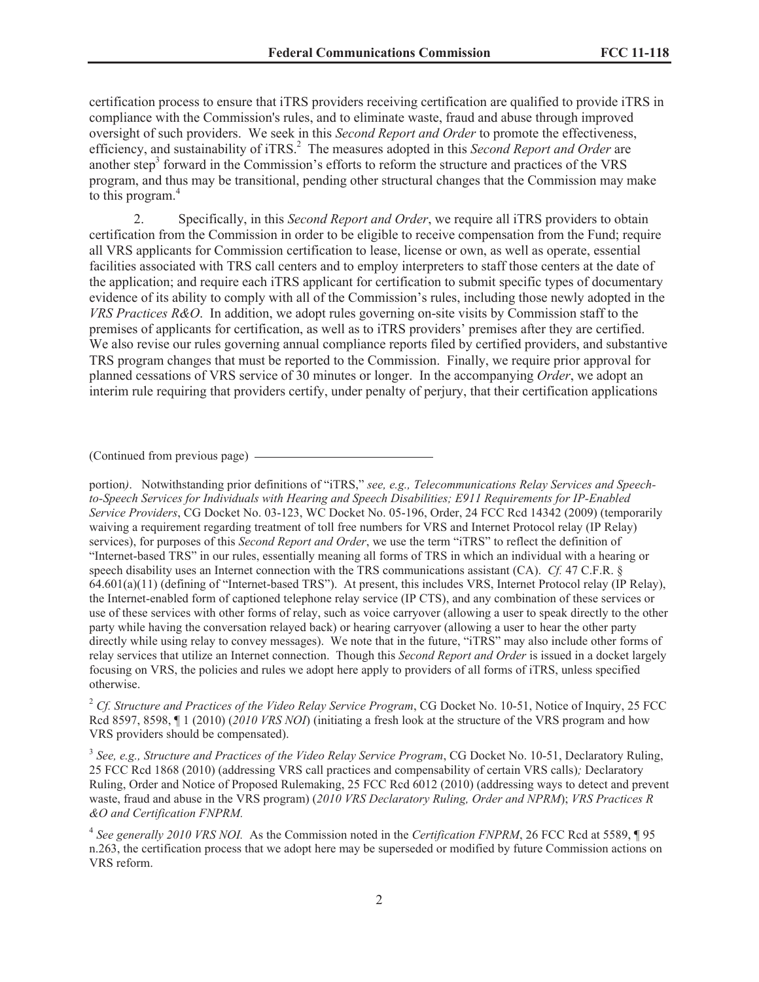certification process to ensure that iTRS providers receiving certification are qualified to provide iTRS in compliance with the Commission's rules, and to eliminate waste, fraud and abuse through improved oversight of such providers. We seek in this *Second Report and Order* to promote the effectiveness, efficiency, and sustainability of iTRS.<sup>2</sup> The measures adopted in this *Second Report and Order* are another step<sup>3</sup> forward in the Commission's efforts to reform the structure and practices of the VRS program, and thus may be transitional, pending other structural changes that the Commission may make to this program.<sup>4</sup>

2. Specifically, in this *Second Report and Order*, we require all iTRS providers to obtain certification from the Commission in order to be eligible to receive compensation from the Fund; require all VRS applicants for Commission certification to lease, license or own, as well as operate, essential facilities associated with TRS call centers and to employ interpreters to staff those centers at the date of the application; and require each iTRS applicant for certification to submit specific types of documentary evidence of its ability to comply with all of the Commission's rules, including those newly adopted in the *VRS Practices R&O*. In addition, we adopt rules governing on-site visits by Commission staff to the premises of applicants for certification, as well as to iTRS providers' premises after they are certified. We also revise our rules governing annual compliance reports filed by certified providers, and substantive TRS program changes that must be reported to the Commission. Finally, we require prior approval for planned cessations of VRS service of 30 minutes or longer. In the accompanying *Order*, we adopt an interim rule requiring that providers certify, under penalty of perjury, that their certification applications

(Continued from previous page)

portion*)*. Notwithstanding prior definitions of "iTRS," *see, e.g., Telecommunications Relay Services and Speechto-Speech Services for Individuals with Hearing and Speech Disabilities; E911 Requirements for IP-Enabled Service Providers*, CG Docket No. 03-123, WC Docket No. 05-196, Order, 24 FCC Rcd 14342 (2009) (temporarily waiving a requirement regarding treatment of toll free numbers for VRS and Internet Protocol relay (IP Relay) services), for purposes of this *Second Report and Order*, we use the term "iTRS" to reflect the definition of "Internet-based TRS" in our rules, essentially meaning all forms of TRS in which an individual with a hearing or speech disability uses an Internet connection with the TRS communications assistant (CA). *Cf.* 47 C.F.R. § 64.601(a)(11) (defining of "Internet-based TRS"). At present, this includes VRS, Internet Protocol relay (IP Relay), the Internet-enabled form of captioned telephone relay service (IP CTS), and any combination of these services or use of these services with other forms of relay, such as voice carryover (allowing a user to speak directly to the other party while having the conversation relayed back) or hearing carryover (allowing a user to hear the other party directly while using relay to convey messages). We note that in the future, "iTRS" may also include other forms of relay services that utilize an Internet connection. Though this *Second Report and Order* is issued in a docket largely focusing on VRS, the policies and rules we adopt here apply to providers of all forms of iTRS, unless specified otherwise.

<sup>2</sup> *Cf. Structure and Practices of the Video Relay Service Program*, CG Docket No. 10-51, Notice of Inquiry, 25 FCC Rcd 8597, 8598, ¶ 1 (2010) (*2010 VRS NOI*) (initiating a fresh look at the structure of the VRS program and how VRS providers should be compensated).

3 *See, e.g., Structure and Practices of the Video Relay Service Program*, CG Docket No. 10-51, Declaratory Ruling, 25 FCC Rcd 1868 (2010) (addressing VRS call practices and compensability of certain VRS calls)*;* Declaratory Ruling, Order and Notice of Proposed Rulemaking, 25 FCC Rcd 6012 (2010) (addressing ways to detect and prevent waste, fraud and abuse in the VRS program) (*2010 VRS Declaratory Ruling, Order and NPRM*); *VRS Practices R &O and Certification FNPRM.*

4 *See generally 2010 VRS NOI.* As the Commission noted in the *Certification FNPRM*, 26 FCC Rcd at 5589, ¶ 95 n.263, the certification process that we adopt here may be superseded or modified by future Commission actions on VRS reform.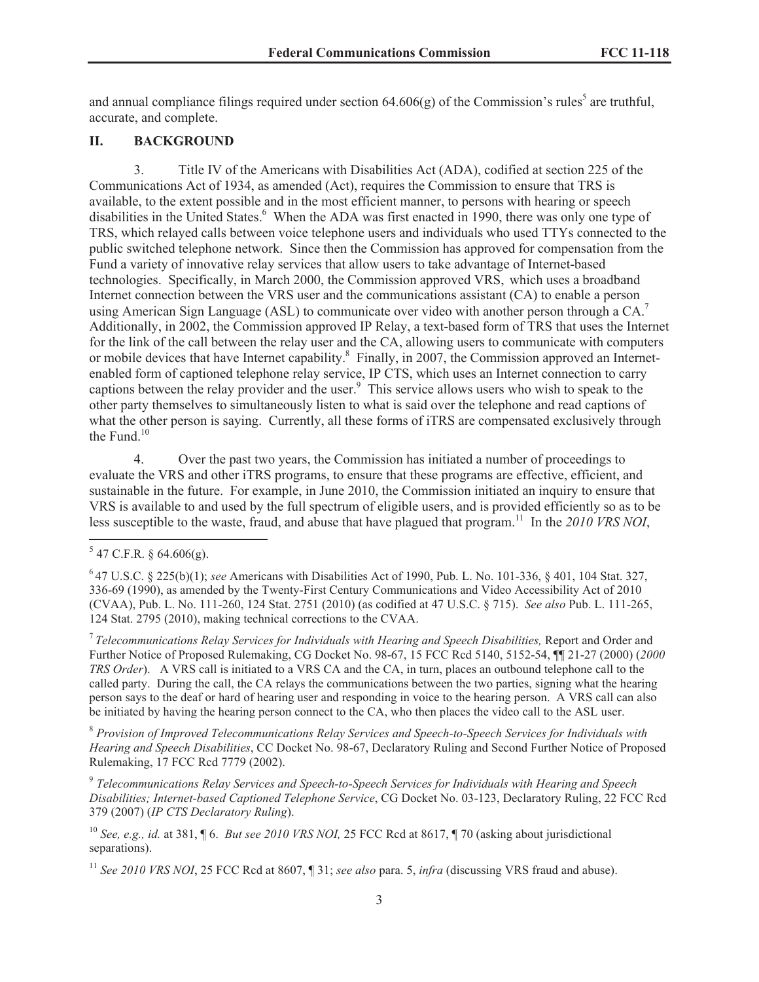and annual compliance filings required under section  $64.606(g)$  of the Commission's rules<sup>5</sup> are truthful, accurate, and complete.

#### <span id="page-2-0"></span>**II. BACKGROUND**

3. Title IV of the Americans with Disabilities Act (ADA), codified at section 225 of the Communications Act of 1934, as amended (Act), requires the Commission to ensure that TRS is available, to the extent possible and in the most efficient manner, to persons with hearing or speech disabilities in the United States.<sup>6</sup> When the ADA was first enacted in 1990, there was only one type of TRS, which relayed calls between voice telephone users and individuals who used TTYs connected to the public switched telephone network. Since then the Commission has approved for compensation from the Fund a variety of innovative relay services that allow users to take advantage of Internet-based technologies. Specifically, in March 2000, the Commission approved VRS, which uses a broadband Internet connection between the VRS user and the communications assistant (CA) to enable a person using American Sign Language (ASL) to communicate over video with another person through a  $CA$ <sup>7</sup> Additionally, in 2002, the Commission approved IP Relay, a text-based form of TRS that uses the Internet for the link of the call between the relay user and the CA, allowing users to communicate with computers or mobile devices that have Internet capability.<sup>8</sup> Finally, in 2007, the Commission approved an Internetenabled form of captioned telephone relay service, IP CTS, which uses an Internet connection to carry captions between the relay provider and the user.<sup>9</sup> This service allows users who wish to speak to the other party themselves to simultaneously listen to what is said over the telephone and read captions of what the other person is saying. Currently, all these forms of iTRS are compensated exclusively through the Fund. $10$ 

4. Over the past two years, the Commission has initiated a number of proceedings to evaluate the VRS and other iTRS programs, to ensure that these programs are effective, efficient, and sustainable in the future. For example, in June 2010, the Commission initiated an inquiry to ensure that VRS is available to and used by the full spectrum of eligible users, and is provided efficiently so as to be less susceptible to the waste, fraud, and abuse that have plagued that program.<sup>11</sup> In the *2010 VRS NOI*,

<sup>7</sup> Telecommunications Relay Services for Individuals with Hearing and Speech Disabilities, Report and Order and Further Notice of Proposed Rulemaking, CG Docket No. 98-67, 15 FCC Rcd 5140, 5152-54, ¶¶ 21-27 (2000) (*2000 TRS Order*). A VRS call is initiated to a VRS CA and the CA, in turn, places an outbound telephone call to the called party. During the call, the CA relays the communications between the two parties, signing what the hearing person says to the deaf or hard of hearing user and responding in voice to the hearing person. A VRS call can also be initiated by having the hearing person connect to the CA, who then places the video call to the ASL user.

<sup>8</sup> *Provision of Improved Telecommunications Relay Services and Speech-to-Speech Services for Individuals with Hearing and Speech Disabilities*, CC Docket No. 98-67, Declaratory Ruling and Second Further Notice of Proposed Rulemaking, 17 FCC Rcd 7779 (2002).

9 *Telecommunications Relay Services and Speech-to-Speech Services for Individuals with Hearing and Speech Disabilities; Internet-based Captioned Telephone Service*, CG Docket No. 03-123, Declaratory Ruling, 22 FCC Rcd 379 (2007) (*IP CTS Declaratory Ruling*).

<sup>10</sup> *See, e.g., id.* at 381, ¶ 6. *But see 2010 VRS NOI,* 25 FCC Rcd at 8617, ¶ 70 (asking about jurisdictional separations).

<sup>11</sup> *See 2010 VRS NOI*, 25 FCC Rcd at 8607, ¶ 31; *see also* para. 5, *infra* (discussing VRS fraud and abuse).

 $5$  47 C.F.R. § 64.606(g).

<sup>6</sup> 47 U.S.C. § 225(b)(1); *see* Americans with Disabilities Act of 1990, Pub. L. No. 101-336, § 401, 104 Stat. 327, 336-69 (1990), as amended by the Twenty-First Century Communications and Video Accessibility Act of 2010 (CVAA), Pub. L. No. 111-260, 124 Stat. 2751 (2010) (as codified at 47 U.S.C. § 715). *See also* Pub. L. 111-265, 124 Stat. 2795 (2010), making technical corrections to the CVAA.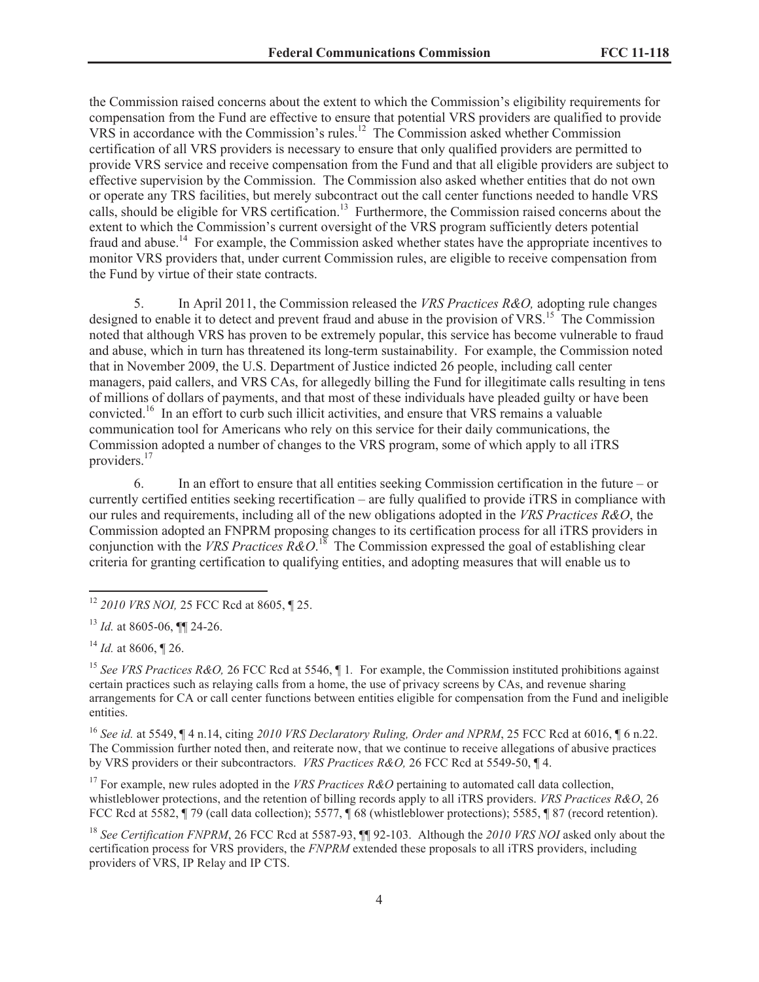the Commission raised concerns about the extent to which the Commission's eligibility requirements for compensation from the Fund are effective to ensure that potential VRS providers are qualified to provide VRS in accordance with the Commission's rules.<sup>12</sup> The Commission asked whether Commission certification of all VRS providers is necessary to ensure that only qualified providers are permitted to provide VRS service and receive compensation from the Fund and that all eligible providers are subject to effective supervision by the Commission. The Commission also asked whether entities that do not own or operate any TRS facilities, but merely subcontract out the call center functions needed to handle VRS calls, should be eligible for VRS certification.<sup>13</sup> Furthermore, the Commission raised concerns about the extent to which the Commission's current oversight of the VRS program sufficiently deters potential fraud and abuse.<sup>14</sup> For example, the Commission asked whether states have the appropriate incentives to monitor VRS providers that, under current Commission rules, are eligible to receive compensation from the Fund by virtue of their state contracts.

5. In April 2011, the Commission released the *VRS Practices R&O,* adopting rule changes designed to enable it to detect and prevent fraud and abuse in the provision of VRS.<sup>15</sup> The Commission noted that although VRS has proven to be extremely popular, this service has become vulnerable to fraud and abuse, which in turn has threatened its long-term sustainability. For example, the Commission noted that in November 2009, the U.S. Department of Justice indicted 26 people, including call center managers, paid callers, and VRS CAs, for allegedly billing the Fund for illegitimate calls resulting in tens of millions of dollars of payments, and that most of these individuals have pleaded guilty or have been convicted.<sup>16</sup> In an effort to curb such illicit activities, and ensure that VRS remains a valuable communication tool for Americans who rely on this service for their daily communications, the Commission adopted a number of changes to the VRS program, some of which apply to all iTRS providers.<sup>17</sup>

6. In an effort to ensure that all entities seeking Commission certification in the future – or currently certified entities seeking recertification – are fully qualified to provide iTRS in compliance with our rules and requirements, including all of the new obligations adopted in the *VRS Practices R&O*, the Commission adopted an FNPRM proposing changes to its certification process for all iTRS providers in conjunction with the *VRS Practices R&O*.<sup>18</sup> The Commission expressed the goal of establishing clear criteria for granting certification to qualifying entities, and adopting measures that will enable us to

<sup>16</sup> *See id.* at 5549, ¶ 4 n.14, citing *2010 VRS Declaratory Ruling, Order and NPRM*, 25 FCC Rcd at 6016, ¶ 6 n.22. The Commission further noted then, and reiterate now, that we continue to receive allegations of abusive practices by VRS providers or their subcontractors. *VRS Practices R&O,* 26 FCC Rcd at 5549-50, ¶ 4.

<sup>17</sup> For example, new rules adopted in the *VRS Practices R&O* pertaining to automated call data collection, whistleblower protections, and the retention of billing records apply to all iTRS providers. *VRS Practices R&O*, 26 FCC Rcd at 5582, ¶ 79 (call data collection); 5577, ¶ 68 (whistleblower protections); 5585, ¶ 87 (record retention).

<sup>18</sup> See Certification FNPRM, 26 FCC Rcd at 5587-93, **[1]** 92-103. Although the *2010 VRS NOI* asked only about the certification process for VRS providers, the *FNPRM* extended these proposals to all iTRS providers, including providers of VRS, IP Relay and IP CTS.

<sup>12</sup> *2010 VRS NOI,* 25 FCC Rcd at 8605, ¶ 25.

<sup>13</sup> *Id.* at 8605-06, ¶¶ 24-26.

 $^{14}$  *Id.* at 8606, ¶ 26.

<sup>&</sup>lt;sup>15</sup> See VRS Practices R&O, 26 FCC Rcd at 5546, ¶ 1. For example, the Commission instituted prohibitions against certain practices such as relaying calls from a home, the use of privacy screens by CAs, and revenue sharing arrangements for CA or call center functions between entities eligible for compensation from the Fund and ineligible entities.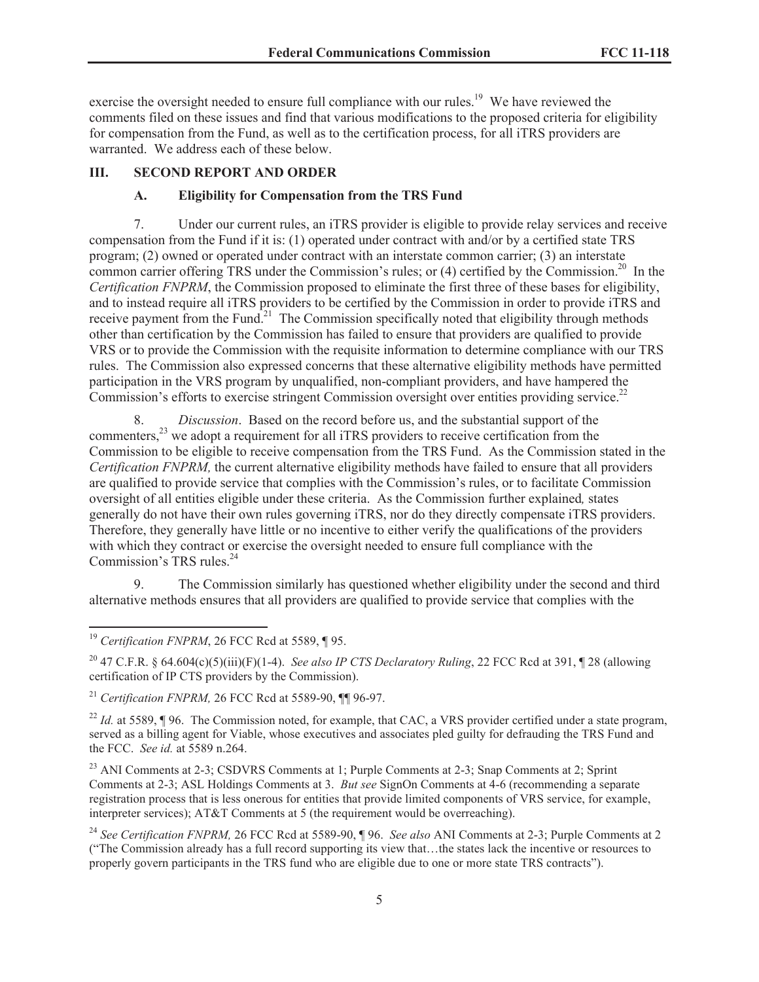exercise the oversight needed to ensure full compliance with our rules.<sup>19</sup> We have reviewed the comments filed on these issues and find that various modifications to the proposed criteria for eligibility for compensation from the Fund, as well as to the certification process, for all iTRS providers are warranted. We address each of these below.

#### **III. SECOND REPORT AND ORDER**

#### <span id="page-4-1"></span><span id="page-4-0"></span>**A. Eligibility for Compensation from the TRS Fund**

7. Under our current rules, an iTRS provider is eligible to provide relay services and receive compensation from the Fund if it is: (1) operated under contract with and/or by a certified state TRS program; (2) owned or operated under contract with an interstate common carrier; (3) an interstate common carrier offering TRS under the Commission's rules; or (4) certified by the Commission.<sup>20</sup> In the *Certification FNPRM*, the Commission proposed to eliminate the first three of these bases for eligibility, and to instead require all iTRS providers to be certified by the Commission in order to provide iTRS and receive payment from the Fund.<sup>21</sup> The Commission specifically noted that eligibility through methods other than certification by the Commission has failed to ensure that providers are qualified to provide VRS or to provide the Commission with the requisite information to determine compliance with our TRS rules. The Commission also expressed concerns that these alternative eligibility methods have permitted participation in the VRS program by unqualified, non-compliant providers, and have hampered the Commission's efforts to exercise stringent Commission oversight over entities providing service.<sup>22</sup>

8. *Discussion*. Based on the record before us, and the substantial support of the commenters,<sup>23</sup> we adopt a requirement for all iTRS providers to receive certification from the Commission to be eligible to receive compensation from the TRS Fund. As the Commission stated in the *Certification FNPRM,* the current alternative eligibility methods have failed to ensure that all providers are qualified to provide service that complies with the Commission's rules, or to facilitate Commission oversight of all entities eligible under these criteria. As the Commission further explained*,* states generally do not have their own rules governing iTRS, nor do they directly compensate iTRS providers. Therefore, they generally have little or no incentive to either verify the qualifications of the providers with which they contract or exercise the oversight needed to ensure full compliance with the Commission's TRS rules.<sup>24</sup>

9. The Commission similarly has questioned whether eligibility under the second and third alternative methods ensures that all providers are qualified to provide service that complies with the

<sup>20</sup> 47 C.F.R. § 64.604(c)(5)(iii)(F)(1-4). *See also IP CTS Declaratory Ruling*, 22 FCC Rcd at 391, ¶ 28 (allowing certification of IP CTS providers by the Commission).

<sup>21</sup> *Certification FNPRM,* 26 FCC Rcd at 5589-90, ¶¶ 96-97.

<sup>22</sup> *Id.* at 5589, ¶ 96. The Commission noted, for example, that CAC, a VRS provider certified under a state program, served as a billing agent for Viable, whose executives and associates pled guilty for defrauding the TRS Fund and the FCC. *See id.* at 5589 n.264.

<sup>23</sup> ANI Comments at 2-3; CSDVRS Comments at 1; Purple Comments at 2-3; Snap Comments at 2; Sprint Comments at 2-3; ASL Holdings Comments at 3. *But see* SignOn Comments at 4-6 (recommending a separate registration process that is less onerous for entities that provide limited components of VRS service, for example, interpreter services); AT&T Comments at 5 (the requirement would be overreaching).

<sup>&</sup>lt;sup>19</sup> Certification FNPRM, 26 FCC Rcd at 5589, ¶ 95.

<sup>24</sup> *See Certification FNPRM,* 26 FCC Rcd at 5589-90, ¶ 96. *See also* ANI Comments at 2-3; Purple Comments at 2 ("The Commission already has a full record supporting its view that…the states lack the incentive or resources to properly govern participants in the TRS fund who are eligible due to one or more state TRS contracts").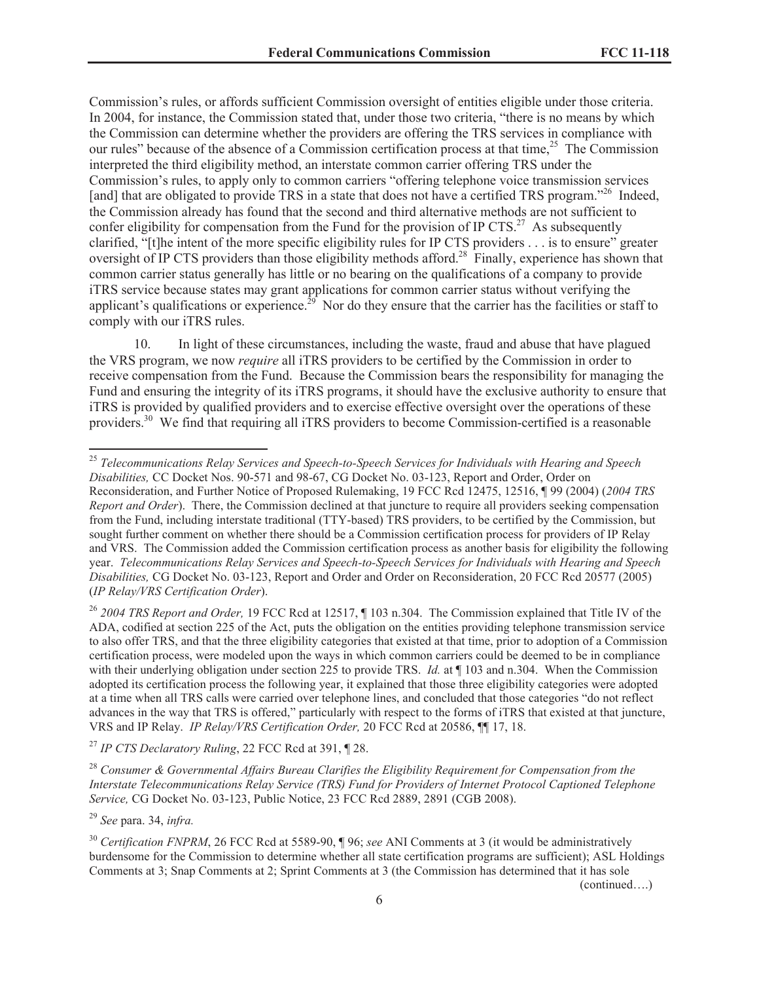Commission's rules, or affords sufficient Commission oversight of entities eligible under those criteria. In 2004, for instance, the Commission stated that, under those two criteria, "there is no means by which the Commission can determine whether the providers are offering the TRS services in compliance with our rules" because of the absence of a Commission certification process at that time, $^{25}$  The Commission interpreted the third eligibility method, an interstate common carrier offering TRS under the Commission's rules, to apply only to common carriers "offering telephone voice transmission services [and] that are obligated to provide TRS in a state that does not have a certified TRS program."<sup>26</sup> Indeed, the Commission already has found that the second and third alternative methods are not sufficient to confer eligibility for compensation from the Fund for the provision of IP CTS.<sup>27</sup> As subsequently clarified, "[t]he intent of the more specific eligibility rules for IP CTS providers . . . is to ensure" greater oversight of IP CTS providers than those eligibility methods afford.<sup>28</sup> Finally, experience has shown that common carrier status generally has little or no bearing on the qualifications of a company to provide iTRS service because states may grant applications for common carrier status without verifying the applicant's qualifications or experience.<sup>29</sup> Nor do they ensure that the carrier has the facilities or staff to comply with our iTRS rules.

10. In light of these circumstances, including the waste, fraud and abuse that have plagued the VRS program, we now *require* all iTRS providers to be certified by the Commission in order to receive compensation from the Fund. Because the Commission bears the responsibility for managing the Fund and ensuring the integrity of its iTRS programs, it should have the exclusive authority to ensure that iTRS is provided by qualified providers and to exercise effective oversight over the operations of these providers.<sup>30</sup> We find that requiring all iTRS providers to become Commission-certified is a reasonable

<sup>26</sup> *2004 TRS Report and Order,* 19 FCC Rcd at 12517, ¶ 103 n.304. The Commission explained that Title IV of the ADA, codified at section 225 of the Act, puts the obligation on the entities providing telephone transmission service to also offer TRS, and that the three eligibility categories that existed at that time, prior to adoption of a Commission certification process, were modeled upon the ways in which common carriers could be deemed to be in compliance with their underlying obligation under section 225 to provide TRS. *Id.* at ¶ 103 and n.304. When the Commission adopted its certification process the following year, it explained that those three eligibility categories were adopted at a time when all TRS calls were carried over telephone lines, and concluded that those categories "do not reflect advances in the way that TRS is offered," particularly with respect to the forms of iTRS that existed at that juncture, VRS and IP Relay. *IP Relay/VRS Certification Order,* 20 FCC Rcd at 20586, ¶¶ 17, 18.

<sup>27</sup> *IP CTS Declaratory Ruling*, 22 FCC Rcd at 391, ¶ 28.

<sup>28</sup> *Consumer & Governmental Affairs Bureau Clarifies the Eligibility Requirement for Compensation from the Interstate Telecommunications Relay Service (TRS) Fund for Providers of Internet Protocol Captioned Telephone Service,* CG Docket No. 03-123, Public Notice, 23 FCC Rcd 2889, 2891 (CGB 2008).

<sup>29</sup> *See* para. 34, *infra.*

<sup>30</sup> *Certification FNPRM*, 26 FCC Rcd at 5589-90, ¶ 96; *see* ANI Comments at 3 (it would be administratively burdensome for the Commission to determine whether all state certification programs are sufficient); ASL Holdings Comments at 3; Snap Comments at 2; Sprint Comments at 3 (the Commission has determined that it has sole

(continued….)

<sup>25</sup> *Telecommunications Relay Services and Speech-to-Speech Services for Individuals with Hearing and Speech Disabilities,* CC Docket Nos. 90-571 and 98-67, CG Docket No. 03-123, Report and Order, Order on Reconsideration, and Further Notice of Proposed Rulemaking, 19 FCC Rcd 12475, 12516, ¶ 99 (2004) (*2004 TRS Report and Order*). There, the Commission declined at that juncture to require all providers seeking compensation from the Fund, including interstate traditional (TTY-based) TRS providers, to be certified by the Commission, but sought further comment on whether there should be a Commission certification process for providers of IP Relay and VRS. The Commission added the Commission certification process as another basis for eligibility the following year. *Telecommunications Relay Services and Speech-to-Speech Services for Individuals with Hearing and Speech Disabilities,* CG Docket No. 03-123, Report and Order and Order on Reconsideration, 20 FCC Rcd 20577 (2005) (*IP Relay/VRS Certification Order*).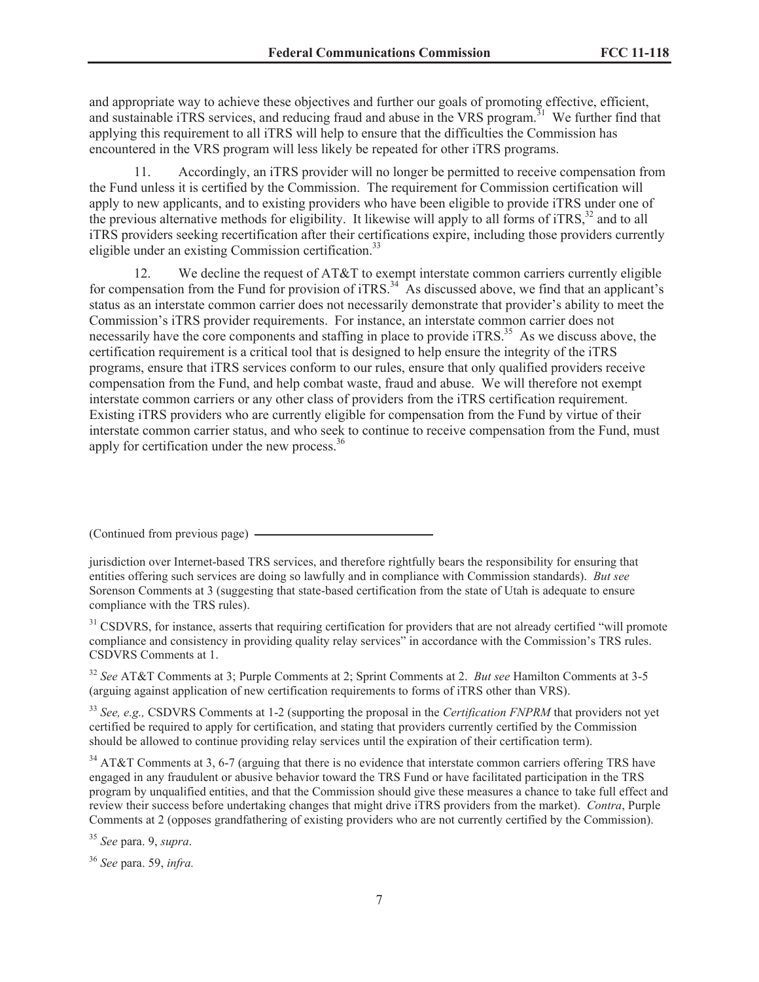and appropriate way to achieve these objectives and further our goals of promoting effective, efficient, and sustainable iTRS services, and reducing fraud and abuse in the VRS program.<sup>31</sup> We further find that applying this requirement to all iTRS will help to ensure that the difficulties the Commission has encountered in the VRS program will less likely be repeated for other iTRS programs.

11. Accordingly, an iTRS provider will no longer be permitted to receive compensation from the Fund unless it is certified by the Commission. The requirement for Commission certification will apply to new applicants, and to existing providers who have been eligible to provide iTRS under one of the previous alternative methods for eligibility. It likewise will apply to all forms of iTRS.<sup>32</sup> and to all iTRS providers seeking recertification after their certifications expire, including those providers currently eligible under an existing Commission certification.<sup>33</sup>

12. We decline the request of AT&T to exempt interstate common carriers currently eligible for compensation from the Fund for provision of iTRS.<sup>34</sup> As discussed above, we find that an applicant's status as an interstate common carrier does not necessarily demonstrate that provider's ability to meet the Commission's iTRS provider requirements. For instance, an interstate common carrier does not necessarily have the core components and staffing in place to provide iTRS.<sup>35</sup> As we discuss above, the certification requirement is a critical tool that is designed to help ensure the integrity of the iTRS programs, ensure that iTRS services conform to our rules, ensure that only qualified providers receive compensation from the Fund, and help combat waste, fraud and abuse. We will therefore not exempt interstate common carriers or any other class of providers from the iTRS certification requirement. Existing iTRS providers who are currently eligible for compensation from the Fund by virtue of their interstate common carrier status, and who seek to continue to receive compensation from the Fund, must apply for certification under the new process.<sup>36</sup>

<sup>31</sup> CSDVRS, for instance, asserts that requiring certification for providers that are not already certified "will promote compliance and consistency in providing quality relay services" in accordance with the Commission's TRS rules. CSDVRS Comments at 1.

<sup>32</sup> *See* AT&T Comments at 3; Purple Comments at 2; Sprint Comments at 2. *But see* Hamilton Comments at 3-5 (arguing against application of new certification requirements to forms of iTRS other than VRS).

<sup>33</sup> *See, e.g.,* CSDVRS Comments at 1-2 (supporting the proposal in the *Certification FNPRM* that providers not yet certified be required to apply for certification, and stating that providers currently certified by the Commission should be allowed to continue providing relay services until the expiration of their certification term).

 $34$  AT&T Comments at 3, 6-7 (arguing that there is no evidence that interstate common carriers offering TRS have engaged in any fraudulent or abusive behavior toward the TRS Fund or have facilitated participation in the TRS program by unqualified entities, and that the Commission should give these measures a chance to take full effect and review their success before undertaking changes that might drive iTRS providers from the market). *Contra*, Purple Comments at 2 (opposes grandfathering of existing providers who are not currently certified by the Commission).

<sup>35</sup> *See* para. 9, *supra*.

<sup>36</sup> *See* para. 59, *infra.*

<sup>(</sup>Continued from previous page)

jurisdiction over Internet-based TRS services, and therefore rightfully bears the responsibility for ensuring that entities offering such services are doing so lawfully and in compliance with Commission standards). *But see*  Sorenson Comments at 3 (suggesting that state-based certification from the state of Utah is adequate to ensure compliance with the TRS rules).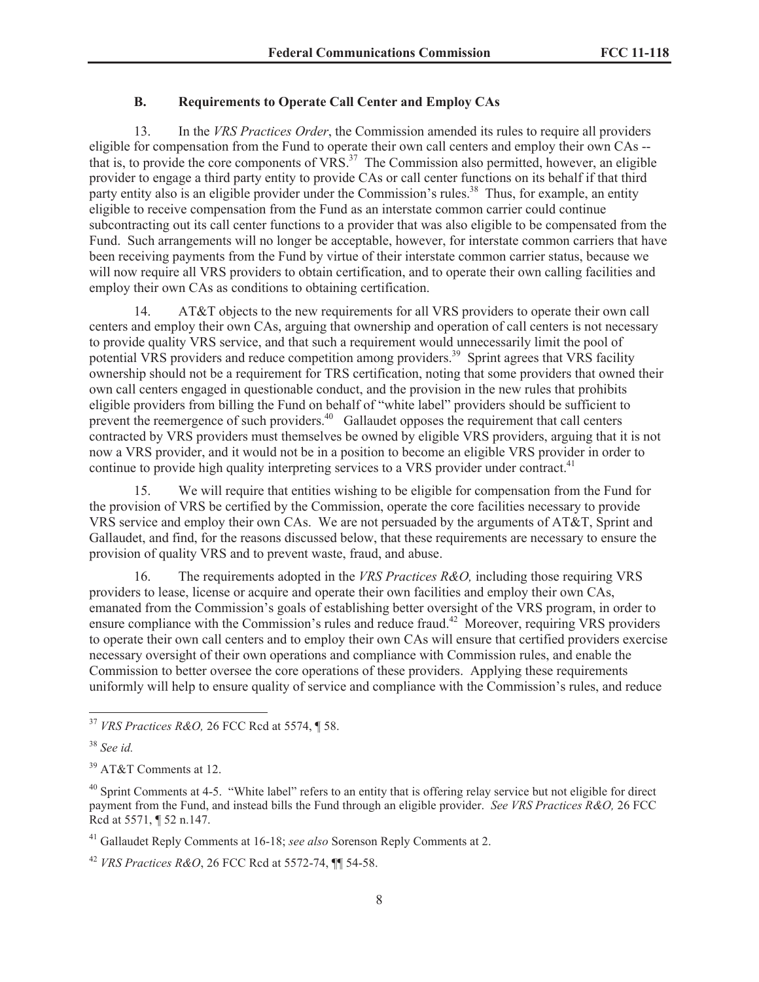## <span id="page-7-0"></span>**B. Requirements to Operate Call Center and Employ CAs**

13. In the *VRS Practices Order*, the Commission amended its rules to require all providers eligible for compensation from the Fund to operate their own call centers and employ their own CAs - that is, to provide the core components of VRS.<sup>37</sup> The Commission also permitted, however, an eligible provider to engage a third party entity to provide CAs or call center functions on its behalf if that third party entity also is an eligible provider under the Commission's rules.<sup>38</sup> Thus, for example, an entity eligible to receive compensation from the Fund as an interstate common carrier could continue subcontracting out its call center functions to a provider that was also eligible to be compensated from the Fund. Such arrangements will no longer be acceptable, however, for interstate common carriers that have been receiving payments from the Fund by virtue of their interstate common carrier status, because we will now require all VRS providers to obtain certification, and to operate their own calling facilities and employ their own CAs as conditions to obtaining certification.

14. AT&T objects to the new requirements for all VRS providers to operate their own call centers and employ their own CAs, arguing that ownership and operation of call centers is not necessary to provide quality VRS service, and that such a requirement would unnecessarily limit the pool of potential VRS providers and reduce competition among providers.<sup>39</sup> Sprint agrees that VRS facility ownership should not be a requirement for TRS certification, noting that some providers that owned their own call centers engaged in questionable conduct, and the provision in the new rules that prohibits eligible providers from billing the Fund on behalf of "white label" providers should be sufficient to prevent the reemergence of such providers.<sup>40</sup> Gallaudet opposes the requirement that call centers contracted by VRS providers must themselves be owned by eligible VRS providers, arguing that it is not now a VRS provider, and it would not be in a position to become an eligible VRS provider in order to continue to provide high quality interpreting services to a VRS provider under contract.<sup>41</sup>

We will require that entities wishing to be eligible for compensation from the Fund for the provision of VRS be certified by the Commission, operate the core facilities necessary to provide VRS service and employ their own CAs. We are not persuaded by the arguments of AT&T, Sprint and Gallaudet, and find, for the reasons discussed below, that these requirements are necessary to ensure the provision of quality VRS and to prevent waste, fraud, and abuse.

16. The requirements adopted in the *VRS Practices R&O,* including those requiring VRS providers to lease, license or acquire and operate their own facilities and employ their own CAs, emanated from the Commission's goals of establishing better oversight of the VRS program, in order to ensure compliance with the Commission's rules and reduce fraud.<sup>42</sup> Moreover, requiring VRS providers to operate their own call centers and to employ their own CAs will ensure that certified providers exercise necessary oversight of their own operations and compliance with Commission rules, and enable the Commission to better oversee the core operations of these providers. Applying these requirements uniformly will help to ensure quality of service and compliance with the Commission's rules, and reduce

<sup>37</sup> *VRS Practices R&O,* 26 FCC Rcd at 5574, ¶ 58.

<sup>38</sup> *See id.*

<sup>&</sup>lt;sup>39</sup> AT&T Comments at 12.

 $40$  Sprint Comments at 4-5. "White label" refers to an entity that is offering relay service but not eligible for direct payment from the Fund, and instead bills the Fund through an eligible provider. *See VRS Practices R&O,* 26 FCC Rcd at 5571, ¶ 52 n.147.

<sup>41</sup> Gallaudet Reply Comments at 16-18; *see also* Sorenson Reply Comments at 2.

<sup>42</sup> *VRS Practices R&O*, 26 FCC Rcd at 5572-74, ¶¶ 54-58.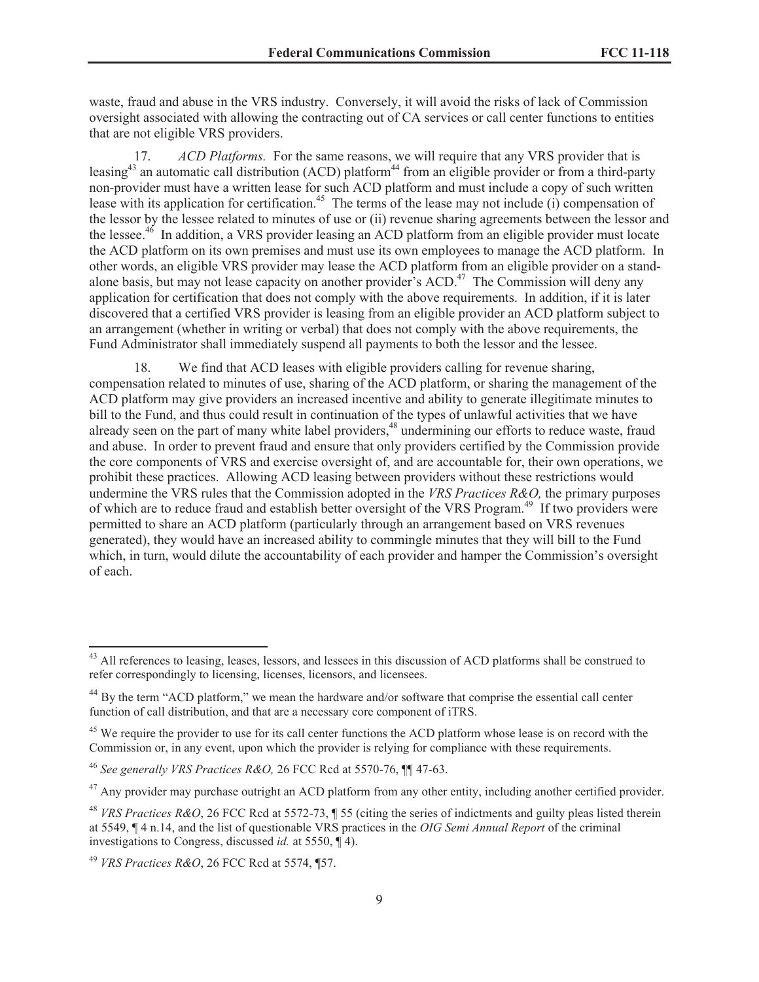waste, fraud and abuse in the VRS industry. Conversely, it will avoid the risks of lack of Commission oversight associated with allowing the contracting out of CA services or call center functions to entities that are not eligible VRS providers.

17. *ACD Platforms.* For the same reasons, we will require that any VRS provider that is leasing<sup>43</sup> an automatic call distribution (ACD) platform<sup>44</sup> from an eligible provider or from a third-party non-provider must have a written lease for such ACD platform and must include a copy of such written lease with its application for certification.<sup>45</sup> The terms of the lease may not include (i) compensation of the lessor by the lessee related to minutes of use or (ii) revenue sharing agreements between the lessor and the lessee.<sup>46</sup> In addition, a VRS provider leasing an ACD platform from an eligible provider must locate the ACD platform on its own premises and must use its own employees to manage the ACD platform. In other words, an eligible VRS provider may lease the ACD platform from an eligible provider on a standalone basis, but may not lease capacity on another provider's ACD.<sup>47</sup> The Commission will deny any application for certification that does not comply with the above requirements. In addition, if it is later discovered that a certified VRS provider is leasing from an eligible provider an ACD platform subject to an arrangement (whether in writing or verbal) that does not comply with the above requirements, the Fund Administrator shall immediately suspend all payments to both the lessor and the lessee.

18. We find that ACD leases with eligible providers calling for revenue sharing, compensation related to minutes of use, sharing of the ACD platform, or sharing the management of the ACD platform may give providers an increased incentive and ability to generate illegitimate minutes to bill to the Fund, and thus could result in continuation of the types of unlawful activities that we have already seen on the part of many white label providers,<sup>48</sup> undermining our efforts to reduce waste, fraud and abuse. In order to prevent fraud and ensure that only providers certified by the Commission provide the core components of VRS and exercise oversight of, and are accountable for, their own operations, we prohibit these practices. Allowing ACD leasing between providers without these restrictions would undermine the VRS rules that the Commission adopted in the *VRS Practices R&O,* the primary purposes of which are to reduce fraud and establish better oversight of the VRS Program.<sup>49</sup> If two providers were permitted to share an ACD platform (particularly through an arrangement based on VRS revenues generated), they would have an increased ability to commingle minutes that they will bill to the Fund which, in turn, would dilute the accountability of each provider and hamper the Commission's oversight of each.

<sup>&</sup>lt;sup>43</sup> All references to leasing, leases, lessors, and lessees in this discussion of ACD platforms shall be construed to refer correspondingly to licensing, licenses, licensors, and licensees.

<sup>44</sup> By the term "ACD platform," we mean the hardware and/or software that comprise the essential call center function of call distribution, and that are a necessary core component of iTRS.

<sup>&</sup>lt;sup>45</sup> We require the provider to use for its call center functions the ACD platform whose lease is on record with the Commission or, in any event, upon which the provider is relying for compliance with these requirements.

<sup>46</sup> *See generally VRS Practices R&O,* 26 FCC Rcd at 5570-76, ¶¶ 47-63.

<sup>&</sup>lt;sup>47</sup> Any provider may purchase outright an ACD platform from any other entity, including another certified provider.

<sup>48</sup> *VRS Practices R&O*, 26 FCC Rcd at 5572-73, ¶ 55 (citing the series of indictments and guilty pleas listed therein at 5549, ¶ 4 n.14, and the list of questionable VRS practices in the *OIG Semi Annual Report* of the criminal investigations to Congress, discussed *id.* at 5550, ¶ 4).

<sup>49</sup> *VRS Practices R&O*, 26 FCC Rcd at 5574, ¶57.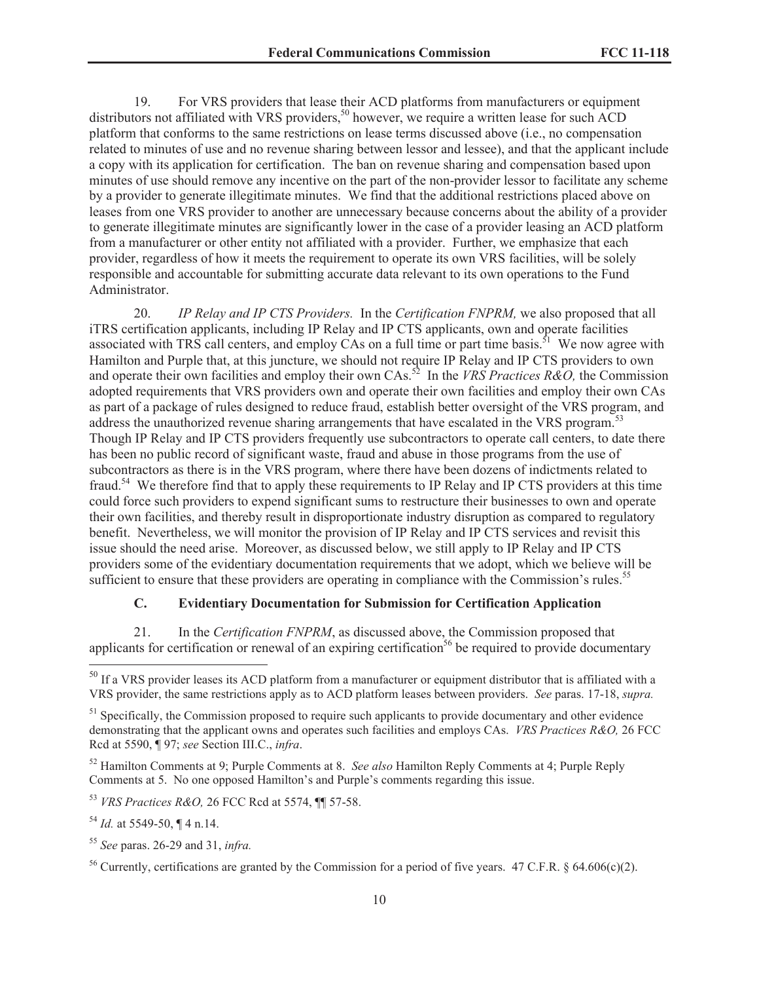19. For VRS providers that lease their ACD platforms from manufacturers or equipment distributors not affiliated with VRS providers,<sup>50</sup> however, we require a written lease for such ACD platform that conforms to the same restrictions on lease terms discussed above (i.e., no compensation related to minutes of use and no revenue sharing between lessor and lessee), and that the applicant include a copy with its application for certification. The ban on revenue sharing and compensation based upon minutes of use should remove any incentive on the part of the non-provider lessor to facilitate any scheme by a provider to generate illegitimate minutes. We find that the additional restrictions placed above on leases from one VRS provider to another are unnecessary because concerns about the ability of a provider to generate illegitimate minutes are significantly lower in the case of a provider leasing an ACD platform from a manufacturer or other entity not affiliated with a provider. Further, we emphasize that each provider, regardless of how it meets the requirement to operate its own VRS facilities, will be solely responsible and accountable for submitting accurate data relevant to its own operations to the Fund Administrator.

20. *IP Relay and IP CTS Providers.* In the *Certification FNPRM,* we also proposed that all iTRS certification applicants, including IP Relay and IP CTS applicants, own and operate facilities associated with TRS call centers, and employ CAs on a full time or part time basis.<sup>51</sup> We now agree with Hamilton and Purple that, at this juncture, we should not require IP Relay and IP CTS providers to own and operate their own facilities and employ their own CAs.<sup>52</sup> In the *VRS Practices R&O,* the Commission adopted requirements that VRS providers own and operate their own facilities and employ their own CAs as part of a package of rules designed to reduce fraud, establish better oversight of the VRS program, and address the unauthorized revenue sharing arrangements that have escalated in the VRS program.<sup>53</sup> Though IP Relay and IP CTS providers frequently use subcontractors to operate call centers, to date there has been no public record of significant waste, fraud and abuse in those programs from the use of subcontractors as there is in the VRS program, where there have been dozens of indictments related to fraud.<sup>54</sup> We therefore find that to apply these requirements to IP Relay and IP CTS providers at this time could force such providers to expend significant sums to restructure their businesses to own and operate their own facilities, and thereby result in disproportionate industry disruption as compared to regulatory benefit. Nevertheless, we will monitor the provision of IP Relay and IP CTS services and revisit this issue should the need arise. Moreover, as discussed below, we still apply to IP Relay and IP CTS providers some of the evidentiary documentation requirements that we adopt, which we believe will be sufficient to ensure that these providers are operating in compliance with the Commission's rules.<sup>55</sup>

#### <span id="page-9-0"></span>**C. Evidentiary Documentation for Submission for Certification Application**

21. In the *Certification FNPRM*, as discussed above, the Commission proposed that applicants for certification or renewal of an expiring certification<sup>56</sup> be required to provide documentary

<sup>&</sup>lt;sup>50</sup> If a VRS provider leases its ACD platform from a manufacturer or equipment distributor that is affiliated with a VRS provider, the same restrictions apply as to ACD platform leases between providers. *See* paras. 17-18, *supra.*

<sup>&</sup>lt;sup>51</sup> Specifically, the Commission proposed to require such applicants to provide documentary and other evidence demonstrating that the applicant owns and operates such facilities and employs CAs. *VRS Practices R&O,* 26 FCC Rcd at 5590, ¶ 97; *see* Section III.C., *infra*.

<sup>52</sup> Hamilton Comments at 9; Purple Comments at 8. *See also* Hamilton Reply Comments at 4; Purple Reply Comments at 5. No one opposed Hamilton's and Purple's comments regarding this issue.

<sup>53</sup> *VRS Practices R&O,* 26 FCC Rcd at 5574, ¶¶ 57-58.

<sup>54</sup> *Id.* at 5549-50, ¶ 4 n.14.

<sup>55</sup> *See* paras. 26-29 and 31, *infra.*

<sup>&</sup>lt;sup>56</sup> Currently, certifications are granted by the Commission for a period of five years. 47 C.F.R. § 64.606(c)(2).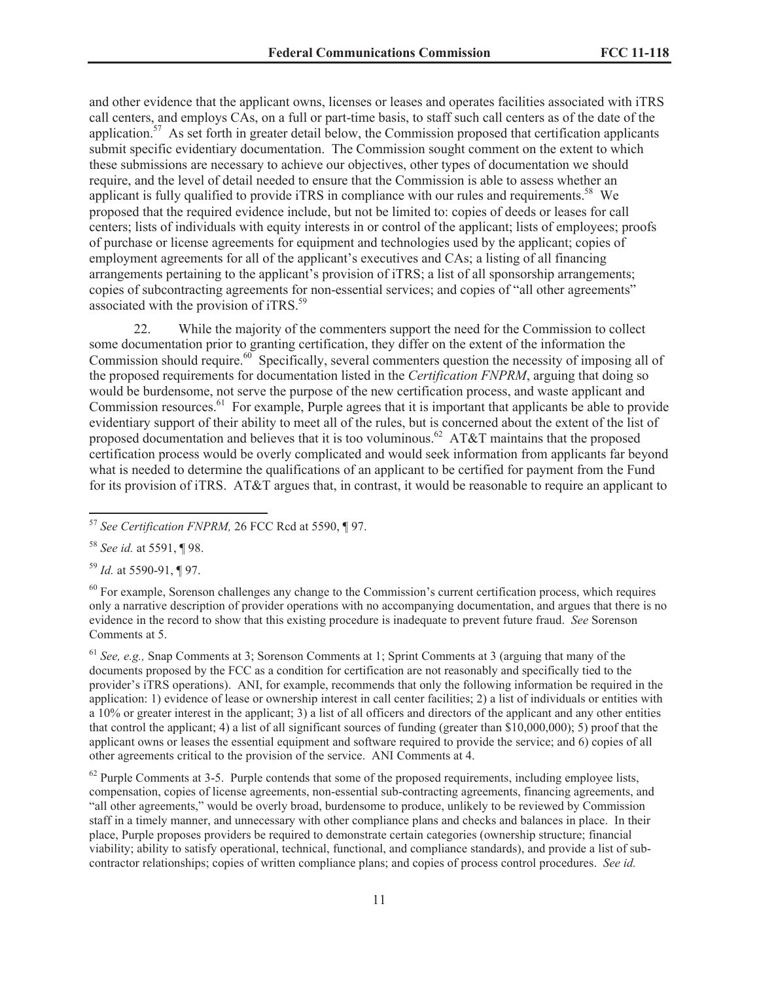and other evidence that the applicant owns, licenses or leases and operates facilities associated with iTRS call centers, and employs CAs, on a full or part-time basis, to staff such call centers as of the date of the application.<sup>57</sup> As set forth in greater detail below, the Commission proposed that certification applicants submit specific evidentiary documentation. The Commission sought comment on the extent to which these submissions are necessary to achieve our objectives, other types of documentation we should require, and the level of detail needed to ensure that the Commission is able to assess whether an applicant is fully qualified to provide iTRS in compliance with our rules and requirements.<sup>58</sup> We proposed that the required evidence include, but not be limited to: copies of deeds or leases for call centers; lists of individuals with equity interests in or control of the applicant; lists of employees; proofs of purchase or license agreements for equipment and technologies used by the applicant; copies of employment agreements for all of the applicant's executives and CAs; a listing of all financing arrangements pertaining to the applicant's provision of iTRS; a list of all sponsorship arrangements; copies of subcontracting agreements for non-essential services; and copies of "all other agreements" associated with the provision of iTRS.<sup>59</sup>

22. While the majority of the commenters support the need for the Commission to collect some documentation prior to granting certification, they differ on the extent of the information the Commission should require.<sup>60</sup> Specifically, several commenters question the necessity of imposing all of the proposed requirements for documentation listed in the *Certification FNPRM*, arguing that doing so would be burdensome, not serve the purpose of the new certification process, and waste applicant and Commission resources.<sup>61</sup> For example, Purple agrees that it is important that applicants be able to provide evidentiary support of their ability to meet all of the rules, but is concerned about the extent of the list of proposed documentation and believes that it is too voluminous.<sup>62</sup> AT&T maintains that the proposed certification process would be overly complicated and would seek information from applicants far beyond what is needed to determine the qualifications of an applicant to be certified for payment from the Fund for its provision of iTRS. AT&T argues that, in contrast, it would be reasonable to require an applicant to

<sup>59</sup> *Id.* at 5590-91, ¶ 97.

 $60$  For example, Sorenson challenges any change to the Commission's current certification process, which requires only a narrative description of provider operations with no accompanying documentation, and argues that there is no evidence in the record to show that this existing procedure is inadequate to prevent future fraud. *See* Sorenson Comments at 5.

<sup>61</sup> *See, e.g.,* Snap Comments at 3; Sorenson Comments at 1; Sprint Comments at 3 (arguing that many of the documents proposed by the FCC as a condition for certification are not reasonably and specifically tied to the provider's iTRS operations). ANI, for example, recommends that only the following information be required in the application: 1) evidence of lease or ownership interest in call center facilities; 2) a list of individuals or entities with a 10% or greater interest in the applicant; 3) a list of all officers and directors of the applicant and any other entities that control the applicant; 4) a list of all significant sources of funding (greater than \$10,000,000); 5) proof that the applicant owns or leases the essential equipment and software required to provide the service; and 6) copies of all other agreements critical to the provision of the service. ANI Comments at 4.

 $62$  Purple Comments at 3-5. Purple contends that some of the proposed requirements, including employee lists, compensation, copies of license agreements, non-essential sub-contracting agreements, financing agreements, and "all other agreements," would be overly broad, burdensome to produce, unlikely to be reviewed by Commission staff in a timely manner, and unnecessary with other compliance plans and checks and balances in place. In their place, Purple proposes providers be required to demonstrate certain categories (ownership structure; financial viability; ability to satisfy operational, technical, functional, and compliance standards), and provide a list of subcontractor relationships; copies of written compliance plans; and copies of process control procedures. *See id.* 

<sup>57</sup> *See Certification FNPRM,* 26 FCC Rcd at 5590, ¶ 97.

<sup>58</sup> *See id.* at 5591, ¶ 98.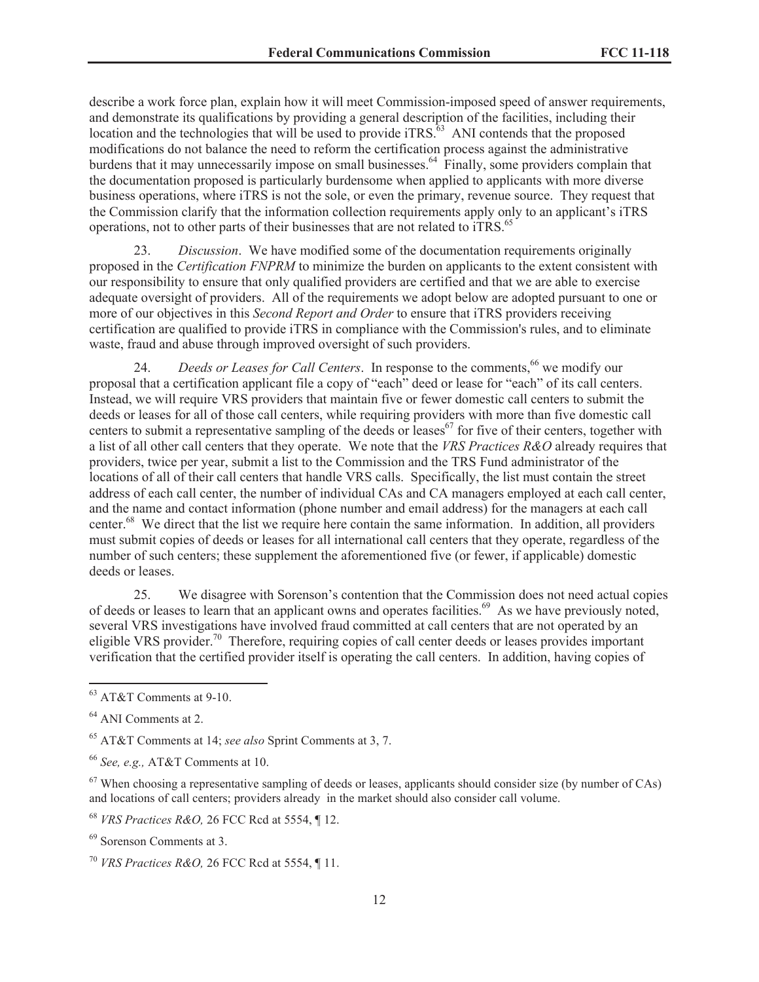describe a work force plan, explain how it will meet Commission-imposed speed of answer requirements, and demonstrate its qualifications by providing a general description of the facilities, including their location and the technologies that will be used to provide iTRS. $^{63}$  ANI contends that the proposed modifications do not balance the need to reform the certification process against the administrative burdens that it may unnecessarily impose on small businesses.<sup>64</sup> Finally, some providers complain that the documentation proposed is particularly burdensome when applied to applicants with more diverse business operations, where iTRS is not the sole, or even the primary, revenue source. They request that the Commission clarify that the information collection requirements apply only to an applicant's iTRS operations, not to other parts of their businesses that are not related to  $TRS$ .<sup>65</sup>

23. *Discussion*. We have modified some of the documentation requirements originally proposed in the *Certification FNPRM* to minimize the burden on applicants to the extent consistent with our responsibility to ensure that only qualified providers are certified and that we are able to exercise adequate oversight of providers. All of the requirements we adopt below are adopted pursuant to one or more of our objectives in this *Second Report and Order* to ensure that iTRS providers receiving certification are qualified to provide iTRS in compliance with the Commission's rules, and to eliminate waste, fraud and abuse through improved oversight of such providers.

24. *Deeds or Leases for Call Centers*. In response to the comments,<sup>66</sup> we modify our proposal that a certification applicant file a copy of "each" deed or lease for "each" of its call centers. Instead, we will require VRS providers that maintain five or fewer domestic call centers to submit the deeds or leases for all of those call centers, while requiring providers with more than five domestic call centers to submit a representative sampling of the deeds or leases<sup>67</sup> for five of their centers, together with a list of all other call centers that they operate. We note that the *VRS Practices R&O* already requires that providers, twice per year, submit a list to the Commission and the TRS Fund administrator of the locations of all of their call centers that handle VRS calls. Specifically, the list must contain the street address of each call center, the number of individual CAs and CA managers employed at each call center, and the name and contact information (phone number and email address) for the managers at each call center.<sup>68</sup> We direct that the list we require here contain the same information. In addition, all providers must submit copies of deeds or leases for all international call centers that they operate, regardless of the number of such centers; these supplement the aforementioned five (or fewer, if applicable) domestic deeds or leases.

25. We disagree with Sorenson's contention that the Commission does not need actual copies of deeds or leases to learn that an applicant owns and operates facilities.<sup>69</sup> As we have previously noted, several VRS investigations have involved fraud committed at call centers that are not operated by an eligible VRS provider.<sup>70</sup> Therefore, requiring copies of call center deeds or leases provides important verification that the certified provider itself is operating the call centers. In addition, having copies of

<sup>66</sup> *See, e.g.,* AT&T Comments at 10.

 $67$  When choosing a representative sampling of deeds or leases, applicants should consider size (by number of CAs) and locations of call centers; providers already in the market should also consider call volume.

<sup>63</sup> AT&T Comments at 9-10.

<sup>64</sup> ANI Comments at 2.

<sup>65</sup> AT&T Comments at 14; *see also* Sprint Comments at 3, 7.

<sup>68</sup> *VRS Practices R&O,* 26 FCC Rcd at 5554, ¶ 12.

<sup>69</sup> Sorenson Comments at 3.

<sup>70</sup> *VRS Practices R&O,* 26 FCC Rcd at 5554, ¶ 11.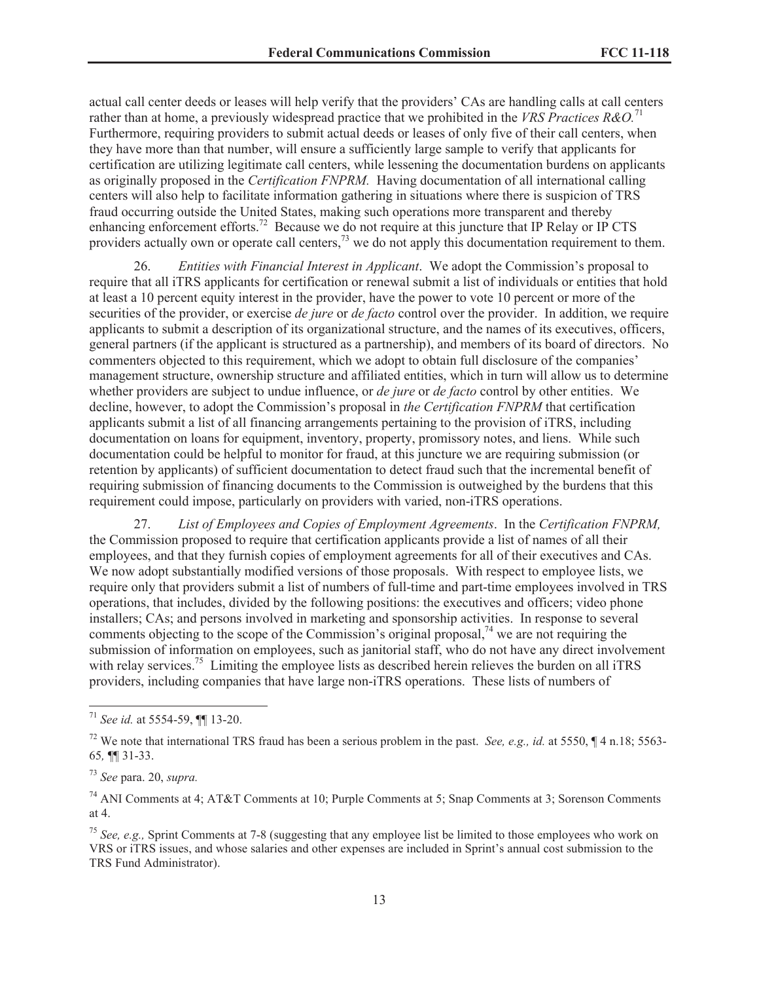actual call center deeds or leases will help verify that the providers' CAs are handling calls at call centers rather than at home, a previously widespread practice that we prohibited in the *VRS Practices R&O*.<sup>71</sup> Furthermore, requiring providers to submit actual deeds or leases of only five of their call centers, when they have more than that number, will ensure a sufficiently large sample to verify that applicants for certification are utilizing legitimate call centers, while lessening the documentation burdens on applicants as originally proposed in the *Certification FNPRM.* Having documentation of all international calling centers will also help to facilitate information gathering in situations where there is suspicion of TRS fraud occurring outside the United States, making such operations more transparent and thereby enhancing enforcement efforts.<sup>72</sup> Because we do not require at this juncture that IP Relay or IP CTS providers actually own or operate call centers,<sup>73</sup> we do not apply this documentation requirement to them.

26. *Entities with Financial Interest in Applicant*. We adopt the Commission's proposal to require that all iTRS applicants for certification or renewal submit a list of individuals or entities that hold at least a 10 percent equity interest in the provider, have the power to vote 10 percent or more of the securities of the provider, or exercise *de jure* or *de facto* control over the provider. In addition, we require applicants to submit a description of its organizational structure, and the names of its executives, officers, general partners (if the applicant is structured as a partnership), and members of its board of directors. No commenters objected to this requirement, which we adopt to obtain full disclosure of the companies' management structure, ownership structure and affiliated entities, which in turn will allow us to determine whether providers are subject to undue influence, or *de jure* or *de facto* control by other entities. We decline, however, to adopt the Commission's proposal in *the Certification FNPRM* that certification applicants submit a list of all financing arrangements pertaining to the provision of iTRS, including documentation on loans for equipment, inventory, property, promissory notes, and liens. While such documentation could be helpful to monitor for fraud, at this juncture we are requiring submission (or retention by applicants) of sufficient documentation to detect fraud such that the incremental benefit of requiring submission of financing documents to the Commission is outweighed by the burdens that this requirement could impose, particularly on providers with varied, non-iTRS operations.

27. *List of Employees and Copies of Employment Agreements*. In the *Certification FNPRM,*  the Commission proposed to require that certification applicants provide a list of names of all their employees, and that they furnish copies of employment agreements for all of their executives and CAs. We now adopt substantially modified versions of those proposals. With respect to employee lists, we require only that providers submit a list of numbers of full-time and part-time employees involved in TRS operations, that includes, divided by the following positions: the executives and officers; video phone installers; CAs; and persons involved in marketing and sponsorship activities. In response to several comments objecting to the scope of the Commission's original proposal,<sup>74</sup> we are not requiring the submission of information on employees, such as janitorial staff, who do not have any direct involvement with relay services.<sup>75</sup> Limiting the employee lists as described herein relieves the burden on all iTRS providers, including companies that have large non-iTRS operations. These lists of numbers of

<sup>71</sup> *See id.* at 5554-59, ¶¶ 13-20.

<sup>72</sup> We note that international TRS fraud has been a serious problem in the past. *See, e.g., id.* at 5550, ¶ 4 n.18; 5563- 65*,* ¶¶ 31-33.

<sup>73</sup> *See* para. 20, *supra.*

<sup>74</sup> ANI Comments at 4; AT&T Comments at 10; Purple Comments at 5; Snap Comments at 3; Sorenson Comments at 4.

<sup>75</sup> *See, e.g.,* Sprint Comments at 7-8 (suggesting that any employee list be limited to those employees who work on VRS or iTRS issues, and whose salaries and other expenses are included in Sprint's annual cost submission to the TRS Fund Administrator).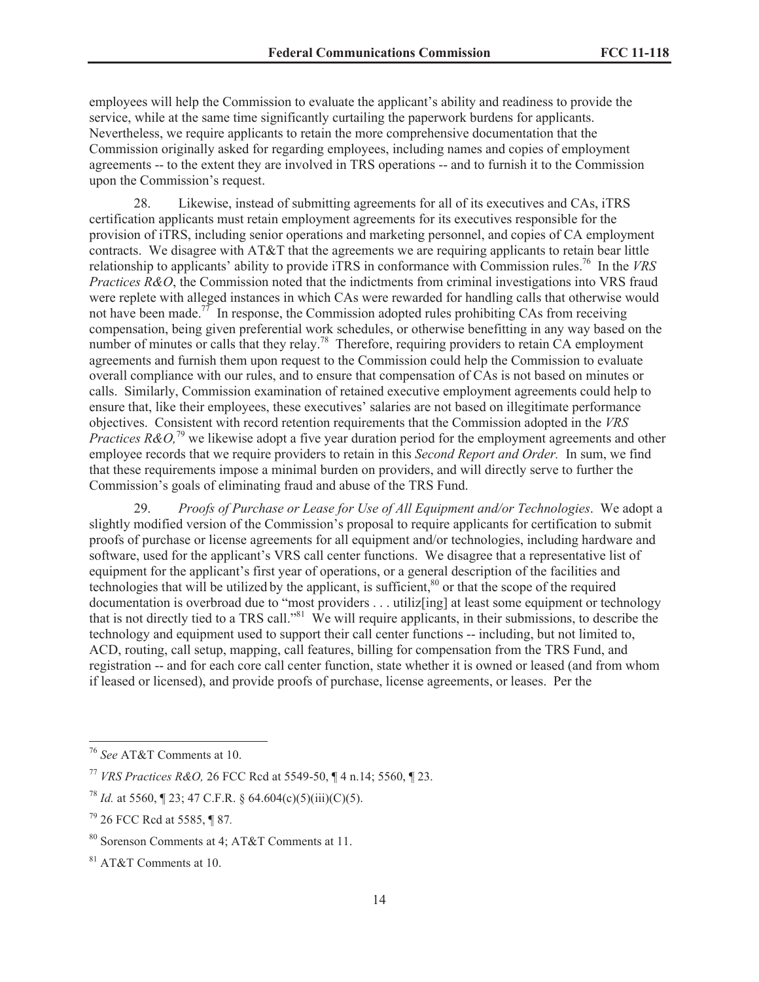employees will help the Commission to evaluate the applicant's ability and readiness to provide the service, while at the same time significantly curtailing the paperwork burdens for applicants. Nevertheless, we require applicants to retain the more comprehensive documentation that the Commission originally asked for regarding employees, including names and copies of employment agreements -- to the extent they are involved in TRS operations -- and to furnish it to the Commission upon the Commission's request.

28. Likewise, instead of submitting agreements for all of its executives and CAs, iTRS certification applicants must retain employment agreements for its executives responsible for the provision of iTRS, including senior operations and marketing personnel, and copies of CA employment contracts. We disagree with AT&T that the agreements we are requiring applicants to retain bear little relationship to applicants' ability to provide iTRS in conformance with Commission rules.<sup>76</sup> In the *VRS Practices R&O*, the Commission noted that the indictments from criminal investigations into VRS fraud were replete with alleged instances in which CAs were rewarded for handling calls that otherwise would not have been made.<sup>77</sup> In response, the Commission adopted rules prohibiting CAs from receiving compensation, being given preferential work schedules, or otherwise benefitting in any way based on the number of minutes or calls that they relay.<sup>78</sup> Therefore, requiring providers to retain CA employment agreements and furnish them upon request to the Commission could help the Commission to evaluate overall compliance with our rules, and to ensure that compensation of CAs is not based on minutes or calls. Similarly, Commission examination of retained executive employment agreements could help to ensure that, like their employees, these executives' salaries are not based on illegitimate performance objectives. Consistent with record retention requirements that the Commission adopted in the *VRS Practices R&O*,<sup>79</sup> we likewise adopt a five year duration period for the employment agreements and other employee records that we require providers to retain in this *Second Report and Order.* In sum, we find that these requirements impose a minimal burden on providers, and will directly serve to further the Commission's goals of eliminating fraud and abuse of the TRS Fund.

29. *Proofs of Purchase or Lease for Use of All Equipment and/or Technologies*. We adopt a slightly modified version of the Commission's proposal to require applicants for certification to submit proofs of purchase or license agreements for all equipment and/or technologies, including hardware and software, used for the applicant's VRS call center functions. We disagree that a representative list of equipment for the applicant's first year of operations, or a general description of the facilities and technologies that will be utilized by the applicant, is sufficient, $80$  or that the scope of the required documentation is overbroad due to "most providers . . . utiliz[ing] at least some equipment or technology that is not directly tied to a TRS call."<sup>81</sup> We will require applicants, in their submissions, to describe the technology and equipment used to support their call center functions -- including, but not limited to, ACD, routing, call setup, mapping, call features, billing for compensation from the TRS Fund, and registration -- and for each core call center function, state whether it is owned or leased (and from whom if leased or licensed), and provide proofs of purchase, license agreements, or leases. Per the

<sup>76</sup> *See* AT&T Comments at 10.

<sup>77</sup> *VRS Practices R&O,* 26 FCC Rcd at 5549-50, ¶ 4 n.14; 5560, ¶ 23.

<sup>&</sup>lt;sup>78</sup> *Id.* at 5560,  $\sqrt{23}$ ; 47 C.F.R. § 64.604(c)(5)(iii)(C)(5).

<sup>79</sup> 26 FCC Rcd at 5585, ¶ 87*.* 

<sup>80</sup> Sorenson Comments at 4; AT&T Comments at 11.

<sup>81</sup> AT&T Comments at 10.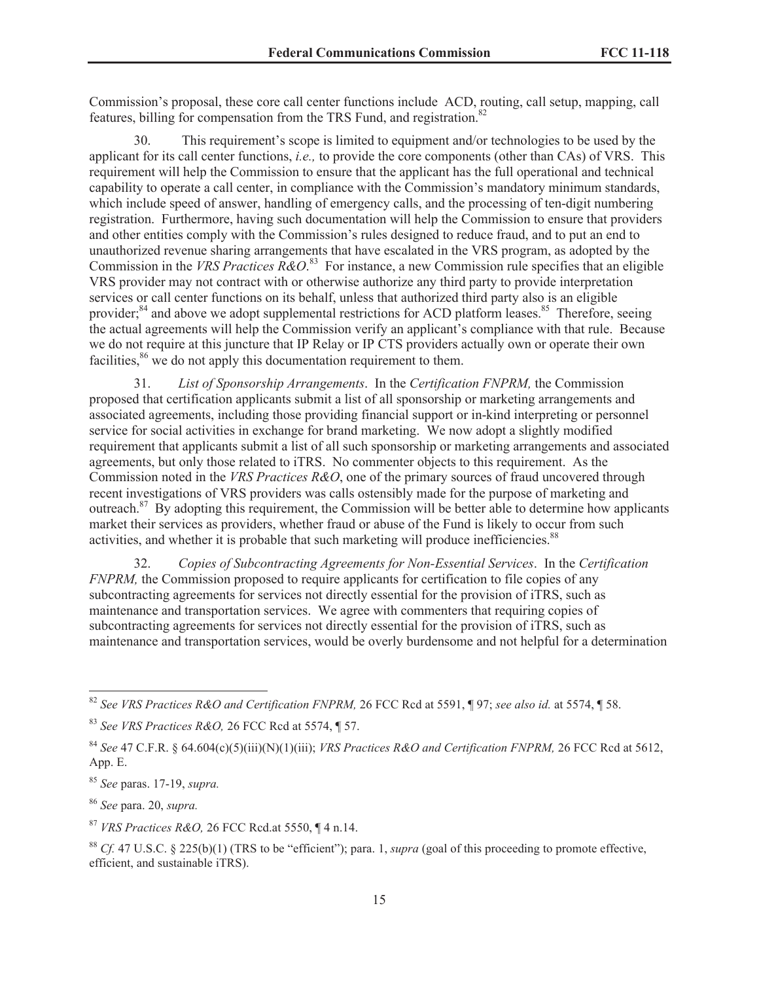Commission's proposal, these core call center functions include ACD, routing, call setup, mapping, call features, billing for compensation from the TRS Fund, and registration.<sup>82</sup>

30. This requirement's scope is limited to equipment and/or technologies to be used by the applicant for its call center functions, *i.e.,* to provide the core components (other than CAs) of VRS. This requirement will help the Commission to ensure that the applicant has the full operational and technical capability to operate a call center, in compliance with the Commission's mandatory minimum standards, which include speed of answer, handling of emergency calls, and the processing of ten-digit numbering registration. Furthermore, having such documentation will help the Commission to ensure that providers and other entities comply with the Commission's rules designed to reduce fraud, and to put an end to unauthorized revenue sharing arrangements that have escalated in the VRS program, as adopted by the Commission in the *VRS Practices R&O*. <sup>83</sup> For instance, a new Commission rule specifies that an eligible VRS provider may not contract with or otherwise authorize any third party to provide interpretation services or call center functions on its behalf, unless that authorized third party also is an eligible provider; $^{84}$  and above we adopt supplemental restrictions for ACD platform leases. <sup>85</sup> Therefore, seeing the actual agreements will help the Commission verify an applicant's compliance with that rule. Because we do not require at this juncture that IP Relay or IP CTS providers actually own or operate their own facilities,<sup>86</sup> we do not apply this documentation requirement to them.

31. *List of Sponsorship Arrangements*. In the *Certification FNPRM,* the Commission proposed that certification applicants submit a list of all sponsorship or marketing arrangements and associated agreements, including those providing financial support or in-kind interpreting or personnel service for social activities in exchange for brand marketing. We now adopt a slightly modified requirement that applicants submit a list of all such sponsorship or marketing arrangements and associated agreements, but only those related to iTRS. No commenter objects to this requirement. As the Commission noted in the *VRS Practices R&O*, one of the primary sources of fraud uncovered through recent investigations of VRS providers was calls ostensibly made for the purpose of marketing and outreach.<sup>87</sup> By adopting this requirement, the Commission will be better able to determine how applicants market their services as providers, whether fraud or abuse of the Fund is likely to occur from such activities, and whether it is probable that such marketing will produce inefficiencies.<sup>88</sup>

32. *Copies of Subcontracting Agreements for Non-Essential Services*. In the *Certification FNPRM*, the Commission proposed to require applicants for certification to file copies of any subcontracting agreements for services not directly essential for the provision of iTRS, such as maintenance and transportation services. We agree with commenters that requiring copies of subcontracting agreements for services not directly essential for the provision of iTRS, such as maintenance and transportation services, would be overly burdensome and not helpful for a determination

<sup>85</sup> *See* paras. 17-19, *supra.*

<sup>86</sup> *See* para. 20, *supra.*

<sup>87</sup> *VRS Practices R&O,* 26 FCC Rcd.at 5550, ¶ 4 n.14.

<sup>88</sup> *Cf.* 47 U.S.C. § 225(b)(1) (TRS to be "efficient"); para. 1, *supra* (goal of this proceeding to promote effective, efficient, and sustainable iTRS).

<sup>82</sup> *See VRS Practices R&O and Certification FNPRM,* 26 FCC Rcd at 5591, ¶ 97; *see also id.* at 5574, ¶ 58.

<sup>83</sup> *See VRS Practices R&O,* 26 FCC Rcd at 5574, ¶ 57.

<sup>84</sup> *See* 47 C.F.R. § 64.604(c)(5)(iii)(N)(1)(iii); *VRS Practices R&O and Certification FNPRM,* 26 FCC Rcd at 5612, App. E.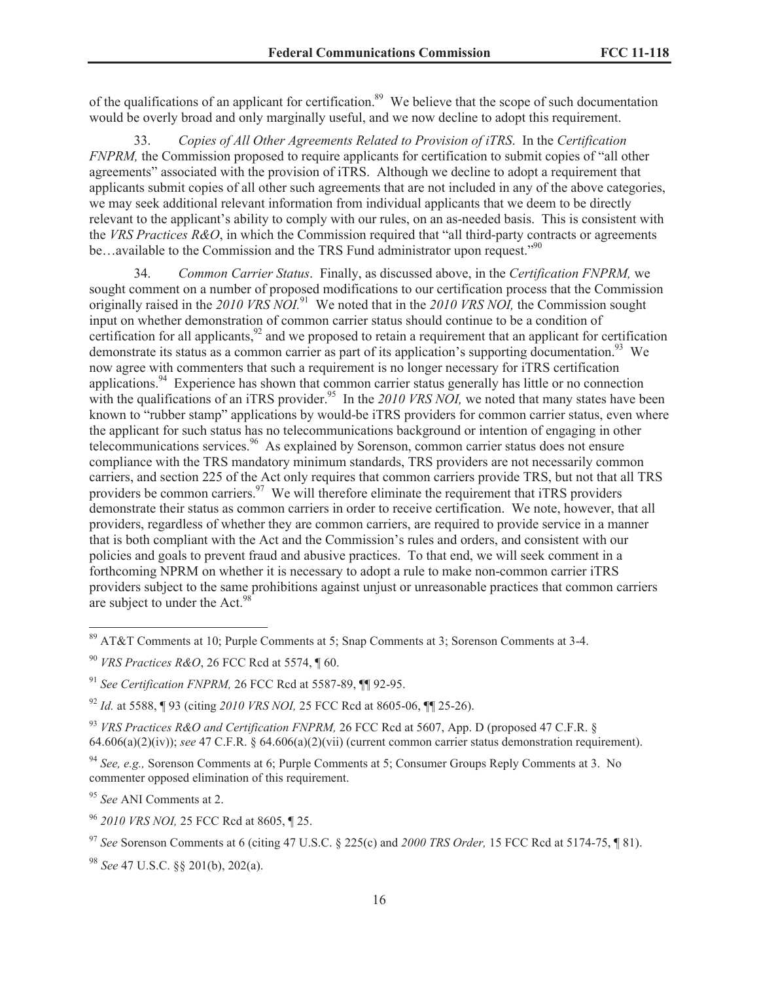of the qualifications of an applicant for certification.<sup>89</sup> We believe that the scope of such documentation would be overly broad and only marginally useful, and we now decline to adopt this requirement.

33. *Copies of All Other Agreements Related to Provision of iTRS*. In the *Certification FNPRM*, the Commission proposed to require applicants for certification to submit copies of "all other agreements" associated with the provision of iTRS. Although we decline to adopt a requirement that applicants submit copies of all other such agreements that are not included in any of the above categories, we may seek additional relevant information from individual applicants that we deem to be directly relevant to the applicant's ability to comply with our rules, on an as-needed basis. This is consistent with the *VRS Practices R&O*, in which the Commission required that "all third-party contracts or agreements be...available to the Commission and the TRS Fund administrator upon request."<sup>90</sup>

34. *Common Carrier Status*. Finally, as discussed above, in the *Certification FNPRM,* we sought comment on a number of proposed modifications to our certification process that the Commission originally raised in the *2010 VRS NOI.*<sup>91</sup> We noted that in the *2010 VRS NOI,* the Commission sought input on whether demonstration of common carrier status should continue to be a condition of certification for all applicants,  $92$  and we proposed to retain a requirement that an applicant for certification demonstrate its status as a common carrier as part of its application's supporting documentation.<sup>93</sup> We now agree with commenters that such a requirement is no longer necessary for iTRS certification applications.<sup>94</sup> Experience has shown that common carrier status generally has little or no connection with the qualifications of an iTRS provider.<sup>95</sup> In the 2010 VRS NOI, we noted that many states have been known to "rubber stamp" applications by would-be iTRS providers for common carrier status, even where the applicant for such status has no telecommunications background or intention of engaging in other telecommunications services.<sup>96</sup> As explained by Sorenson, common carrier status does not ensure compliance with the TRS mandatory minimum standards, TRS providers are not necessarily common carriers, and section 225 of the Act only requires that common carriers provide TRS, but not that all TRS providers be common carriers.<sup>97</sup> We will therefore eliminate the requirement that iTRS providers demonstrate their status as common carriers in order to receive certification. We note, however, that all providers, regardless of whether they are common carriers, are required to provide service in a manner that is both compliant with the Act and the Commission's rules and orders, and consistent with our policies and goals to prevent fraud and abusive practices. To that end, we will seek comment in a forthcoming NPRM on whether it is necessary to adopt a rule to make non-common carrier iTRS providers subject to the same prohibitions against unjust or unreasonable practices that common carriers are subject to under the Act.<sup>98</sup>

<sup>95</sup> *See* ANI Comments at 2.

<sup>96</sup> *2010 VRS NOI,* 25 FCC Rcd at 8605, ¶ 25.

<sup>89</sup> AT&T Comments at 10; Purple Comments at 5; Snap Comments at 3; Sorenson Comments at 3-4.

<sup>90</sup> *VRS Practices R&O*, 26 FCC Rcd at 5574, ¶ 60.

<sup>91</sup> *See Certification FNPRM,* 26 FCC Rcd at 5587-89, ¶¶ 92-95.

<sup>92</sup> *Id.* at 5588, ¶ 93 (citing *2010 VRS NOI,* 25 FCC Rcd at 8605-06, ¶¶ 25-26).

<sup>93</sup> *VRS Practices R&O and Certification FNPRM,* 26 FCC Rcd at 5607, App. D (proposed 47 C.F.R. § 64.606(a)(2)(iv)); *see* 47 C.F.R. § 64.606(a)(2)(vii) (current common carrier status demonstration requirement).

<sup>94</sup> *See, e.g.,* Sorenson Comments at 6; Purple Comments at 5; Consumer Groups Reply Comments at 3. No commenter opposed elimination of this requirement.

<sup>97</sup> *See* Sorenson Comments at 6 (citing 47 U.S.C. § 225(c) and *2000 TRS Order,* 15 FCC Rcd at 5174-75, ¶ 81).

<sup>98</sup> *See* 47 U.S.C. §§ 201(b), 202(a).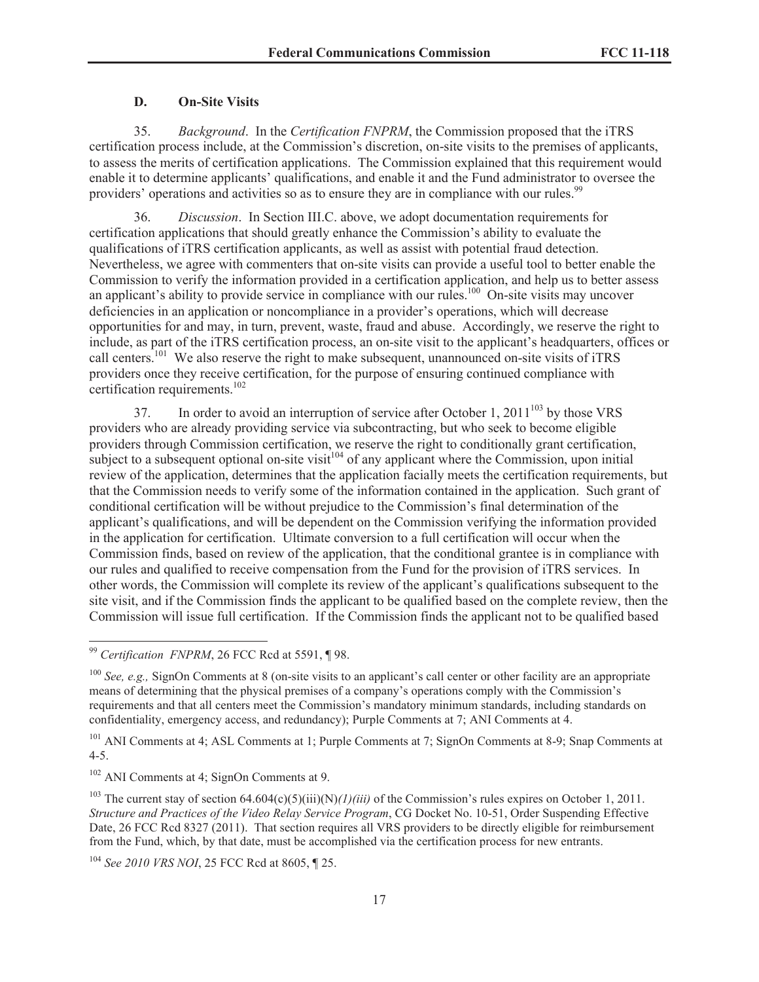## <span id="page-16-0"></span>**D. On-Site Visits**

35. *Background*. In the *Certification FNPRM*, the Commission proposed that the iTRS certification process include, at the Commission's discretion, on-site visits to the premises of applicants, to assess the merits of certification applications. The Commission explained that this requirement would enable it to determine applicants' qualifications, and enable it and the Fund administrator to oversee the providers' operations and activities so as to ensure they are in compliance with our rules.<sup>99</sup>

36. *Discussion*. In Section III.C. above, we adopt documentation requirements for certification applications that should greatly enhance the Commission's ability to evaluate the qualifications of iTRS certification applicants, as well as assist with potential fraud detection. Nevertheless, we agree with commenters that on-site visits can provide a useful tool to better enable the Commission to verify the information provided in a certification application, and help us to better assess an applicant's ability to provide service in compliance with our rules.<sup>100</sup> On-site visits may uncover deficiencies in an application or noncompliance in a provider's operations, which will decrease opportunities for and may, in turn, prevent, waste, fraud and abuse. Accordingly, we reserve the right to include, as part of the iTRS certification process, an on-site visit to the applicant's headquarters, offices or call centers.<sup>101</sup> We also reserve the right to make subsequent, unannounced on-site visits of iTRS providers once they receive certification, for the purpose of ensuring continued compliance with certification requirements.<sup>102</sup>

37. In order to avoid an interruption of service after October 1,  $2011^{103}$  by those VRS providers who are already providing service via subcontracting, but who seek to become eligible providers through Commission certification, we reserve the right to conditionally grant certification, subject to a subsequent optional on-site visit<sup>104</sup> of any applicant where the Commission, upon initial review of the application, determines that the application facially meets the certification requirements, but that the Commission needs to verify some of the information contained in the application. Such grant of conditional certification will be without prejudice to the Commission's final determination of the applicant's qualifications, and will be dependent on the Commission verifying the information provided in the application for certification. Ultimate conversion to a full certification will occur when the Commission finds, based on review of the application, that the conditional grantee is in compliance with our rules and qualified to receive compensation from the Fund for the provision of iTRS services. In other words, the Commission will complete its review of the applicant's qualifications subsequent to the site visit, and if the Commission finds the applicant to be qualified based on the complete review, then the Commission will issue full certification. If the Commission finds the applicant not to be qualified based

<sup>101</sup> ANI Comments at 4; ASL Comments at 1; Purple Comments at 7; SignOn Comments at 8-9; Snap Comments at 4-5.

<sup>102</sup> ANI Comments at 4; SignOn Comments at 9.

<sup>103</sup> The current stay of section  $64.604(c)(5)(iii)(N)/I)/(iii)$  of the Commission's rules expires on October 1, 2011. *Structure and Practices of the Video Relay Service Program*, CG Docket No. 10-51, Order Suspending Effective Date, 26 FCC Rcd 8327 (2011). That section requires all VRS providers to be directly eligible for reimbursement from the Fund, which, by that date, must be accomplished via the certification process for new entrants.

<sup>104</sup> *See 2010 VRS NOI*, 25 FCC Rcd at 8605, ¶ 25.

<sup>99</sup> *Certification FNPRM*, 26 FCC Rcd at 5591, ¶ 98.

<sup>&</sup>lt;sup>100</sup> *See, e.g.,* SignOn Comments at 8 (on-site visits to an applicant's call center or other facility are an appropriate means of determining that the physical premises of a company's operations comply with the Commission's requirements and that all centers meet the Commission's mandatory minimum standards, including standards on confidentiality, emergency access, and redundancy); Purple Comments at 7; ANI Comments at 4.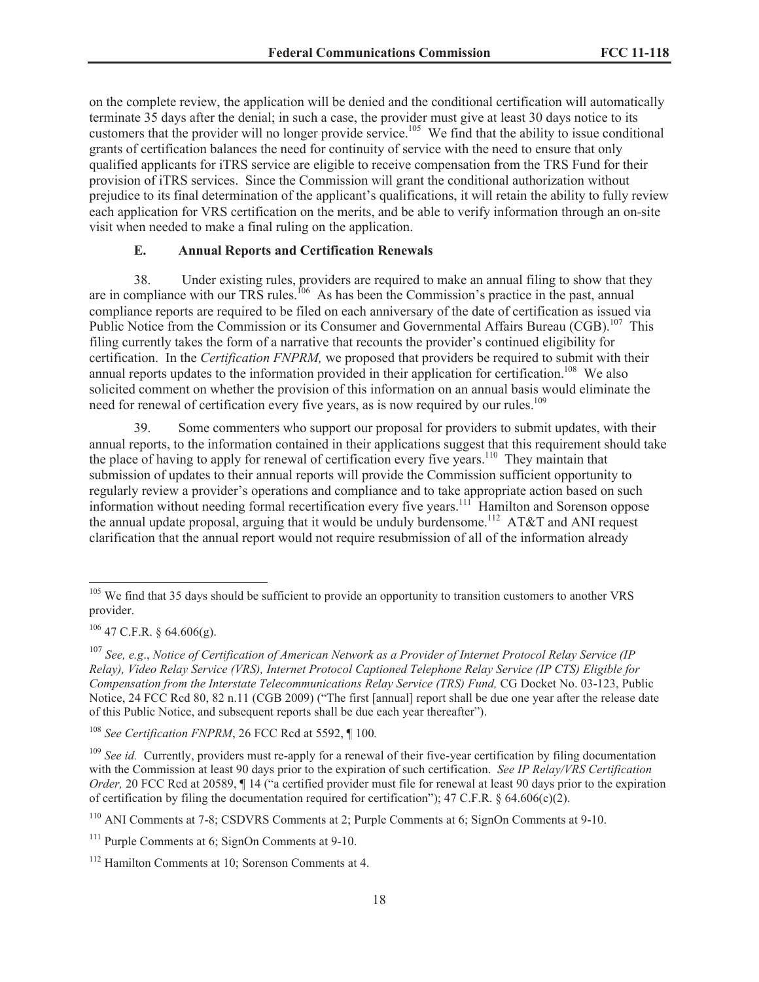on the complete review, the application will be denied and the conditional certification will automatically terminate 35 days after the denial; in such a case, the provider must give at least 30 days notice to its customers that the provider will no longer provide service.<sup>105</sup> We find that the ability to issue conditional grants of certification balances the need for continuity of service with the need to ensure that only qualified applicants for iTRS service are eligible to receive compensation from the TRS Fund for their provision of iTRS services. Since the Commission will grant the conditional authorization without prejudice to its final determination of the applicant's qualifications, it will retain the ability to fully review each application for VRS certification on the merits, and be able to verify information through an on-site visit when needed to make a final ruling on the application.

#### <span id="page-17-0"></span>**E. Annual Reports and Certification Renewals**

38. Under existing rules, providers are required to make an annual filing to show that they are in compliance with our TRS rules.<sup>106</sup> As has been the Commission's practice in the past, annual compliance reports are required to be filed on each anniversary of the date of certification as issued via Public Notice from the Commission or its Consumer and Governmental Affairs Bureau (CGB).<sup>107</sup> This filing currently takes the form of a narrative that recounts the provider's continued eligibility for certification. In the *Certification FNPRM,* we proposed that providers be required to submit with their annual reports updates to the information provided in their application for certification.<sup>108</sup> We also solicited comment on whether the provision of this information on an annual basis would eliminate the need for renewal of certification every five years, as is now required by our rules.<sup>109</sup>

39. Some commenters who support our proposal for providers to submit updates, with their annual reports, to the information contained in their applications suggest that this requirement should take the place of having to apply for renewal of certification every five years.<sup>110</sup> They maintain that submission of updates to their annual reports will provide the Commission sufficient opportunity to regularly review a provider's operations and compliance and to take appropriate action based on such information without needing formal recertification every five years.<sup>111</sup> Hamilton and Sorenson oppose the annual update proposal, arguing that it would be unduly burdensome.<sup>112</sup> AT&T and ANI request clarification that the annual report would not require resubmission of all of the information already

<sup>&</sup>lt;sup>105</sup> We find that 35 days should be sufficient to provide an opportunity to transition customers to another VRS provider.

 $106$  47 C.F.R. § 64.606(g).

<sup>107</sup> *See, e.g*., *Notice of Certification of American Network as a Provider of Internet Protocol Relay Service (IP Relay), Video Relay Service (VRS), Internet Protocol Captioned Telephone Relay Service (IP CTS) Eligible for Compensation from the Interstate Telecommunications Relay Service (TRS) Fund,* CG Docket No. 03-123, Public Notice, 24 FCC Rcd 80, 82 n.11 (CGB 2009) ("The first [annual] report shall be due one year after the release date of this Public Notice, and subsequent reports shall be due each year thereafter").

<sup>108</sup> *See Certification FNPRM*, 26 FCC Rcd at 5592, ¶ 100*.*

<sup>&</sup>lt;sup>109</sup> *See id.* Currently, providers must re-apply for a renewal of their five-year certification by filing documentation with the Commission at least 90 days prior to the expiration of such certification. *See IP Relay/VRS Certification Order,* 20 FCC Rcd at 20589,  $\P$  14 ("a certified provider must file for renewal at least 90 days prior to the expiration of certification by filing the documentation required for certification"); 47 C.F.R. § 64.606(c)(2).

<sup>110</sup> ANI Comments at 7-8; CSDVRS Comments at 2; Purple Comments at 6; SignOn Comments at 9-10.

 $111$  Purple Comments at 6: SignOn Comments at 9-10.

<sup>112</sup> Hamilton Comments at 10; Sorenson Comments at 4.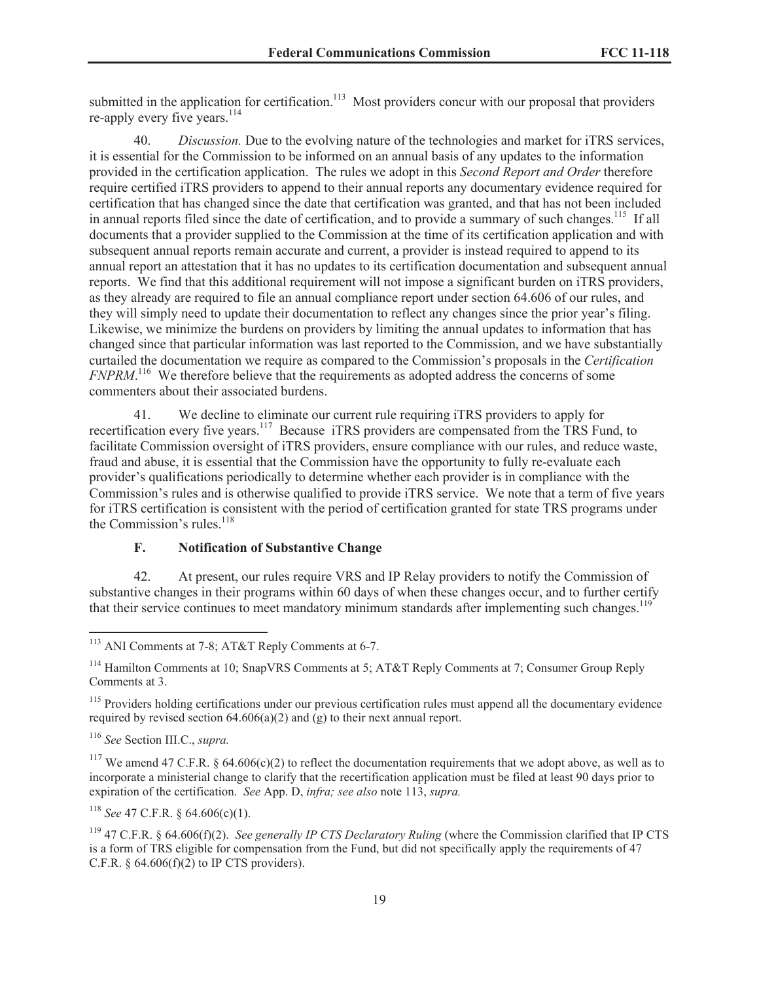submitted in the application for certification.<sup>113</sup> Most providers concur with our proposal that providers re-apply every five years.<sup>114</sup>

40. *Discussion.* Due to the evolving nature of the technologies and market for iTRS services, it is essential for the Commission to be informed on an annual basis of any updates to the information provided in the certification application. The rules we adopt in this *Second Report and Order* therefore require certified iTRS providers to append to their annual reports any documentary evidence required for certification that has changed since the date that certification was granted, and that has not been included in annual reports filed since the date of certification, and to provide a summary of such changes.<sup>115</sup> If all documents that a provider supplied to the Commission at the time of its certification application and with subsequent annual reports remain accurate and current, a provider is instead required to append to its annual report an attestation that it has no updates to its certification documentation and subsequent annual reports. We find that this additional requirement will not impose a significant burden on iTRS providers, as they already are required to file an annual compliance report under section 64.606 of our rules, and they will simply need to update their documentation to reflect any changes since the prior year's filing. Likewise, we minimize the burdens on providers by limiting the annual updates to information that has changed since that particular information was last reported to the Commission, and we have substantially curtailed the documentation we require as compared to the Commission's proposals in the *Certification FNPRM*. <sup>116</sup> We therefore believe that the requirements as adopted address the concerns of some commenters about their associated burdens.

41. We decline to eliminate our current rule requiring iTRS providers to apply for recertification every five years.<sup>117</sup> Because iTRS providers are compensated from the TRS Fund, to facilitate Commission oversight of iTRS providers, ensure compliance with our rules, and reduce waste, fraud and abuse, it is essential that the Commission have the opportunity to fully re-evaluate each provider's qualifications periodically to determine whether each provider is in compliance with the Commission's rules and is otherwise qualified to provide iTRS service. We note that a term of five years for iTRS certification is consistent with the period of certification granted for state TRS programs under the Commission's rules.<sup>118</sup>

# <span id="page-18-0"></span>**F. Notification of Substantive Change**

42. At present, our rules require VRS and IP Relay providers to notify the Commission of substantive changes in their programs within 60 days of when these changes occur, and to further certify that their service continues to meet mandatory minimum standards after implementing such changes.<sup>119</sup>

<sup>116</sup> *See* Section III.C., *supra.*

<sup>117</sup> We amend 47 C.F.R. § 64.606(c)(2) to reflect the documentation requirements that we adopt above, as well as to incorporate a ministerial change to clarify that the recertification application must be filed at least 90 days prior to expiration of the certification. *See* App. D, *infra; see also* note 113, *supra.*

<sup>118</sup> *See* 47 C.F.R. § 64.606(c)(1).

<sup>113</sup> ANI Comments at 7-8; AT&T Reply Comments at 6-7.

<sup>&</sup>lt;sup>114</sup> Hamilton Comments at 10; SnapVRS Comments at 5; AT&T Reply Comments at 7; Consumer Group Reply Comments at 3.

<sup>&</sup>lt;sup>115</sup> Providers holding certifications under our previous certification rules must append all the documentary evidence required by revised section  $64.606(a)(2)$  and  $(g)$  to their next annual report.

<sup>119</sup> 47 C.F.R. § 64.606(f)(2). *See generally IP CTS Declaratory Ruling* (where the Commission clarified that IP CTS is a form of TRS eligible for compensation from the Fund, but did not specifically apply the requirements of 47 C.F.R.  $\S$  64.606(f)(2) to IP CTS providers).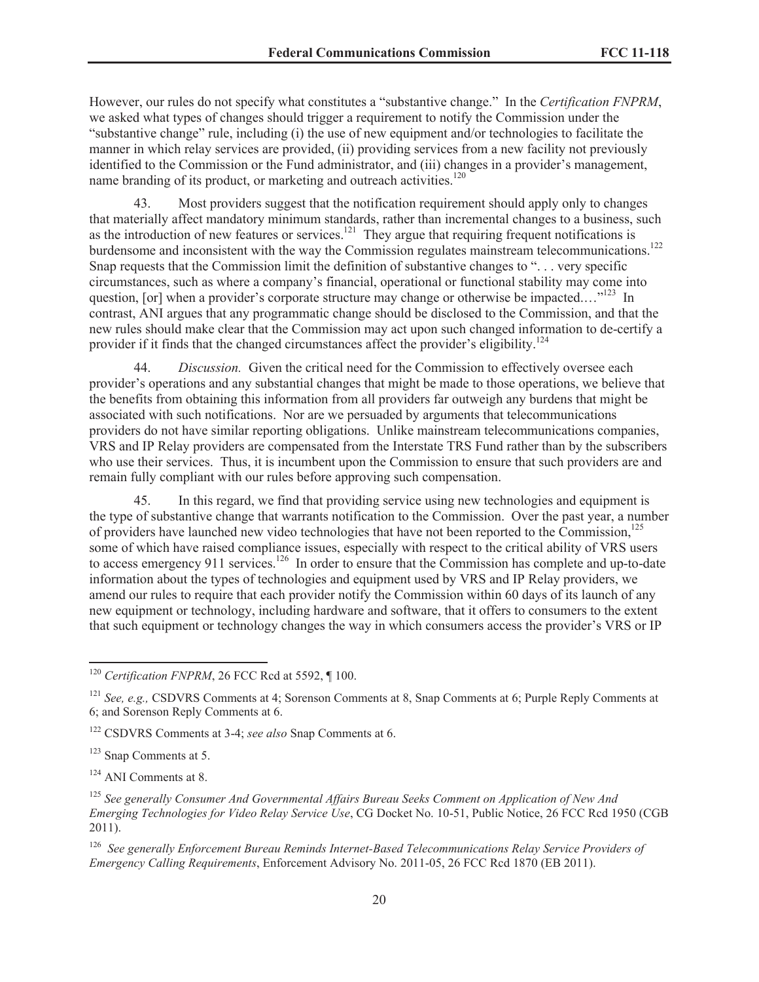However, our rules do not specify what constitutes a "substantive change." In the *Certification FNPRM*, we asked what types of changes should trigger a requirement to notify the Commission under the "substantive change" rule, including (i) the use of new equipment and/or technologies to facilitate the manner in which relay services are provided, (ii) providing services from a new facility not previously identified to the Commission or the Fund administrator, and (iii) changes in a provider's management, name branding of its product, or marketing and outreach activities.<sup>120</sup>

43. Most providers suggest that the notification requirement should apply only to changes that materially affect mandatory minimum standards, rather than incremental changes to a business, such as the introduction of new features or services.<sup>121</sup> They argue that requiring frequent notifications is burdensome and inconsistent with the way the Commission regulates mainstream telecommunications.<sup>122</sup> Snap requests that the Commission limit the definition of substantive changes to ". . . very specific circumstances, such as where a company's financial, operational or functional stability may come into question, [or] when a provider's corporate structure may change or otherwise be impacted...."<sup>123</sup> In contrast, ANI argues that any programmatic change should be disclosed to the Commission, and that the new rules should make clear that the Commission may act upon such changed information to de-certify a provider if it finds that the changed circumstances affect the provider's eligibility.<sup>124</sup>

44. *Discussion.* Given the critical need for the Commission to effectively oversee each provider's operations and any substantial changes that might be made to those operations, we believe that the benefits from obtaining this information from all providers far outweigh any burdens that might be associated with such notifications. Nor are we persuaded by arguments that telecommunications providers do not have similar reporting obligations. Unlike mainstream telecommunications companies, VRS and IP Relay providers are compensated from the Interstate TRS Fund rather than by the subscribers who use their services. Thus, it is incumbent upon the Commission to ensure that such providers are and remain fully compliant with our rules before approving such compensation.

45. In this regard, we find that providing service using new technologies and equipment is the type of substantive change that warrants notification to the Commission. Over the past year, a number of providers have launched new video technologies that have not been reported to the Commission.<sup>125</sup> some of which have raised compliance issues, especially with respect to the critical ability of VRS users to access emergency 911 services.<sup>126</sup> In order to ensure that the Commission has complete and up-to-date information about the types of technologies and equipment used by VRS and IP Relay providers, we amend our rules to require that each provider notify the Commission within 60 days of its launch of any new equipment or technology, including hardware and software, that it offers to consumers to the extent that such equipment or technology changes the way in which consumers access the provider's VRS or IP

<sup>122</sup> CSDVRS Comments at 3-4; *see also* Snap Comments at 6.

<sup>123</sup> Snap Comments at 5.

<sup>124</sup> ANI Comments at 8.

<sup>125</sup> *See generally Consumer And Governmental Affairs Bureau Seeks Comment on Application of New And Emerging Technologies for Video Relay Service Use*, CG Docket No. 10-51, Public Notice, 26 FCC Rcd 1950 (CGB 2011).

<sup>126</sup> *See generally Enforcement Bureau Reminds Internet-Based Telecommunications Relay Service Providers of Emergency Calling Requirements*, Enforcement Advisory No. 2011-05, 26 FCC Rcd 1870 (EB 2011).

<sup>&</sup>lt;sup>120</sup> Certification FNPRM, 26 FCC Rcd at 5592, ¶ 100.

<sup>121</sup> *See, e.g.,* CSDVRS Comments at 4; Sorenson Comments at 8, Snap Comments at 6; Purple Reply Comments at 6; and Sorenson Reply Comments at 6.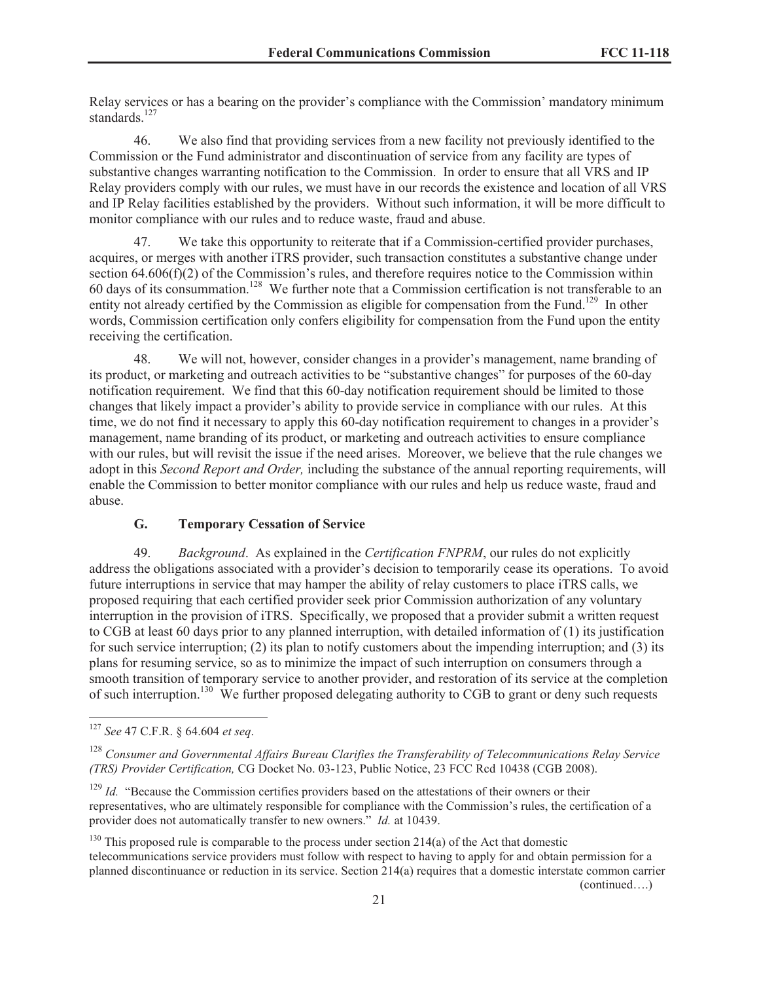Relay services or has a bearing on the provider's compliance with the Commission' mandatory minimum standards.<sup>127</sup>

46. We also find that providing services from a new facility not previously identified to the Commission or the Fund administrator and discontinuation of service from any facility are types of substantive changes warranting notification to the Commission. In order to ensure that all VRS and IP Relay providers comply with our rules, we must have in our records the existence and location of all VRS and IP Relay facilities established by the providers. Without such information, it will be more difficult to monitor compliance with our rules and to reduce waste, fraud and abuse.

47. We take this opportunity to reiterate that if a Commission-certified provider purchases, acquires, or merges with another iTRS provider, such transaction constitutes a substantive change under section 64.606(f)(2) of the Commission's rules, and therefore requires notice to the Commission within  $60$  days of its consummation.<sup>128</sup> We further note that a Commission certification is not transferable to an entity not already certified by the Commission as eligible for compensation from the Fund.<sup>129</sup> In other words, Commission certification only confers eligibility for compensation from the Fund upon the entity receiving the certification.

48. We will not, however, consider changes in a provider's management, name branding of its product, or marketing and outreach activities to be "substantive changes" for purposes of the 60-day notification requirement. We find that this 60-day notification requirement should be limited to those changes that likely impact a provider's ability to provide service in compliance with our rules. At this time, we do not find it necessary to apply this 60-day notification requirement to changes in a provider's management, name branding of its product, or marketing and outreach activities to ensure compliance with our rules, but will revisit the issue if the need arises. Moreover, we believe that the rule changes we adopt in this *Second Report and Order,* including the substance of the annual reporting requirements, will enable the Commission to better monitor compliance with our rules and help us reduce waste, fraud and abuse.

## **G. Temporary Cessation of Service**

49. *Background*. As explained in the *Certification FNPRM*, our rules do not explicitly address the obligations associated with a provider's decision to temporarily cease its operations. To avoid future interruptions in service that may hamper the ability of relay customers to place iTRS calls, we proposed requiring that each certified provider seek prior Commission authorization of any voluntary interruption in the provision of iTRS. Specifically, we proposed that a provider submit a written request to CGB at least 60 days prior to any planned interruption, with detailed information of (1) its justification for such service interruption; (2) its plan to notify customers about the impending interruption; and (3) its plans for resuming service, so as to minimize the impact of such interruption on consumers through a smooth transition of temporary service to another provider, and restoration of its service at the completion of such interruption.<sup>130</sup> We further proposed delegating authority to CGB to grant or deny such requests

<span id="page-20-0"></span>(continued….)

<sup>127</sup> *See* 47 C.F.R. § 64.604 *et seq*.

<sup>128</sup> *Consumer and Governmental Affairs Bureau Clarifies the Transferability of Telecommunications Relay Service (TRS) Provider Certification,* CG Docket No. 03-123, Public Notice, 23 FCC Rcd 10438 (CGB 2008).

<sup>&</sup>lt;sup>129</sup> *Id.* "Because the Commission certifies providers based on the attestations of their owners or their representatives, who are ultimately responsible for compliance with the Commission's rules, the certification of a provider does not automatically transfer to new owners." *Id.* at 10439.

 $130$  This proposed rule is comparable to the process under section 214(a) of the Act that domestic telecommunications service providers must follow with respect to having to apply for and obtain permission for a planned discontinuance or reduction in its service. Section 214(a) requires that a domestic interstate common carrier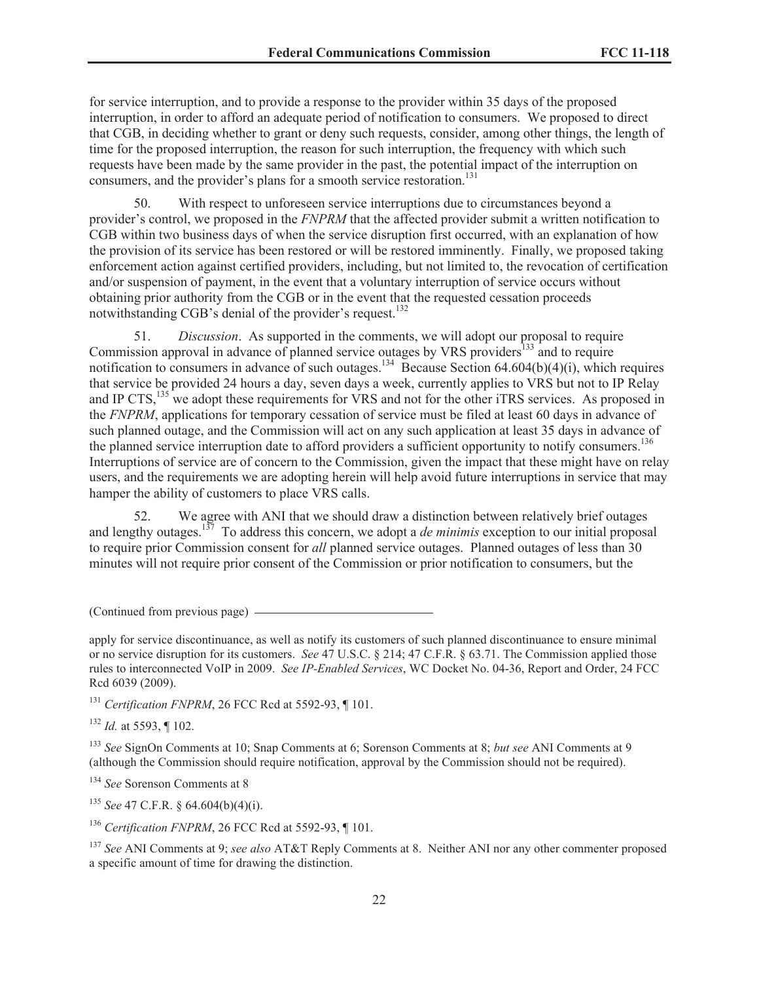for service interruption, and to provide a response to the provider within 35 days of the proposed interruption, in order to afford an adequate period of notification to consumers. We proposed to direct that CGB, in deciding whether to grant or deny such requests, consider, among other things, the length of time for the proposed interruption, the reason for such interruption, the frequency with which such requests have been made by the same provider in the past, the potential impact of the interruption on consumers, and the provider's plans for a smooth service restoration.<sup>131</sup>

50. With respect to unforeseen service interruptions due to circumstances beyond a provider's control, we proposed in the *FNPRM* that the affected provider submit a written notification to CGB within two business days of when the service disruption first occurred, with an explanation of how the provision of its service has been restored or will be restored imminently. Finally, we proposed taking enforcement action against certified providers, including, but not limited to, the revocation of certification and/or suspension of payment, in the event that a voluntary interruption of service occurs without obtaining prior authority from the CGB or in the event that the requested cessation proceeds notwithstanding CGB's denial of the provider's request.<sup>132</sup>

51. *Discussion*. As supported in the comments, we will adopt our proposal to require Commission approval in advance of planned service outages by VRS providers<sup>133</sup> and to require notification to consumers in advance of such outages.<sup>134</sup> Because Section 64.604(b)(4)(i), which requires that service be provided 24 hours a day, seven days a week, currently applies to VRS but not to IP Relay and IP CTS,<sup>135</sup> we adopt these requirements for VRS and not for the other iTRS services. As proposed in the *FNPRM*, applications for temporary cessation of service must be filed at least 60 days in advance of such planned outage, and the Commission will act on any such application at least 35 days in advance of the planned service interruption date to afford providers a sufficient opportunity to notify consumers.<sup>136</sup> Interruptions of service are of concern to the Commission, given the impact that these might have on relay users, and the requirements we are adopting herein will help avoid future interruptions in service that may hamper the ability of customers to place VRS calls.

52. We agree with ANI that we should draw a distinction between relatively brief outages and lengthy outages.<sup>137</sup> To address this concern, we adopt a *de minimis* exception to our initial proposal to require prior Commission consent for *all* planned service outages. Planned outages of less than 30 minutes will not require prior consent of the Commission or prior notification to consumers, but the

(Continued from previous page)

apply for service discontinuance, as well as notify its customers of such planned discontinuance to ensure minimal or no service disruption for its customers. *See* 47 U.S.C. § 214; 47 C.F.R. § 63.71. The Commission applied those rules to interconnected VoIP in 2009. *See IP-Enabled Services*, WC Docket No. 04-36, Report and Order, 24 FCC Rcd 6039 (2009).

<sup>131</sup> *Certification FNPRM*, 26 FCC Rcd at 5592-93, ¶ 101.

<sup>132</sup> *Id.* at 5593, ¶ 102.

<sup>133</sup> *See* SignOn Comments at 10; Snap Comments at 6; Sorenson Comments at 8; *but see* ANI Comments at 9 (although the Commission should require notification, approval by the Commission should not be required).

<sup>134</sup> *See* Sorenson Comments at 8

<sup>135</sup> *See* 47 C.F.R. § 64.604(b)(4)(i).

<sup>136</sup> *Certification FNPRM*, 26 FCC Rcd at 5592-93, ¶ 101.

<sup>137</sup> *See* ANI Comments at 9; *see also* AT&T Reply Comments at 8. Neither ANI nor any other commenter proposed a specific amount of time for drawing the distinction.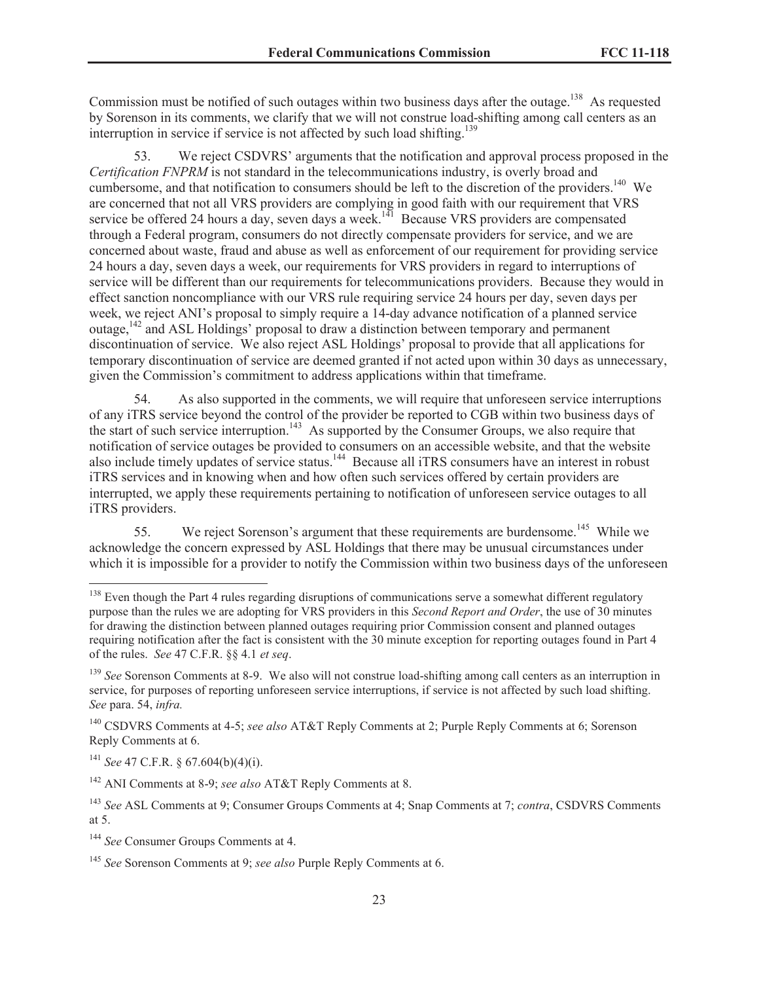Commission must be notified of such outages within two business days after the outage.<sup>138</sup> As requested by Sorenson in its comments, we clarify that we will not construe load-shifting among call centers as an interruption in service if service is not affected by such load shifting.<sup>139</sup>

53. We reject CSDVRS' arguments that the notification and approval process proposed in the *Certification FNPRM* is not standard in the telecommunications industry, is overly broad and cumbersome, and that notification to consumers should be left to the discretion of the providers.<sup>140</sup> We are concerned that not all VRS providers are complying in good faith with our requirement that VRS service be offered 24 hours a day, seven days a week.<sup>141</sup> Because VRS providers are compensated through a Federal program, consumers do not directly compensate providers for service, and we are concerned about waste, fraud and abuse as well as enforcement of our requirement for providing service 24 hours a day, seven days a week, our requirements for VRS providers in regard to interruptions of service will be different than our requirements for telecommunications providers. Because they would in effect sanction noncompliance with our VRS rule requiring service 24 hours per day, seven days per week, we reject ANI's proposal to simply require a 14-day advance notification of a planned service outage,<sup>142</sup> and ASL Holdings' proposal to draw a distinction between temporary and permanent discontinuation of service. We also reject ASL Holdings' proposal to provide that all applications for temporary discontinuation of service are deemed granted if not acted upon within 30 days as unnecessary, given the Commission's commitment to address applications within that timeframe.

54. As also supported in the comments, we will require that unforeseen service interruptions of any iTRS service beyond the control of the provider be reported to CGB within two business days of the start of such service interruption.<sup>143</sup> As supported by the Consumer Groups, we also require that notification of service outages be provided to consumers on an accessible website, and that the website also include timely updates of service status.<sup>144</sup> Because all iTRS consumers have an interest in robust iTRS services and in knowing when and how often such services offered by certain providers are interrupted, we apply these requirements pertaining to notification of unforeseen service outages to all iTRS providers.

55. We reject Sorenson's argument that these requirements are burdensome.<sup>145</sup> While we acknowledge the concern expressed by ASL Holdings that there may be unusual circumstances under which it is impossible for a provider to notify the Commission within two business days of the unforeseen

<sup>141</sup> *See* 47 C.F.R. § 67.604(b)(4)(i).

<sup>&</sup>lt;sup>138</sup> Even though the Part 4 rules regarding disruptions of communications serve a somewhat different regulatory purpose than the rules we are adopting for VRS providers in this *Second Report and Order*, the use of 30 minutes for drawing the distinction between planned outages requiring prior Commission consent and planned outages requiring notification after the fact is consistent with the 30 minute exception for reporting outages found in Part 4 of the rules. *See* 47 C.F.R. §§ 4.1 *et seq*.

<sup>&</sup>lt;sup>139</sup> See Sorenson Comments at 8-9. We also will not construe load-shifting among call centers as an interruption in service, for purposes of reporting unforeseen service interruptions, if service is not affected by such load shifting. *See* para. 54, *infra.*

<sup>140</sup> CSDVRS Comments at 4-5; *see also* AT&T Reply Comments at 2; Purple Reply Comments at 6; Sorenson Reply Comments at 6.

<sup>142</sup> ANI Comments at 8-9; *see also* AT&T Reply Comments at 8.

<sup>143</sup> *See* ASL Comments at 9; Consumer Groups Comments at 4; Snap Comments at 7; *contra*, CSDVRS Comments at 5.

<sup>144</sup> *See* Consumer Groups Comments at 4.

<sup>145</sup> *See* Sorenson Comments at 9; *see also* Purple Reply Comments at 6.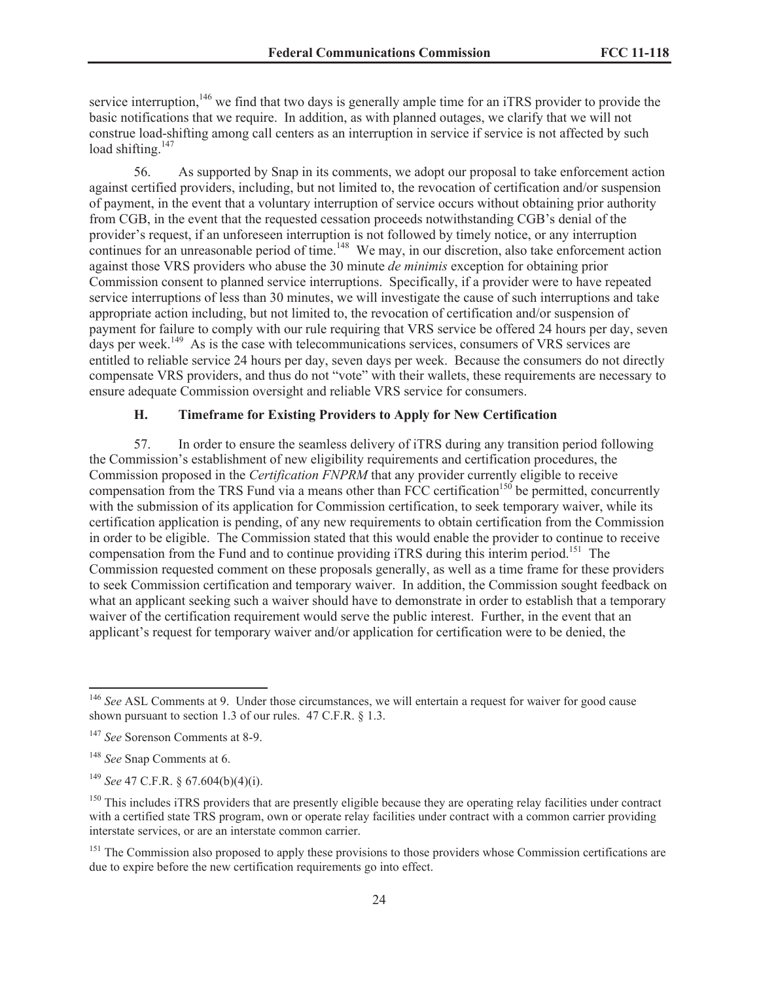service interruption,<sup>146</sup> we find that two days is generally ample time for an iTRS provider to provide the basic notifications that we require. In addition, as with planned outages, we clarify that we will not construe load-shifting among call centers as an interruption in service if service is not affected by such load shifting. $147$ 

56. As supported by Snap in its comments, we adopt our proposal to take enforcement action against certified providers, including, but not limited to, the revocation of certification and/or suspension of payment, in the event that a voluntary interruption of service occurs without obtaining prior authority from CGB, in the event that the requested cessation proceeds notwithstanding CGB's denial of the provider's request, if an unforeseen interruption is not followed by timely notice, or any interruption continues for an unreasonable period of time.<sup>148</sup> We may, in our discretion, also take enforcement action against those VRS providers who abuse the 30 minute *de minimis* exception for obtaining prior Commission consent to planned service interruptions. Specifically, if a provider were to have repeated service interruptions of less than 30 minutes, we will investigate the cause of such interruptions and take appropriate action including, but not limited to, the revocation of certification and/or suspension of payment for failure to comply with our rule requiring that VRS service be offered 24 hours per day, seven days per week.<sup>149</sup> As is the case with telecommunications services, consumers of VRS services are entitled to reliable service 24 hours per day, seven days per week. Because the consumers do not directly compensate VRS providers, and thus do not "vote" with their wallets, these requirements are necessary to ensure adequate Commission oversight and reliable VRS service for consumers.

## <span id="page-23-0"></span>**H. Timeframe for Existing Providers to Apply for New Certification**

57. In order to ensure the seamless delivery of iTRS during any transition period following the Commission's establishment of new eligibility requirements and certification procedures, the Commission proposed in the *Certification FNPRM* that any provider currently eligible to receive compensation from the TRS Fund via a means other than FCC certification<sup>150</sup> be permitted, concurrently with the submission of its application for Commission certification, to seek temporary waiver, while its certification application is pending, of any new requirements to obtain certification from the Commission in order to be eligible. The Commission stated that this would enable the provider to continue to receive compensation from the Fund and to continue providing iTRS during this interim period.<sup>151</sup> The Commission requested comment on these proposals generally, as well as a time frame for these providers to seek Commission certification and temporary waiver. In addition, the Commission sought feedback on what an applicant seeking such a waiver should have to demonstrate in order to establish that a temporary waiver of the certification requirement would serve the public interest. Further, in the event that an applicant's request for temporary waiver and/or application for certification were to be denied, the

<sup>151</sup> The Commission also proposed to apply these provisions to those providers whose Commission certifications are due to expire before the new certification requirements go into effect.

<sup>&</sup>lt;sup>146</sup> See ASL Comments at 9. Under those circumstances, we will entertain a request for waiver for good cause shown pursuant to section 1.3 of our rules. 47 C.F.R. § 1.3.

<sup>147</sup> *See* Sorenson Comments at 8-9.

<sup>148</sup> *See* Snap Comments at 6.

<sup>149</sup> *See* 47 C.F.R. § 67.604(b)(4)(i).

 $150$  This includes iTRS providers that are presently eligible because they are operating relay facilities under contract with a certified state TRS program, own or operate relay facilities under contract with a common carrier providing interstate services, or are an interstate common carrier.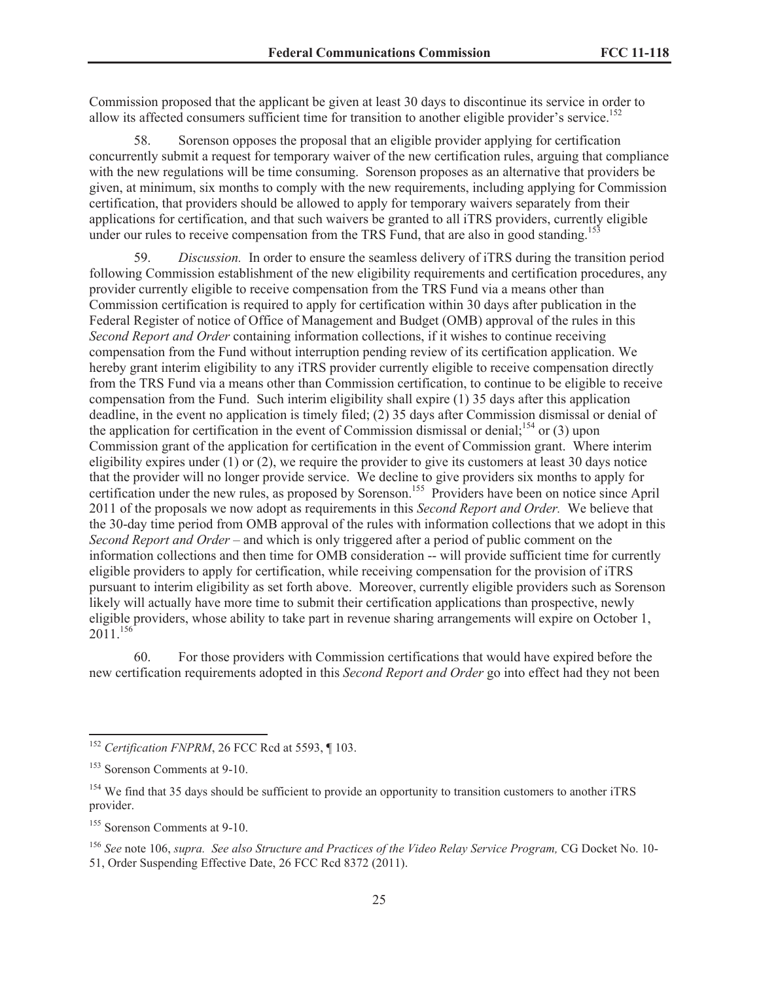Commission proposed that the applicant be given at least 30 days to discontinue its service in order to allow its affected consumers sufficient time for transition to another eligible provider's service.<sup>152</sup>

58. Sorenson opposes the proposal that an eligible provider applying for certification concurrently submit a request for temporary waiver of the new certification rules, arguing that compliance with the new regulations will be time consuming. Sorenson proposes as an alternative that providers be given, at minimum, six months to comply with the new requirements, including applying for Commission certification, that providers should be allowed to apply for temporary waivers separately from their applications for certification, and that such waivers be granted to all iTRS providers, currently eligible under our rules to receive compensation from the TRS Fund, that are also in good standing.<sup>153</sup>

59. *Discussion.* In order to ensure the seamless delivery of iTRS during the transition period following Commission establishment of the new eligibility requirements and certification procedures, any provider currently eligible to receive compensation from the TRS Fund via a means other than Commission certification is required to apply for certification within 30 days after publication in the Federal Register of notice of Office of Management and Budget (OMB) approval of the rules in this *Second Report and Order* containing information collections, if it wishes to continue receiving compensation from the Fund without interruption pending review of its certification application. We hereby grant interim eligibility to any iTRS provider currently eligible to receive compensation directly from the TRS Fund via a means other than Commission certification, to continue to be eligible to receive compensation from the Fund. Such interim eligibility shall expire (1) 35 days after this application deadline, in the event no application is timely filed; (2) 35 days after Commission dismissal or denial of the application for certification in the event of Commission dismissal or denial;<sup>154</sup> or  $(3)$  upon Commission grant of the application for certification in the event of Commission grant. Where interim eligibility expires under  $(1)$  or  $(2)$ , we require the provider to give its customers at least 30 days notice that the provider will no longer provide service. We decline to give providers six months to apply for certification under the new rules, as proposed by Sorenson.<sup>155</sup> Providers have been on notice since April 2011 of the proposals we now adopt as requirements in this *Second Report and Order.* We believe that the 30-day time period from OMB approval of the rules with information collections that we adopt in this *Second Report and Order* – and which is only triggered after a period of public comment on the information collections and then time for OMB consideration -- will provide sufficient time for currently eligible providers to apply for certification, while receiving compensation for the provision of iTRS pursuant to interim eligibility as set forth above. Moreover, currently eligible providers such as Sorenson likely will actually have more time to submit their certification applications than prospective, newly eligible providers, whose ability to take part in revenue sharing arrangements will expire on October 1, 2011.<sup>156</sup>

60. For those providers with Commission certifications that would have expired before the new certification requirements adopted in this *Second Report and Order* go into effect had they not been

<sup>&</sup>lt;sup>152</sup> Certification FNPRM, 26 FCC Rcd at 5593, ¶ 103.

<sup>153</sup> Sorenson Comments at 9-10.

<sup>&</sup>lt;sup>154</sup> We find that 35 days should be sufficient to provide an opportunity to transition customers to another iTRS provider.

<sup>155</sup> Sorenson Comments at 9-10.

<sup>&</sup>lt;sup>156</sup> See note 106, *supra.* See also Structure and Practices of the Video Relay Service Program, CG Docket No. 10-51, Order Suspending Effective Date, 26 FCC Rcd 8372 (2011).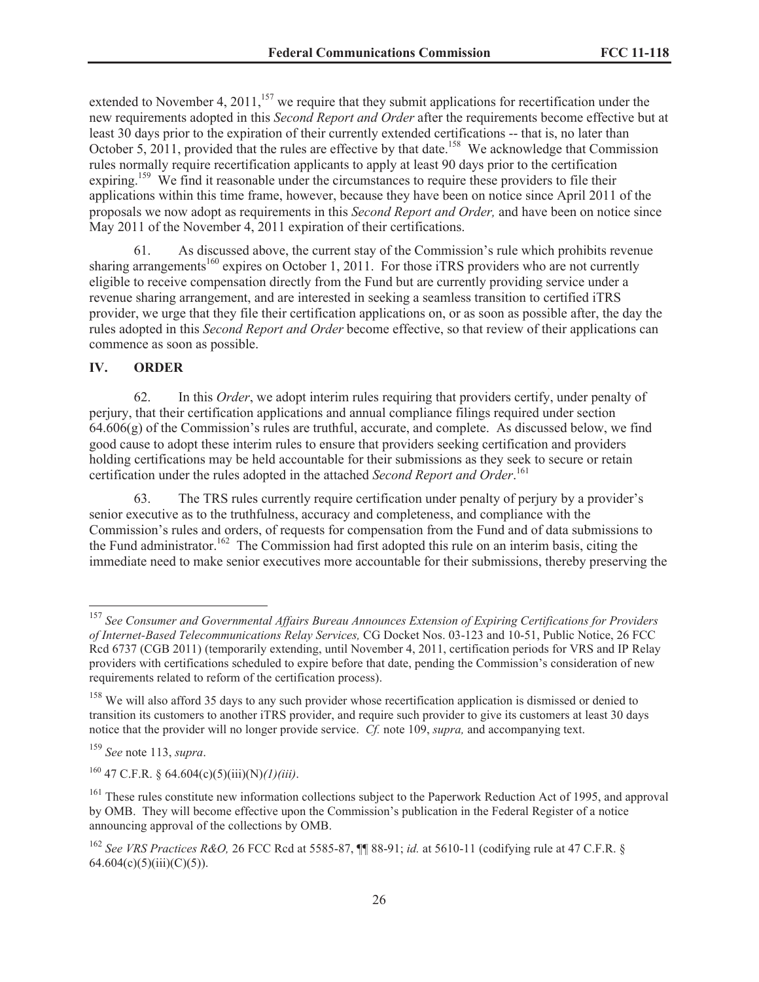extended to November 4, 2011,<sup>157</sup> we require that they submit applications for recertification under the new requirements adopted in this *Second Report and Order* after the requirements become effective but at least 30 days prior to the expiration of their currently extended certifications -- that is, no later than October 5, 2011, provided that the rules are effective by that date.<sup>158</sup> We acknowledge that Commission rules normally require recertification applicants to apply at least 90 days prior to the certification expiring.<sup>159</sup> We find it reasonable under the circumstances to require these providers to file their applications within this time frame, however, because they have been on notice since April 2011 of the proposals we now adopt as requirements in this *Second Report and Order,* and have been on notice since May 2011 of the November 4, 2011 expiration of their certifications.

61. As discussed above, the current stay of the Commission's rule which prohibits revenue sharing arrangements<sup>160</sup> expires on October 1, 2011. For those iTRS providers who are not currently eligible to receive compensation directly from the Fund but are currently providing service under a revenue sharing arrangement, and are interested in seeking a seamless transition to certified iTRS provider, we urge that they file their certification applications on, or as soon as possible after, the day the rules adopted in this *Second Report and Order* become effective, so that review of their applications can commence as soon as possible.

## <span id="page-25-0"></span>**IV. ORDER**

62. In this *Order*, we adopt interim rules requiring that providers certify, under penalty of perjury, that their certification applications and annual compliance filings required under section  $64.606(g)$  of the Commission's rules are truthful, accurate, and complete. As discussed below, we find good cause to adopt these interim rules to ensure that providers seeking certification and providers holding certifications may be held accountable for their submissions as they seek to secure or retain certification under the rules adopted in the attached *Second Report and Order*. 161

63. The TRS rules currently require certification under penalty of perjury by a provider's senior executive as to the truthfulness, accuracy and completeness, and compliance with the Commission's rules and orders, of requests for compensation from the Fund and of data submissions to the Fund administrator.<sup>162</sup> The Commission had first adopted this rule on an interim basis, citing the immediate need to make senior executives more accountable for their submissions, thereby preserving the

<sup>157</sup> *See Consumer and Governmental Affairs Bureau Announces Extension of Expiring Certifications for Providers of Internet-Based Telecommunications Relay Services,* CG Docket Nos. 03-123 and 10-51, Public Notice, 26 FCC Rcd 6737 (CGB 2011) (temporarily extending, until November 4, 2011, certification periods for VRS and IP Relay providers with certifications scheduled to expire before that date, pending the Commission's consideration of new requirements related to reform of the certification process).

<sup>&</sup>lt;sup>158</sup> We will also afford 35 days to any such provider whose recertification application is dismissed or denied to transition its customers to another iTRS provider, and require such provider to give its customers at least 30 days notice that the provider will no longer provide service. *Cf.* note 109, *supra,* and accompanying text.

<sup>159</sup> *See* note 113, *supra*.

<sup>160</sup> 47 C.F.R. § 64.604(c)(5)(iii)(N)*(1)(iii)*.

<sup>&</sup>lt;sup>161</sup> These rules constitute new information collections subject to the Paperwork Reduction Act of 1995, and approval by OMB. They will become effective upon the Commission's publication in the Federal Register of a notice announcing approval of the collections by OMB.

<sup>162</sup> *See VRS Practices R&O,* 26 FCC Rcd at 5585-87, ¶¶ 88-91; *id.* at 5610-11 (codifying rule at 47 C.F.R. §  $64.604(c)(5)(iii)(C)(5)$ ).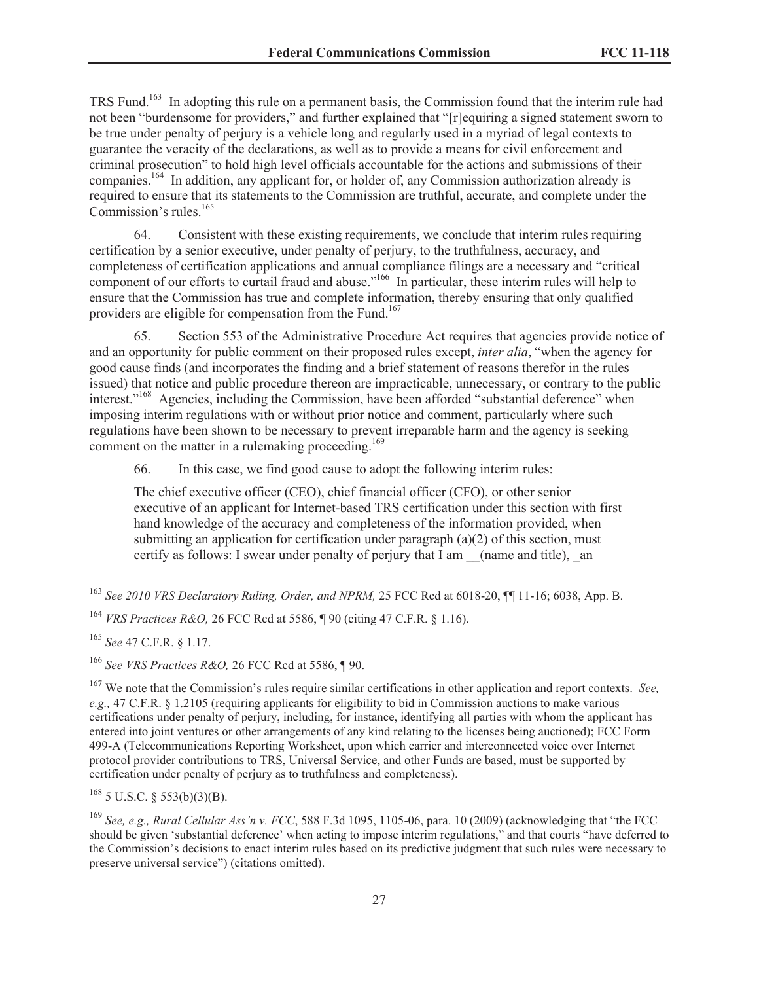TRS Fund.<sup>163</sup> In adopting this rule on a permanent basis, the Commission found that the interim rule had not been "burdensome for providers," and further explained that "[r]equiring a signed statement sworn to be true under penalty of perjury is a vehicle long and regularly used in a myriad of legal contexts to guarantee the veracity of the declarations, as well as to provide a means for civil enforcement and criminal prosecution" to hold high level officials accountable for the actions and submissions of their companies.<sup>164</sup> In addition, any applicant for, or holder of, any Commission authorization already is required to ensure that its statements to the Commission are truthful, accurate, and complete under the Commission's rules.<sup>165</sup>

64. Consistent with these existing requirements, we conclude that interim rules requiring certification by a senior executive, under penalty of perjury, to the truthfulness, accuracy, and completeness of certification applications and annual compliance filings are a necessary and "critical component of our efforts to curtail fraud and abuse."<sup>166</sup> In particular, these interim rules will help to ensure that the Commission has true and complete information, thereby ensuring that only qualified providers are eligible for compensation from the Fund.<sup>167</sup>

65. Section 553 of the Administrative Procedure Act requires that agencies provide notice of and an opportunity for public comment on their proposed rules except, *inter alia*, "when the agency for good cause finds (and incorporates the finding and a brief statement of reasons therefor in the rules issued) that notice and public procedure thereon are impracticable, unnecessary, or contrary to the public interest."<sup>168</sup> Agencies, including the Commission, have been afforded "substantial deference" when imposing interim regulations with or without prior notice and comment, particularly where such regulations have been shown to be necessary to prevent irreparable harm and the agency is seeking comment on the matter in a rulemaking proceeding.<sup>169</sup>

66. In this case, we find good cause to adopt the following interim rules:

The chief executive officer (CEO), chief financial officer (CFO), or other senior executive of an applicant for Internet-based TRS certification under this section with first hand knowledge of the accuracy and completeness of the information provided, when submitting an application for certification under paragraph (a)(2) of this section, must certify as follows: I swear under penalty of perjury that I am \_\_(name and title), \_an

<sup>165</sup> *See* 47 C.F.R. § 1.17.

 $168$  5 U.S.C. § 553(b)(3)(B).

<sup>169</sup> *See, e.g., Rural Cellular Ass'n v. FCC*, 588 F.3d 1095, 1105-06, para. 10 (2009) (acknowledging that "the FCC should be given 'substantial deference' when acting to impose interim regulations," and that courts "have deferred to the Commission's decisions to enact interim rules based on its predictive judgment that such rules were necessary to preserve universal service") (citations omitted).

<sup>&</sup>lt;sup>163</sup> See 2010 VRS Declaratory Ruling, Order, and NPRM, 25 FCC Rcd at 6018-20,  $\P$ [11-16; 6038, App. B.

<sup>164</sup> *VRS Practices R&O,* 26 FCC Rcd at 5586, ¶ 90 (citing 47 C.F.R. § 1.16).

<sup>166</sup> *See VRS Practices R&O,* 26 FCC Rcd at 5586, ¶ 90.

<sup>167</sup> We note that the Commission's rules require similar certifications in other application and report contexts. *See, e.g.,* 47 C.F.R. § 1.2105 (requiring applicants for eligibility to bid in Commission auctions to make various certifications under penalty of perjury, including, for instance, identifying all parties with whom the applicant has entered into joint ventures or other arrangements of any kind relating to the licenses being auctioned); FCC Form 499-A (Telecommunications Reporting Worksheet, upon which carrier and interconnected voice over Internet protocol provider contributions to TRS, Universal Service, and other Funds are based, must be supported by certification under penalty of perjury as to truthfulness and completeness).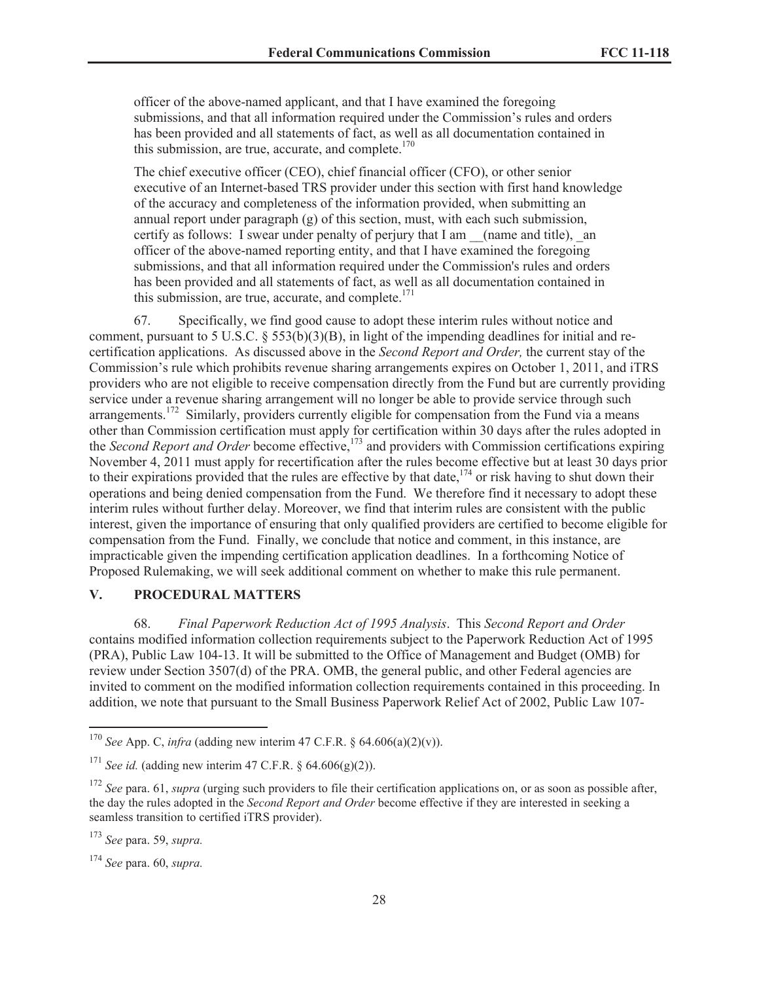officer of the above-named applicant, and that I have examined the foregoing submissions, and that all information required under the Commission's rules and orders has been provided and all statements of fact, as well as all documentation contained in this submission, are true, accurate, and complete. $170$ 

The chief executive officer (CEO), chief financial officer (CFO), or other senior executive of an Internet-based TRS provider under this section with first hand knowledge of the accuracy and completeness of the information provided, when submitting an annual report under paragraph (g) of this section, must, with each such submission, certify as follows: I swear under penalty of perjury that I am \_\_(name and title), \_an officer of the above-named reporting entity, and that I have examined the foregoing submissions, and that all information required under the Commission's rules and orders has been provided and all statements of fact, as well as all documentation contained in this submission, are true, accurate, and complete. $171$ 

67. Specifically, we find good cause to adopt these interim rules without notice and comment, pursuant to 5 U.S.C. § 553(b)(3)(B), in light of the impending deadlines for initial and recertification applications. As discussed above in the *Second Report and Order,* the current stay of the Commission's rule which prohibits revenue sharing arrangements expires on October 1, 2011, and iTRS providers who are not eligible to receive compensation directly from the Fund but are currently providing service under a revenue sharing arrangement will no longer be able to provide service through such arrangements.<sup>172</sup> Similarly, providers currently eligible for compensation from the Fund via a means other than Commission certification must apply for certification within 30 days after the rules adopted in the *Second Report and Order* become effective,<sup>173</sup> and providers with Commission certifications expiring November 4, 2011 must apply for recertification after the rules become effective but at least 30 days prior to their expirations provided that the rules are effective by that date,<sup>174</sup> or risk having to shut down their operations and being denied compensation from the Fund. We therefore find it necessary to adopt these interim rules without further delay. Moreover, we find that interim rules are consistent with the public interest, given the importance of ensuring that only qualified providers are certified to become eligible for compensation from the Fund. Finally, we conclude that notice and comment, in this instance, are impracticable given the impending certification application deadlines. In a forthcoming Notice of Proposed Rulemaking, we will seek additional comment on whether to make this rule permanent.

## <span id="page-27-0"></span>**V. PROCEDURAL MATTERS**

68. *Final Paperwork Reduction Act of 1995 Analysis*. This *Second Report and Order* contains modified information collection requirements subject to the Paperwork Reduction Act of 1995 (PRA), Public Law 104-13. It will be submitted to the Office of Management and Budget (OMB) for review under Section 3507(d) of the PRA. OMB, the general public, and other Federal agencies are invited to comment on the modified information collection requirements contained in this proceeding. In addition, we note that pursuant to the Small Business Paperwork Relief Act of 2002, Public Law 107-

<sup>170</sup> *See* App. C, *infra* (adding new interim 47 C.F.R. § 64.606(a)(2)(v)).

<sup>&</sup>lt;sup>171</sup> *See id.* (adding new interim 47 C.F.R.  $\S$  64.606(g)(2)).

<sup>&</sup>lt;sup>172</sup> *See* para. 61, *supra* (urging such providers to file their certification applications on, or as soon as possible after, the day the rules adopted in the *Second Report and Order* become effective if they are interested in seeking a seamless transition to certified iTRS provider).

<sup>173</sup> *See* para. 59, *supra.*

<sup>174</sup> *See* para. 60, *supra.*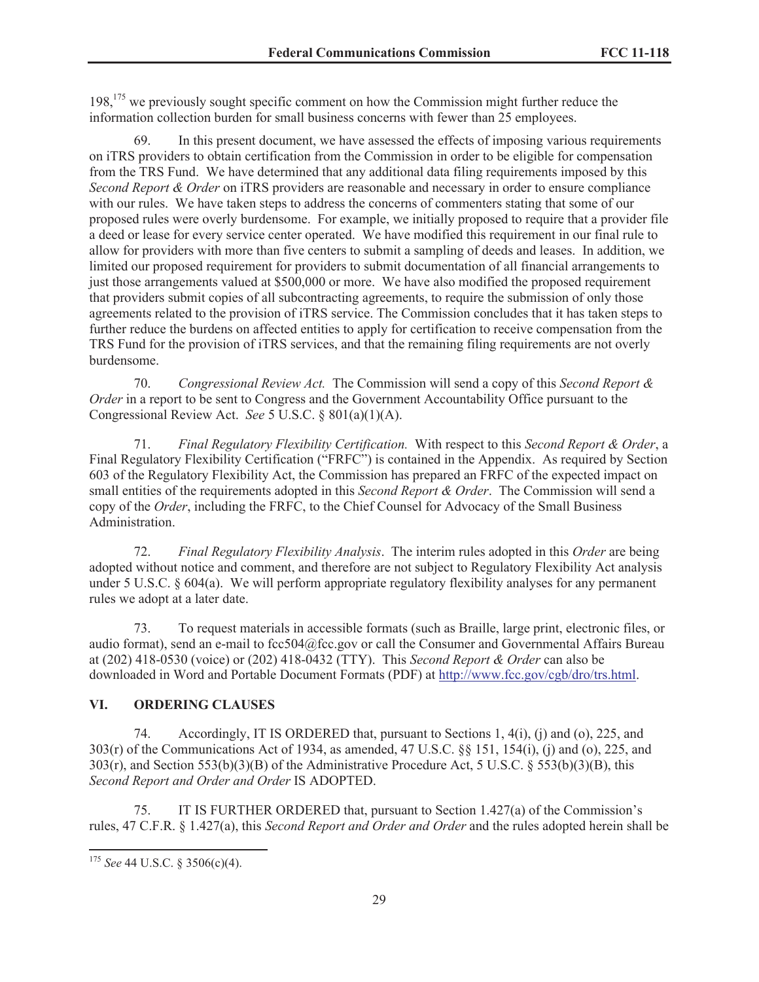198,<sup>175</sup> we previously sought specific comment on how the Commission might further reduce the information collection burden for small business concerns with fewer than 25 employees.

69. In this present document, we have assessed the effects of imposing various requirements on iTRS providers to obtain certification from the Commission in order to be eligible for compensation from the TRS Fund. We have determined that any additional data filing requirements imposed by this *Second Report & Order* on iTRS providers are reasonable and necessary in order to ensure compliance with our rules. We have taken steps to address the concerns of commenters stating that some of our proposed rules were overly burdensome. For example, we initially proposed to require that a provider file a deed or lease for every service center operated. We have modified this requirement in our final rule to allow for providers with more than five centers to submit a sampling of deeds and leases. In addition, we limited our proposed requirement for providers to submit documentation of all financial arrangements to just those arrangements valued at \$500,000 or more. We have also modified the proposed requirement that providers submit copies of all subcontracting agreements, to require the submission of only those agreements related to the provision of iTRS service. The Commission concludes that it has taken steps to further reduce the burdens on affected entities to apply for certification to receive compensation from the TRS Fund for the provision of iTRS services, and that the remaining filing requirements are not overly burdensome.

70. *Congressional Review Act.* The Commission will send a copy of this *Second Report & Order* in a report to be sent to Congress and the Government Accountability Office pursuant to the Congressional Review Act. *See* 5 U.S.C. § 801(a)(1)(A).

71. *Final Regulatory Flexibility Certification.* With respect to this *Second Report & Order*, a Final Regulatory Flexibility Certification ("FRFC") is contained in the Appendix. As required by Section 603 of the Regulatory Flexibility Act, the Commission has prepared an FRFC of the expected impact on small entities of the requirements adopted in this *Second Report & Order*. The Commission will send a copy of the *Order*, including the FRFC, to the Chief Counsel for Advocacy of the Small Business Administration.

72. *Final Regulatory Flexibility Analysis*. The interim rules adopted in this *Order* are being adopted without notice and comment, and therefore are not subject to Regulatory Flexibility Act analysis under 5 U.S.C. § 604(a). We will perform appropriate regulatory flexibility analyses for any permanent rules we adopt at a later date.

73. To request materials in accessible formats (such as Braille, large print, electronic files, or audio format), send an e-mail to fcc504@fcc.gov or call the Consumer and Governmental Affairs Bureau at (202) 418-0530 (voice) or (202) 418-0432 (TTY). This *Second Report & Order* can also be downloaded in Word and Portable Document Formats (PDF) at [http://www.fcc.gov/cgb/dro/trs.html.](http://www.fcc.gov/cgb/dro/trs.html)

## <span id="page-28-0"></span>**VI. ORDERING CLAUSES**

74. Accordingly, IT IS ORDERED that, pursuant to Sections 1, 4(i), (j) and (o), 225, and 303(r) of the Communications Act of 1934, as amended, 47 U.S.C. §§ 151, 154(i), (j) and (o), 225, and 303(r), and Section 553(b)(3)(B) of the Administrative Procedure Act, 5 U.S.C. § 553(b)(3)(B), this *Second Report and Order and Order* IS ADOPTED.

75. IT IS FURTHER ORDERED that, pursuant to Section 1.427(a) of the Commission's rules, 47 C.F.R. § 1.427(a), this *Second Report and Order and Order* and the rules adopted herein shall be

<sup>175</sup> *See* 44 U.S.C. § 3506(c)(4).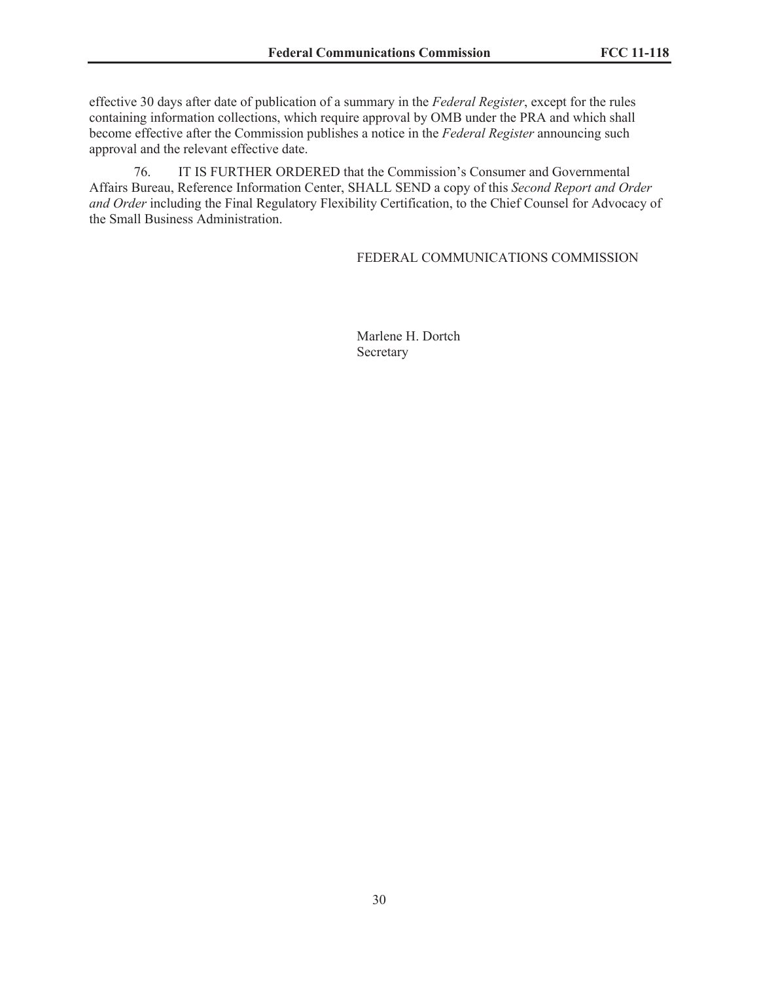effective 30 days after date of publication of a summary in the *Federal Register*, except for the rules containing information collections, which require approval by OMB under the PRA and which shall become effective after the Commission publishes a notice in the *Federal Register* announcing such approval and the relevant effective date.

76. IT IS FURTHER ORDERED that the Commission's Consumer and Governmental Affairs Bureau, Reference Information Center, SHALL SEND a copy of this *Second Report and Order and Order* including the Final Regulatory Flexibility Certification, to the Chief Counsel for Advocacy of the Small Business Administration.

#### FEDERAL COMMUNICATIONS COMMISSION

Marlene H. Dortch Secretary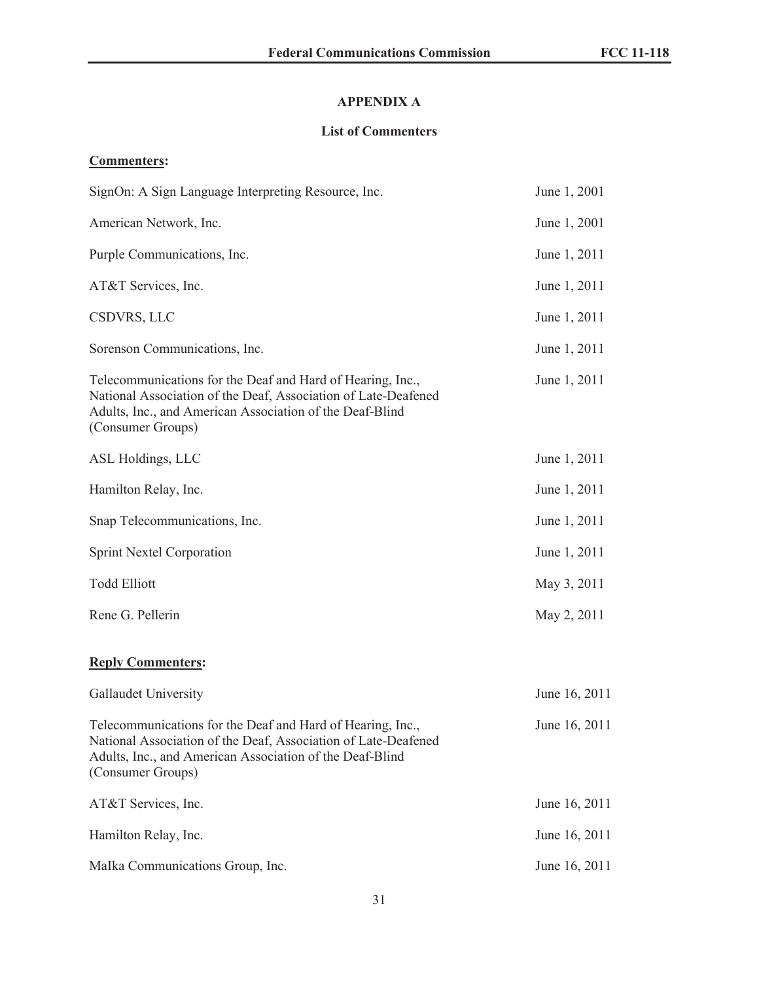# **APPENDIX A**

# **List of Commenters**

# **Commenters:**

| SignOn: A Sign Language Interpreting Resource, Inc.                                                                                                                                                           | June 1, 2001  |
|---------------------------------------------------------------------------------------------------------------------------------------------------------------------------------------------------------------|---------------|
| American Network, Inc.                                                                                                                                                                                        | June 1, 2001  |
| Purple Communications, Inc.                                                                                                                                                                                   | June 1, 2011  |
| AT&T Services, Inc.                                                                                                                                                                                           | June 1, 2011  |
| CSDVRS, LLC                                                                                                                                                                                                   | June 1, 2011  |
| Sorenson Communications, Inc.                                                                                                                                                                                 | June 1, 2011  |
| Telecommunications for the Deaf and Hard of Hearing, Inc.,<br>National Association of the Deaf, Association of Late-Deafened<br>Adults, Inc., and American Association of the Deaf-Blind<br>(Consumer Groups) | June 1, 2011  |
| ASL Holdings, LLC                                                                                                                                                                                             | June 1, 2011  |
| Hamilton Relay, Inc.                                                                                                                                                                                          | June 1, 2011  |
| Snap Telecommunications, Inc.                                                                                                                                                                                 | June 1, 2011  |
| <b>Sprint Nextel Corporation</b>                                                                                                                                                                              | June 1, 2011  |
| <b>Todd Elliott</b>                                                                                                                                                                                           | May 3, 2011   |
| Rene G. Pellerin                                                                                                                                                                                              | May 2, 2011   |
| <b>Reply Commenters:</b>                                                                                                                                                                                      |               |
| Gallaudet University                                                                                                                                                                                          | June 16, 2011 |
| Telecommunications for the Deaf and Hard of Hearing, Inc.,<br>National Association of the Deaf, Association of Late-Deafened<br>Adults, Inc., and American Association of the Deaf-Blind<br>(Consumer Groups) | June 16, 2011 |
| AT&T Services, Inc.                                                                                                                                                                                           | June 16, 2011 |
| Hamilton Relay, Inc.                                                                                                                                                                                          | June 16, 2011 |
| MaIka Communications Group, Inc.                                                                                                                                                                              | June 16, 2011 |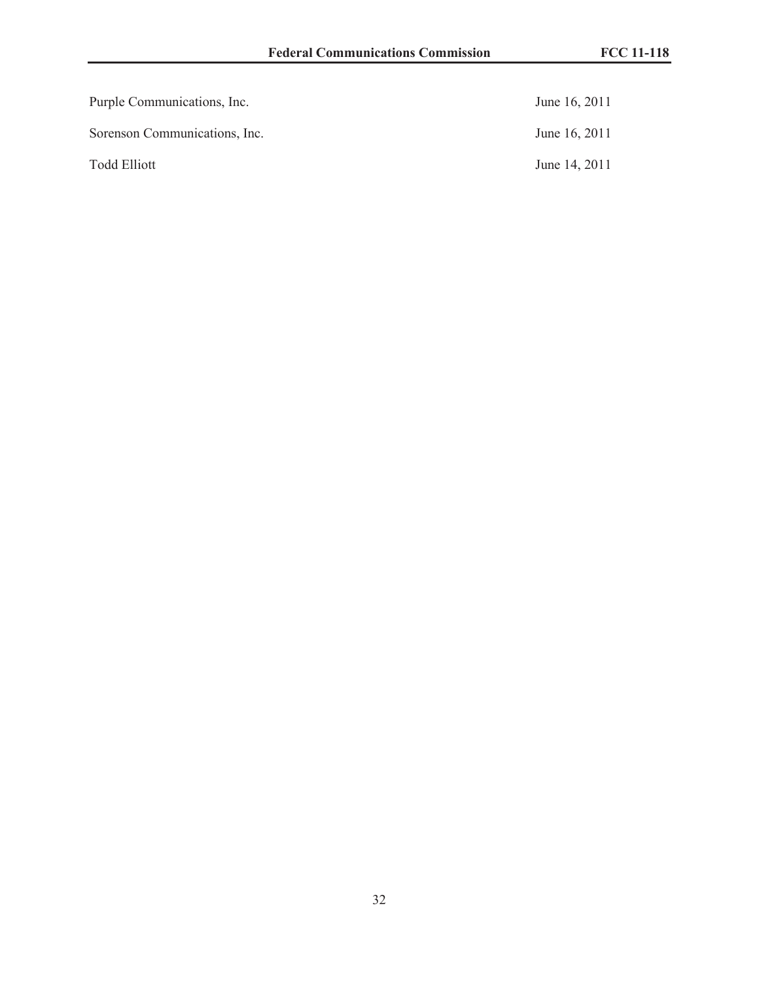| Purple Communications, Inc.   | June 16, 2011 |
|-------------------------------|---------------|
| Sorenson Communications, Inc. | June 16, 2011 |
| <b>Todd Elliott</b>           | June 14, 2011 |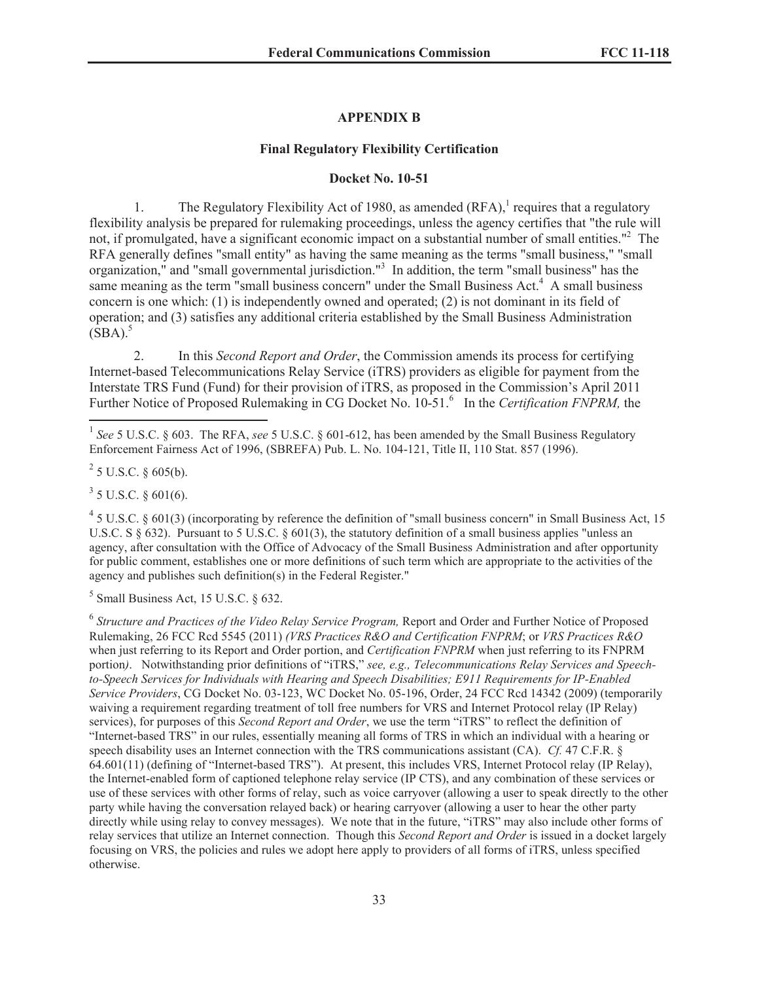#### **APPENDIX B**

#### **Final Regulatory Flexibility Certification**

#### **Docket No. 10-51**

1. The Regulatory Flexibility Act of 1980, as amended  $(RFA)$ , requires that a regulatory flexibility analysis be prepared for rulemaking proceedings, unless the agency certifies that "the rule will not, if promulgated, have a significant economic impact on a substantial number of small entities."<sup>2</sup> The RFA generally defines "small entity" as having the same meaning as the terms "small business," "small organization," and "small governmental jurisdiction."<sup>3</sup> In addition, the term "small business" has the same meaning as the term "small business concern" under the Small Business Act.<sup>4</sup> A small business concern is one which: (1) is independently owned and operated; (2) is not dominant in its field of operation; and (3) satisfies any additional criteria established by the Small Business Administration  $(SBA).$ <sup>5</sup>

2. In this *Second Report and Order*, the Commission amends its process for certifying Internet-based Telecommunications Relay Service (iTRS) providers as eligible for payment from the Interstate TRS Fund (Fund) for their provision of iTRS, as proposed in the Commission's April 2011 Further Notice of Proposed Rulemaking in CG Docket No. 10-51.<sup>6</sup> In the *Certification FNPRM*, the

 $2^{2}$  5 U.S.C. § 605(b).

 $3$  5 U.S.C. § 601(6).

 $45$  U.S.C. § 601(3) (incorporating by reference the definition of "small business concern" in Small Business Act, 15 U.S.C. S § 632). Pursuant to 5 U.S.C. § 601(3), the statutory definition of a small business applies "unless an agency, after consultation with the Office of Advocacy of the Small Business Administration and after opportunity for public comment, establishes one or more definitions of such term which are appropriate to the activities of the agency and publishes such definition(s) in the Federal Register."

 $<sup>5</sup>$  Small Business Act, 15 U.S.C. § 632.</sup>

6 *Structure and Practices of the Video Relay Service Program,* Report and Order and Further Notice of Proposed Rulemaking, 26 FCC Rcd 5545 (2011) *(VRS Practices R&O and Certification FNPRM*; or *VRS Practices R&O*  when just referring to its Report and Order portion, and *Certification FNPRM* when just referring to its FNPRM portion*)*. Notwithstanding prior definitions of "iTRS," *see, e.g., Telecommunications Relay Services and Speechto-Speech Services for Individuals with Hearing and Speech Disabilities; E911 Requirements for IP-Enabled Service Providers*, CG Docket No. 03-123, WC Docket No. 05-196, Order, 24 FCC Rcd 14342 (2009) (temporarily waiving a requirement regarding treatment of toll free numbers for VRS and Internet Protocol relay (IP Relay) services), for purposes of this *Second Report and Order*, we use the term "iTRS" to reflect the definition of "Internet-based TRS" in our rules, essentially meaning all forms of TRS in which an individual with a hearing or speech disability uses an Internet connection with the TRS communications assistant (CA). *Cf.* 47 C.F.R. § 64.601(11) (defining of "Internet-based TRS"). At present, this includes VRS, Internet Protocol relay (IP Relay), the Internet-enabled form of captioned telephone relay service (IP CTS), and any combination of these services or use of these services with other forms of relay, such as voice carryover (allowing a user to speak directly to the other party while having the conversation relayed back) or hearing carryover (allowing a user to hear the other party directly while using relay to convey messages). We note that in the future, "iTRS" may also include other forms of relay services that utilize an Internet connection. Though this *Second Report and Order* is issued in a docket largely focusing on VRS, the policies and rules we adopt here apply to providers of all forms of iTRS, unless specified otherwise.

<sup>&</sup>lt;sup>1</sup> See 5 U.S.C. § 603. The RFA, see 5 U.S.C. § 601-612, has been amended by the Small Business Regulatory Enforcement Fairness Act of 1996, (SBREFA) Pub. L. No. 104-121, Title II, 110 Stat. 857 (1996).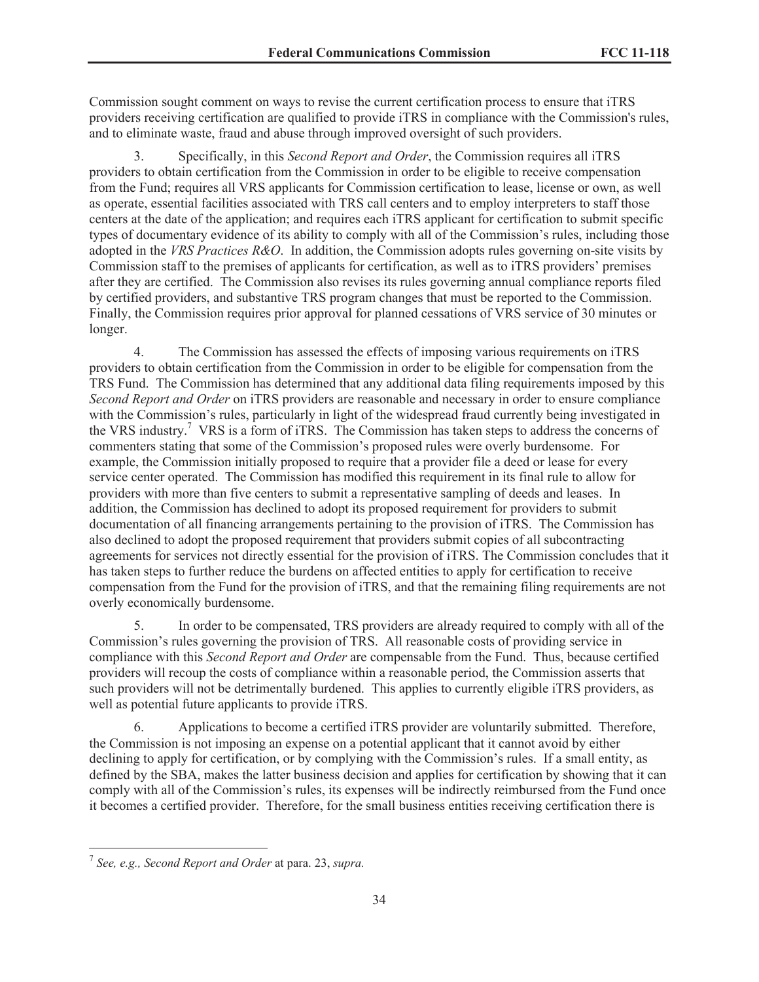Commission sought comment on ways to revise the current certification process to ensure that iTRS providers receiving certification are qualified to provide iTRS in compliance with the Commission's rules, and to eliminate waste, fraud and abuse through improved oversight of such providers.

3. Specifically, in this *Second Report and Order*, the Commission requires all iTRS providers to obtain certification from the Commission in order to be eligible to receive compensation from the Fund; requires all VRS applicants for Commission certification to lease, license or own, as well as operate, essential facilities associated with TRS call centers and to employ interpreters to staff those centers at the date of the application; and requires each iTRS applicant for certification to submit specific types of documentary evidence of its ability to comply with all of the Commission's rules, including those adopted in the *VRS Practices R&O*. In addition, the Commission adopts rules governing on-site visits by Commission staff to the premises of applicants for certification, as well as to iTRS providers' premises after they are certified. The Commission also revises its rules governing annual compliance reports filed by certified providers, and substantive TRS program changes that must be reported to the Commission. Finally, the Commission requires prior approval for planned cessations of VRS service of 30 minutes or longer.

4. The Commission has assessed the effects of imposing various requirements on iTRS providers to obtain certification from the Commission in order to be eligible for compensation from the TRS Fund. The Commission has determined that any additional data filing requirements imposed by this *Second Report and Order* on iTRS providers are reasonable and necessary in order to ensure compliance with the Commission's rules, particularly in light of the widespread fraud currently being investigated in the VRS industry.<sup>7</sup> VRS is a form of iTRS. The Commission has taken steps to address the concerns of commenters stating that some of the Commission's proposed rules were overly burdensome. For example, the Commission initially proposed to require that a provider file a deed or lease for every service center operated. The Commission has modified this requirement in its final rule to allow for providers with more than five centers to submit a representative sampling of deeds and leases. In addition, the Commission has declined to adopt its proposed requirement for providers to submit documentation of all financing arrangements pertaining to the provision of iTRS. The Commission has also declined to adopt the proposed requirement that providers submit copies of all subcontracting agreements for services not directly essential for the provision of iTRS. The Commission concludes that it has taken steps to further reduce the burdens on affected entities to apply for certification to receive compensation from the Fund for the provision of iTRS, and that the remaining filing requirements are not overly economically burdensome.

5. In order to be compensated, TRS providers are already required to comply with all of the Commission's rules governing the provision of TRS. All reasonable costs of providing service in compliance with this *Second Report and Order* are compensable from the Fund. Thus, because certified providers will recoup the costs of compliance within a reasonable period, the Commission asserts that such providers will not be detrimentally burdened. This applies to currently eligible iTRS providers, as well as potential future applicants to provide iTRS.

6. Applications to become a certified iTRS provider are voluntarily submitted. Therefore, the Commission is not imposing an expense on a potential applicant that it cannot avoid by either declining to apply for certification, or by complying with the Commission's rules. If a small entity, as defined by the SBA, makes the latter business decision and applies for certification by showing that it can comply with all of the Commission's rules, its expenses will be indirectly reimbursed from the Fund once it becomes a certified provider. Therefore, for the small business entities receiving certification there is

<sup>7</sup> *See, e.g., Second Report and Order* at para. 23, *supra.*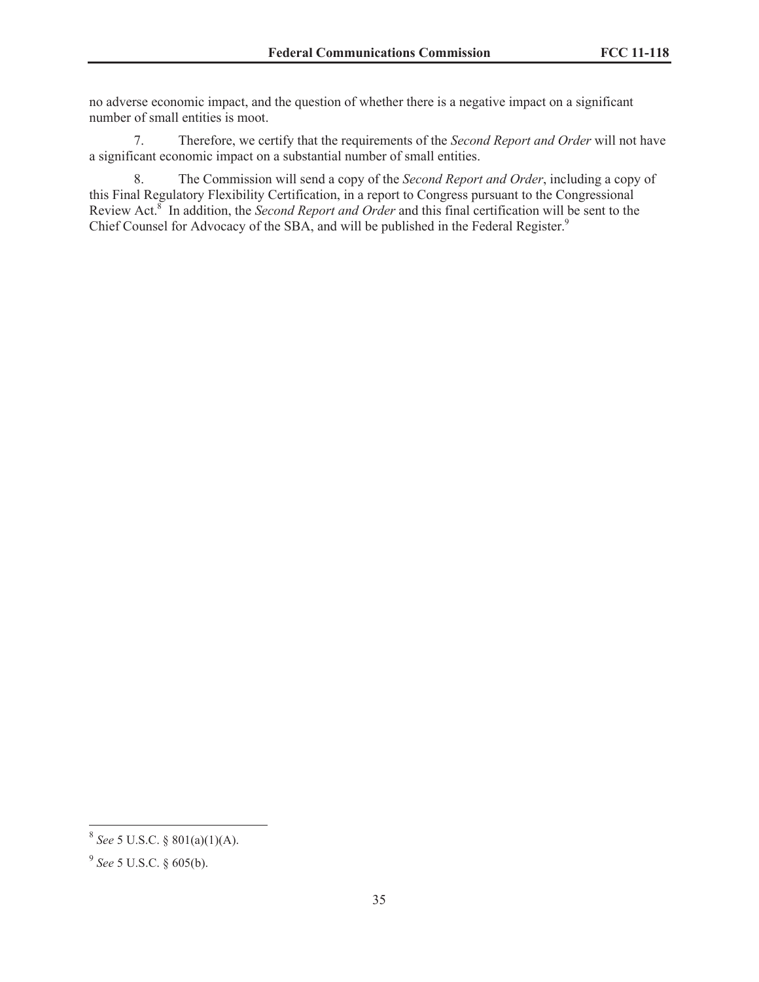no adverse economic impact, and the question of whether there is a negative impact on a significant number of small entities is moot.

7. Therefore, we certify that the requirements of the *Second Report and Order* will not have a significant economic impact on a substantial number of small entities.

8. The Commission will send a copy of the *Second Report and Order*, including a copy of this Final Regulatory Flexibility Certification, in a report to Congress pursuant to the Congressional Review Act.<sup>8</sup> In addition, the *Second Report and Order* and this final certification will be sent to the Chief Counsel for Advocacy of the SBA, and will be published in the Federal Register.<sup>9</sup>

<sup>8</sup> *See* 5 U.S.C. § 801(a)(1)(A).

<sup>9</sup> *See* 5 U.S.C. § 605(b).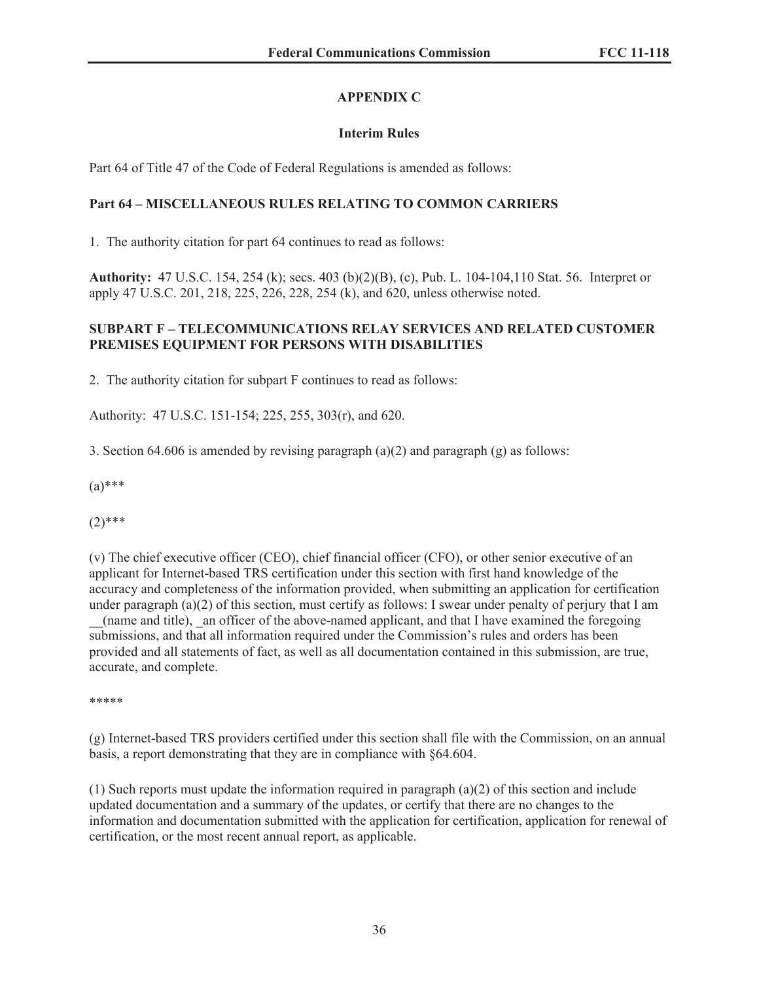# **APPENDIX C**

# **Interim Rules**

Part 64 of Title 47 of the Code of Federal Regulations is amended as follows:

# **Part 64 – MISCELLANEOUS RULES RELATING TO COMMON CARRIERS**

1. The authority citation for part 64 continues to read as follows:

**Authority:** 47 U.S.C. 154, 254 (k); secs. 403 (b)(2)(B), (c), Pub. L. 104-104,110 Stat. 56. Interpret or apply 47 U.S.C. 201, 218, 225, 226, 228, 254 (k), and 620, unless otherwise noted.

## **SUBPART F – TELECOMMUNICATIONS RELAY SERVICES AND RELATED CUSTOMER PREMISES EQUIPMENT FOR PERSONS WITH DISABILITIES**

2. The authority citation for subpart F continues to read as follows:

Authority: 47 U.S.C. 151-154; 225, 255, 303(r), and 620.

3. Section 64.606 is amended by revising paragraph (a)(2) and paragraph (g) as follows:

 $(a)$ \*\*\*

 $(2)$ \*\*\*

(v) The chief executive officer (CEO), chief financial officer (CFO), or other senior executive of an applicant for Internet-based TRS certification under this section with first hand knowledge of the accuracy and completeness of the information provided, when submitting an application for certification under paragraph  $(a)(2)$  of this section, must certify as follows: I swear under penalty of perjury that I am \_\_(name and title), \_an officer of the above-named applicant, and that I have examined the foregoing submissions, and that all information required under the Commission's rules and orders has been provided and all statements of fact, as well as all documentation contained in this submission, are true, accurate, and complete.

\*\*\*\*\*

(g) Internet-based TRS providers certified under this section shall file with the Commission, on an annual basis, a report demonstrating that they are in compliance with §64.604.

(1) Such reports must update the information required in paragraph (a)(2) of this section and include updated documentation and a summary of the updates, or certify that there are no changes to the information and documentation submitted with the application for certification, application for renewal of certification, or the most recent annual report, as applicable.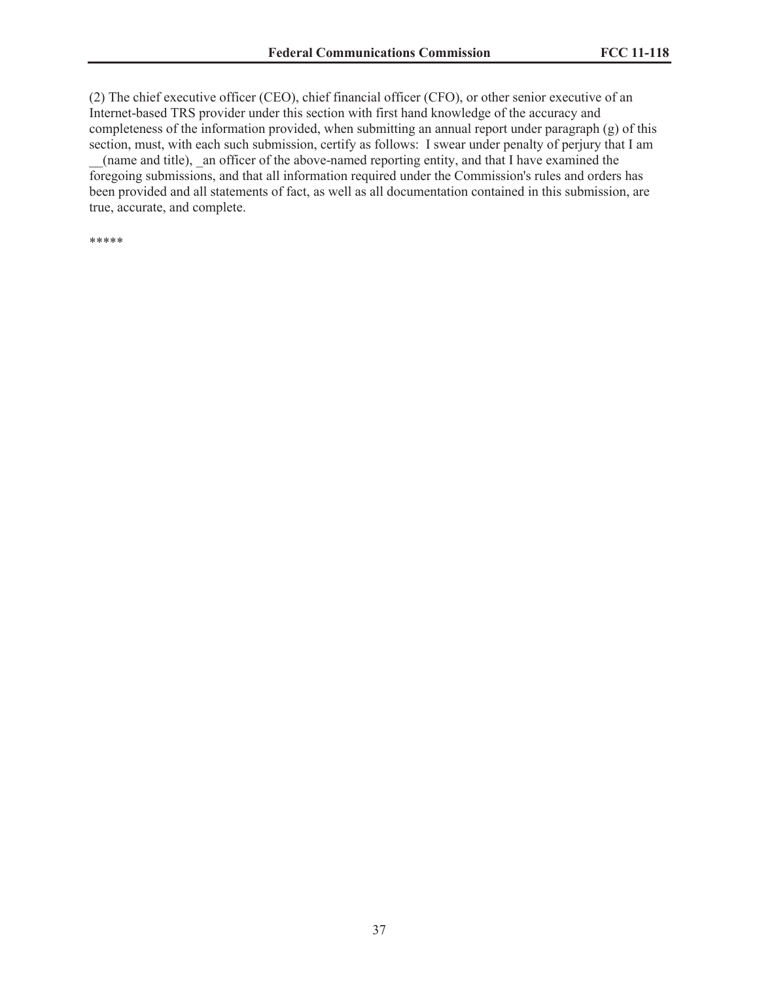(2) The chief executive officer (CEO), chief financial officer (CFO), or other senior executive of an Internet-based TRS provider under this section with first hand knowledge of the accuracy and completeness of the information provided, when submitting an annual report under paragraph (g) of this section, must, with each such submission, certify as follows: I swear under penalty of perjury that I am

\_\_(name and title), \_an officer of the above-named reporting entity, and that I have examined the foregoing submissions, and that all information required under the Commission's rules and orders has been provided and all statements of fact, as well as all documentation contained in this submission, are true, accurate, and complete.

\*\*\*\*\*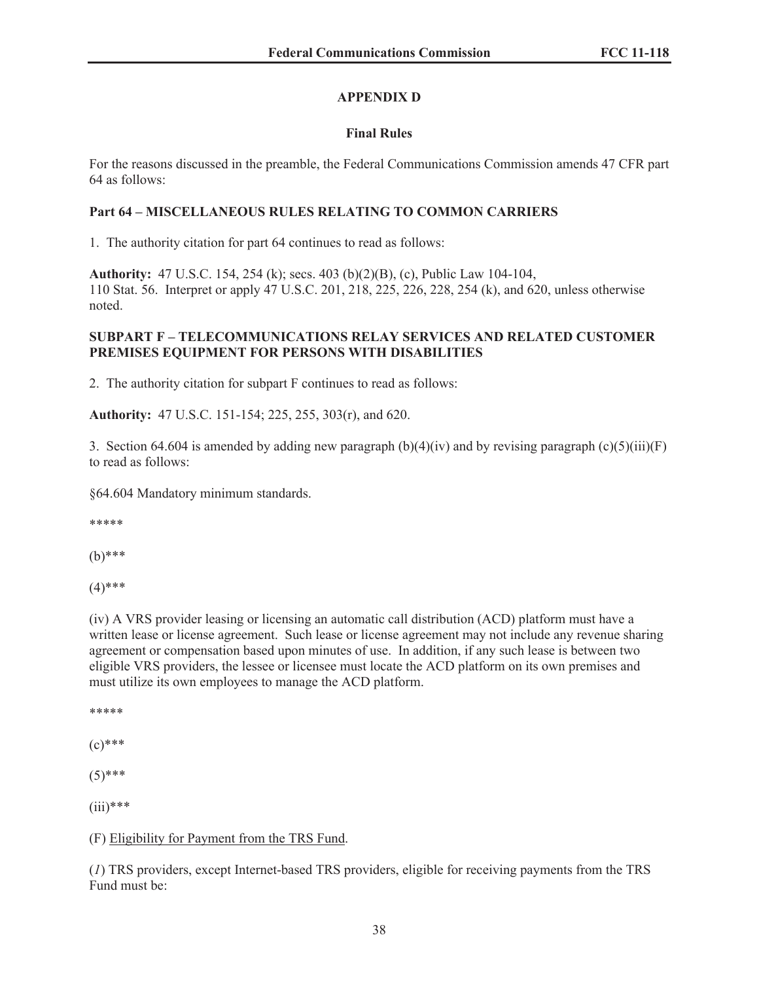# **APPENDIX D**

# **Final Rules**

For the reasons discussed in the preamble, the Federal Communications Commission amends 47 CFR part 64 as follows:

## **Part 64 – MISCELLANEOUS RULES RELATING TO COMMON CARRIERS**

1. The authority citation for part 64 continues to read as follows:

**Authority:** 47 U.S.C. 154, 254 (k); secs. 403 (b)(2)(B), (c), Public Law 104-104, 110 Stat. 56. Interpret or apply 47 U.S.C. 201, 218, 225, 226, 228, 254 (k), and 620, unless otherwise noted.

## **SUBPART F – TELECOMMUNICATIONS RELAY SERVICES AND RELATED CUSTOMER PREMISES EQUIPMENT FOR PERSONS WITH DISABILITIES**

2. The authority citation for subpart F continues to read as follows:

**Authority:** 47 U.S.C. 151-154; 225, 255, 303(r), and 620.

3. Section 64.604 is amended by adding new paragraph  $(b)(4)(iv)$  and by revising paragraph  $(c)(5)(iii)(F)$ to read as follows:

§64.604 Mandatory minimum standards.

\*\*\*\*\*

(b)\*\*\*

 $(4)$ \*\*\*

(iv) A VRS provider leasing or licensing an automatic call distribution (ACD) platform must have a written lease or license agreement. Such lease or license agreement may not include any revenue sharing agreement or compensation based upon minutes of use. In addition, if any such lease is between two eligible VRS providers, the lessee or licensee must locate the ACD platform on its own premises and must utilize its own employees to manage the ACD platform.

\*\*\*\*\*

 $(c)$ \*\*\*

 $(5)$ \*\*\*

 $(iii)****$ 

# (F) Eligibility for Payment from the TRS Fund.

(*1*) TRS providers, except Internet-based TRS providers, eligible for receiving payments from the TRS Fund must be: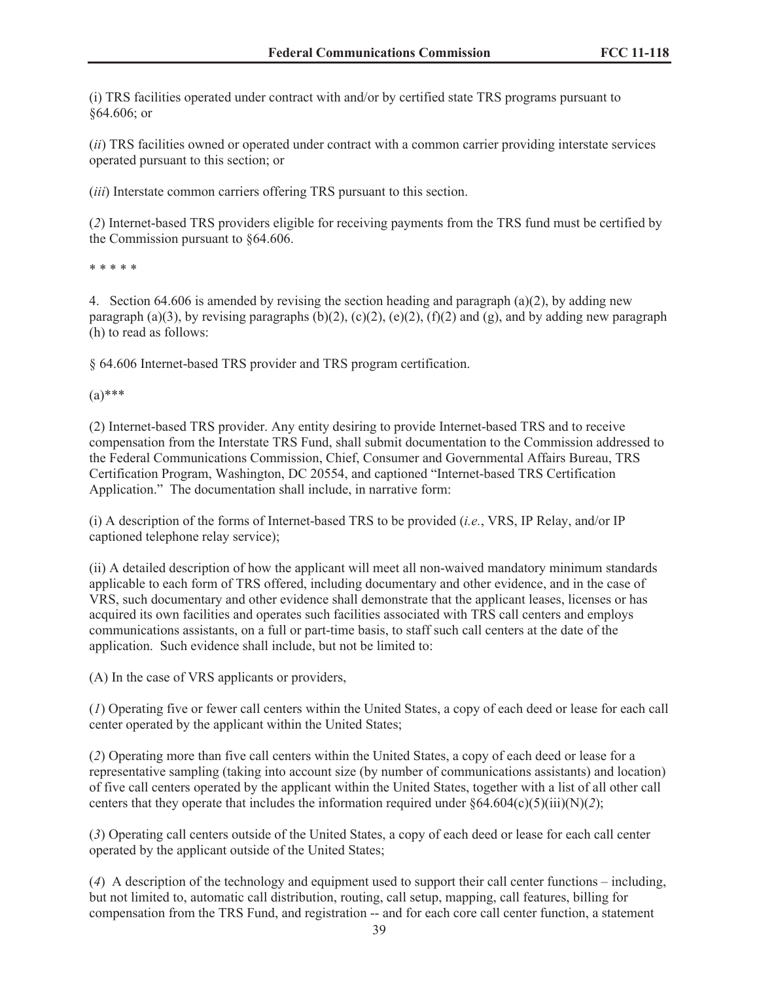(i) TRS facilities operated under contract with and/or by certified state TRS programs pursuant to §64.606; or

(*ii*) TRS facilities owned or operated under contract with a common carrier providing interstate services operated pursuant to this section; or

(*iii*) Interstate common carriers offering TRS pursuant to this section.

(*2*) Internet-based TRS providers eligible for receiving payments from the TRS fund must be certified by the Commission pursuant to §64.606.

\* \* \* \* \*

4. Section 64.606 is amended by revising the section heading and paragraph (a)(2), by adding new paragraph (a)(3), by revising paragraphs (b)(2), (c)(2), (e)(2), (f)(2) and (g), and by adding new paragraph (h) to read as follows:

§ 64.606 Internet-based TRS provider and TRS program certification.

 $(a)$ \*\*\*

(2) Internet-based TRS provider. Any entity desiring to provide Internet-based TRS and to receive compensation from the Interstate TRS Fund, shall submit documentation to the Commission addressed to the Federal Communications Commission, Chief, Consumer and Governmental Affairs Bureau, TRS Certification Program, Washington, DC 20554, and captioned "Internet-based TRS Certification Application." The documentation shall include, in narrative form:

(i) A description of the forms of Internet-based TRS to be provided (*i.e.*, VRS, IP Relay, and/or IP captioned telephone relay service);

(ii) A detailed description of how the applicant will meet all non-waived mandatory minimum standards applicable to each form of TRS offered, including documentary and other evidence, and in the case of VRS, such documentary and other evidence shall demonstrate that the applicant leases, licenses or has acquired its own facilities and operates such facilities associated with TRS call centers and employs communications assistants, on a full or part-time basis, to staff such call centers at the date of the application. Such evidence shall include, but not be limited to:

(A) In the case of VRS applicants or providers,

(*1*) Operating five or fewer call centers within the United States, a copy of each deed or lease for each call center operated by the applicant within the United States;

(*2*) Operating more than five call centers within the United States, a copy of each deed or lease for a representative sampling (taking into account size (by number of communications assistants) and location) of five call centers operated by the applicant within the United States, together with a list of all other call centers that they operate that includes the information required under  $\S 64.604(c)(5)(iii)(N)(2);$ 

(*3*) Operating call centers outside of the United States, a copy of each deed or lease for each call center operated by the applicant outside of the United States;

(*4*) A description of the technology and equipment used to support their call center functions – including, but not limited to, automatic call distribution, routing, call setup, mapping, call features, billing for compensation from the TRS Fund, and registration -- and for each core call center function, a statement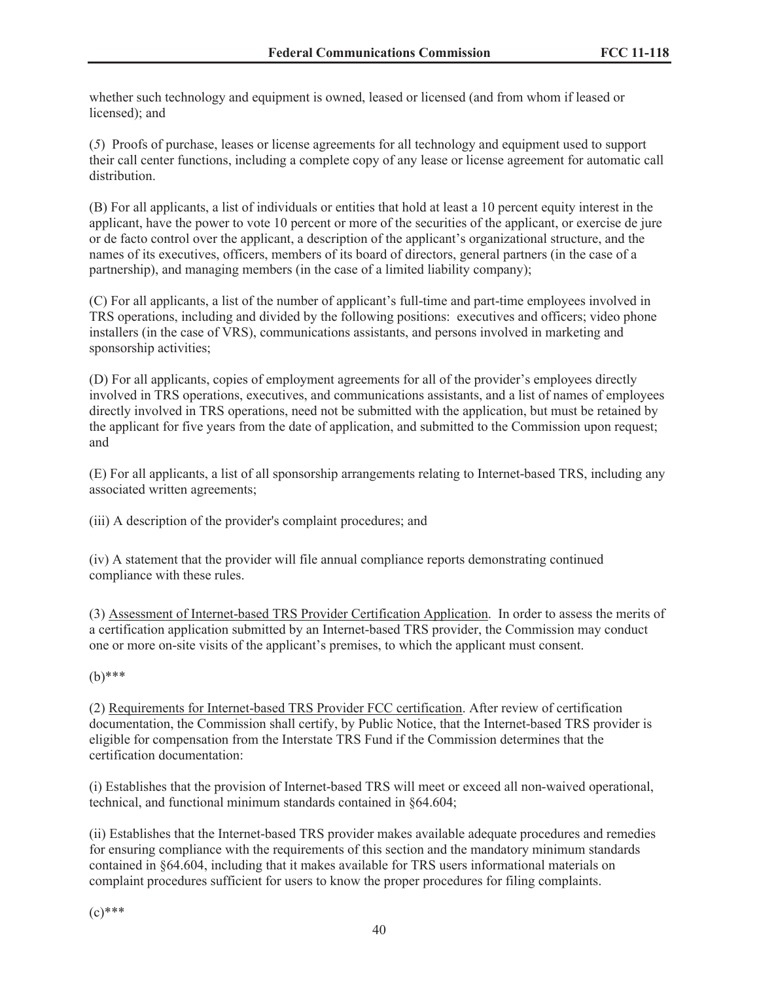whether such technology and equipment is owned, leased or licensed (and from whom if leased or licensed); and

(*5*) Proofs of purchase, leases or license agreements for all technology and equipment used to support their call center functions, including a complete copy of any lease or license agreement for automatic call distribution.

(B) For all applicants, a list of individuals or entities that hold at least a 10 percent equity interest in the applicant, have the power to vote 10 percent or more of the securities of the applicant, or exercise de jure or de facto control over the applicant, a description of the applicant's organizational structure, and the names of its executives, officers, members of its board of directors, general partners (in the case of a partnership), and managing members (in the case of a limited liability company);

(C) For all applicants, a list of the number of applicant's full-time and part-time employees involved in TRS operations, including and divided by the following positions: executives and officers; video phone installers (in the case of VRS), communications assistants, and persons involved in marketing and sponsorship activities;

(D) For all applicants, copies of employment agreements for all of the provider's employees directly involved in TRS operations, executives, and communications assistants, and a list of names of employees directly involved in TRS operations, need not be submitted with the application, but must be retained by the applicant for five years from the date of application, and submitted to the Commission upon request; and

(E) For all applicants, a list of all sponsorship arrangements relating to Internet-based TRS, including any associated written agreements;

(iii) A description of the provider's complaint procedures; and

(iv) A statement that the provider will file annual compliance reports demonstrating continued compliance with these rules.

(3) Assessment of Internet-based TRS Provider Certification Application. In order to assess the merits of a certification application submitted by an Internet-based TRS provider, the Commission may conduct one or more on-site visits of the applicant's premises, to which the applicant must consent.

## (b)\*\*\*

(2) Requirements for Internet-based TRS Provider FCC certification. After review of certification documentation, the Commission shall certify, by Public Notice, that the Internet-based TRS provider is eligible for compensation from the Interstate TRS Fund if the Commission determines that the certification documentation:

(i) Establishes that the provision of Internet-based TRS will meet or exceed all non-waived operational, technical, and functional minimum standards contained in §64.604;

(ii) Establishes that the Internet-based TRS provider makes available adequate procedures and remedies for ensuring compliance with the requirements of this section and the mandatory minimum standards contained in §64.604, including that it makes available for TRS users informational materials on complaint procedures sufficient for users to know the proper procedures for filing complaints.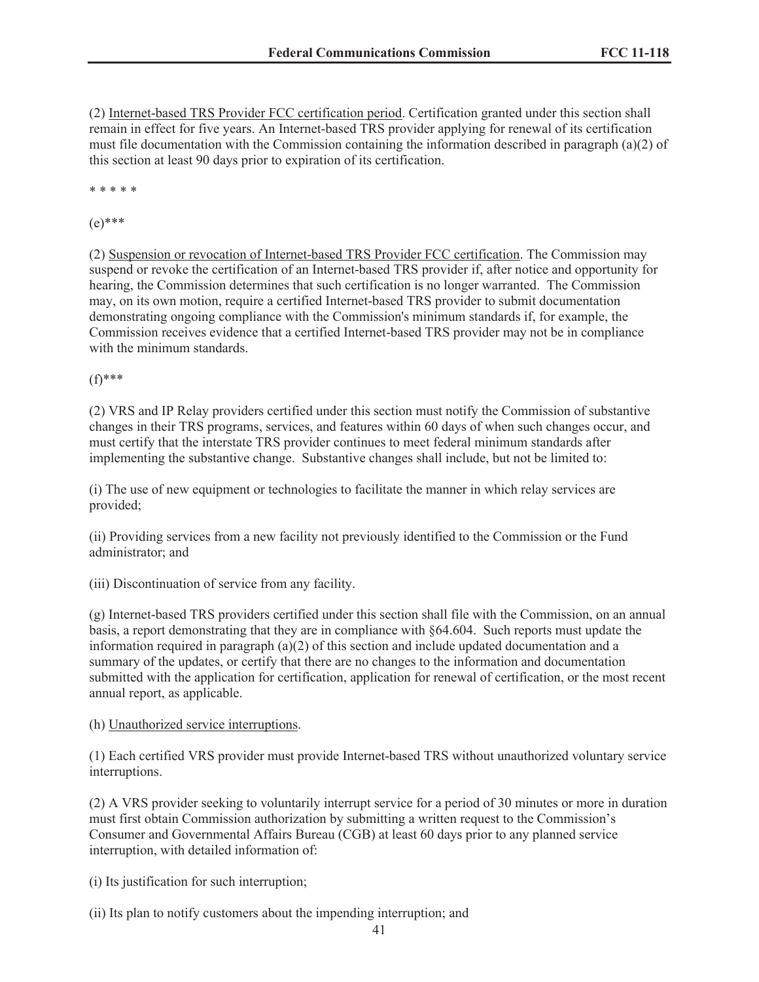(2) Internet-based TRS Provider FCC certification period. Certification granted under this section shall remain in effect for five years. An Internet-based TRS provider applying for renewal of its certification must file documentation with the Commission containing the information described in paragraph (a)(2) of this section at least 90 days prior to expiration of its certification.

\* \* \* \* \*

 $(e)$ \*\*\*

(2) Suspension or revocation of Internet-based TRS Provider FCC certification. The Commission may suspend or revoke the certification of an Internet-based TRS provider if, after notice and opportunity for hearing, the Commission determines that such certification is no longer warranted. The Commission may, on its own motion, require a certified Internet-based TRS provider to submit documentation demonstrating ongoing compliance with the Commission's minimum standards if, for example, the Commission receives evidence that a certified Internet-based TRS provider may not be in compliance with the minimum standards.

(f)\*\*\*

(2) VRS and IP Relay providers certified under this section must notify the Commission of substantive changes in their TRS programs, services, and features within 60 days of when such changes occur, and must certify that the interstate TRS provider continues to meet federal minimum standards after implementing the substantive change. Substantive changes shall include, but not be limited to:

(i) The use of new equipment or technologies to facilitate the manner in which relay services are provided;

(ii) Providing services from a new facility not previously identified to the Commission or the Fund administrator; and

(iii) Discontinuation of service from any facility.

(g) Internet-based TRS providers certified under this section shall file with the Commission, on an annual basis, a report demonstrating that they are in compliance with §64.604. Such reports must update the information required in paragraph (a)(2) of this section and include updated documentation and a summary of the updates, or certify that there are no changes to the information and documentation submitted with the application for certification, application for renewal of certification, or the most recent annual report, as applicable.

## (h) Unauthorized service interruptions.

(1) Each certified VRS provider must provide Internet-based TRS without unauthorized voluntary service interruptions.

(2) A VRS provider seeking to voluntarily interrupt service for a period of 30 minutes or more in duration must first obtain Commission authorization by submitting a written request to the Commission's Consumer and Governmental Affairs Bureau (CGB) at least 60 days prior to any planned service interruption, with detailed information of:

(i) Its justification for such interruption;

(ii) Its plan to notify customers about the impending interruption; and